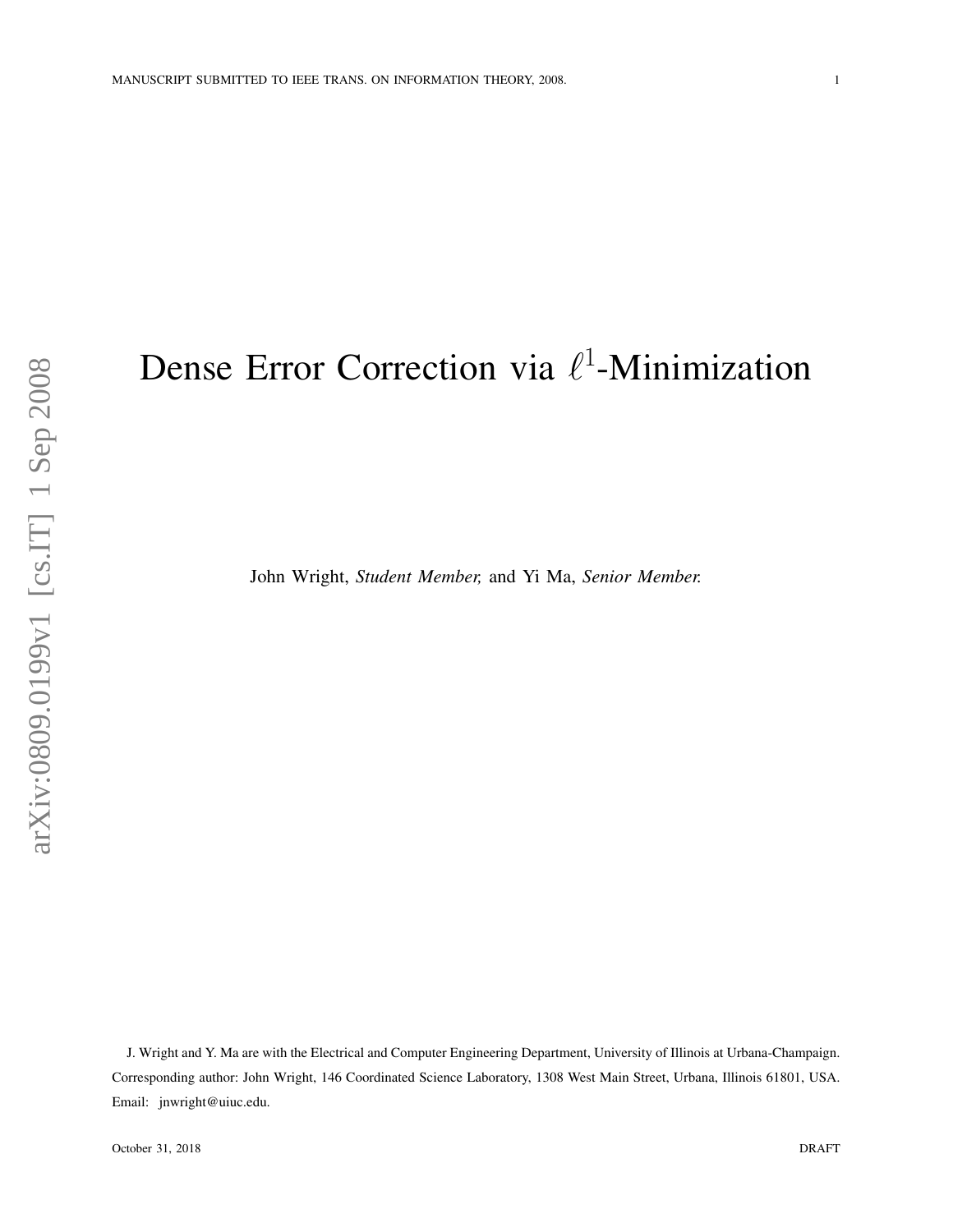# Dense Error Correction via  $\ell^1$ -Minimization

John Wright, *Student Member,* and Yi Ma, *Senior Member.*

J. Wright and Y. Ma are with the Electrical and Computer Engineering Department, University of Illinois at Urbana-Champaign. Corresponding author: John Wright, 146 Coordinated Science Laboratory, 1308 West Main Street, Urbana, Illinois 61801, USA. Email: jnwright@uiuc.edu.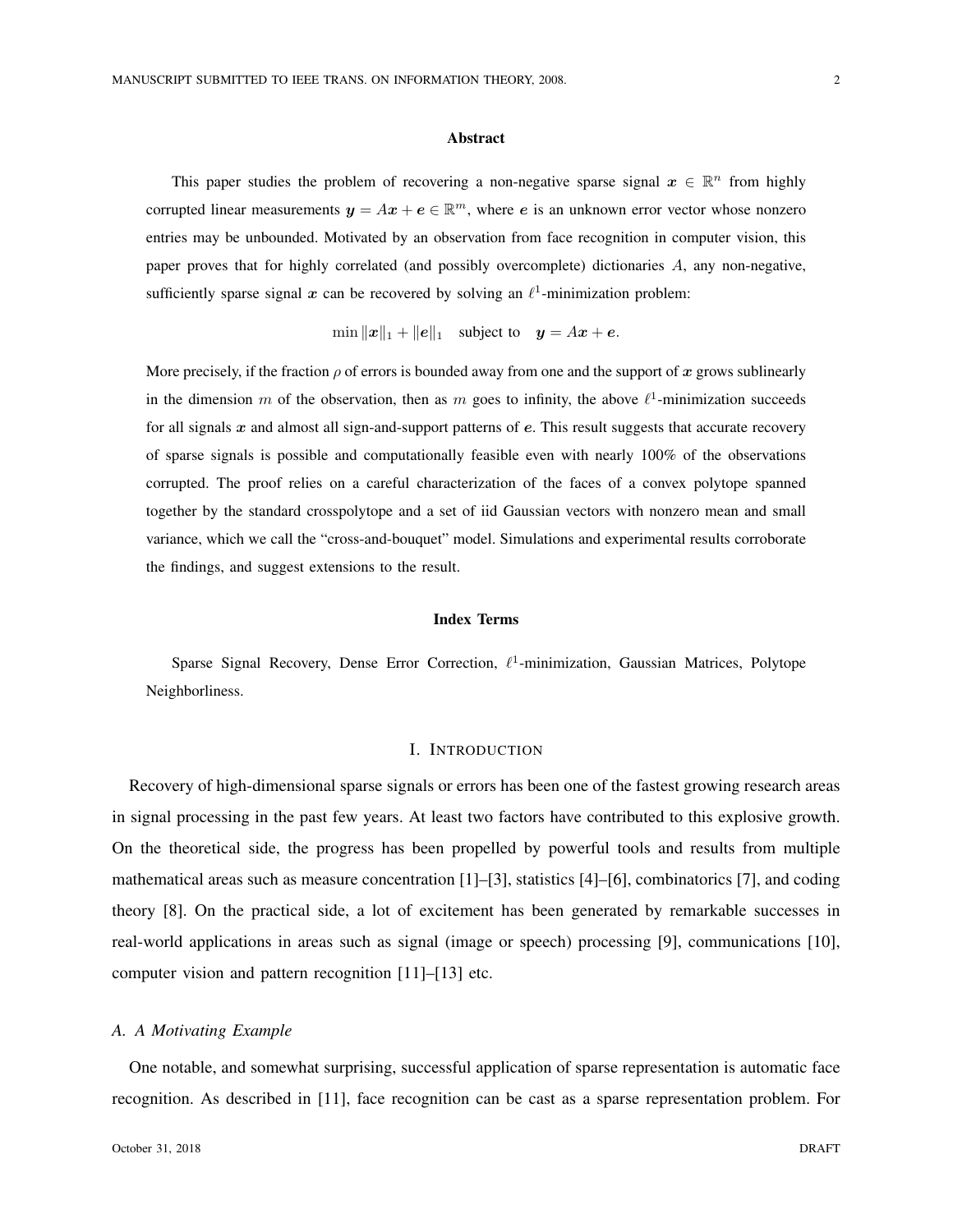#### Abstract

This paper studies the problem of recovering a non-negative sparse signal  $x \in \mathbb{R}^n$  from highly corrupted linear measurements  $y = Ax + e \in \mathbb{R}^m$ , where e is an unknown error vector whose nonzero entries may be unbounded. Motivated by an observation from face recognition in computer vision, this paper proves that for highly correlated (and possibly overcomplete) dictionaries A, any non-negative, sufficiently sparse signal x can be recovered by solving an  $\ell^1$ -minimization problem:

$$
\min ||x||_1 + ||e||_1 \quad \text{subject to} \quad y = Ax + e.
$$

More precisely, if the fraction  $\rho$  of errors is bounded away from one and the support of x grows sublinearly in the dimension m of the observation, then as m goes to infinity, the above  $\ell^1$ -minimization succeeds for all signals  $x$  and almost all sign-and-support patterns of  $e$ . This result suggests that accurate recovery of sparse signals is possible and computationally feasible even with nearly 100% of the observations corrupted. The proof relies on a careful characterization of the faces of a convex polytope spanned together by the standard crosspolytope and a set of iid Gaussian vectors with nonzero mean and small variance, which we call the "cross-and-bouquet" model. Simulations and experimental results corroborate the findings, and suggest extensions to the result.

#### Index Terms

Sparse Signal Recovery, Dense Error Correction,  $\ell^1$ -minimization, Gaussian Matrices, Polytope Neighborliness.

# I. INTRODUCTION

Recovery of high-dimensional sparse signals or errors has been one of the fastest growing research areas in signal processing in the past few years. At least two factors have contributed to this explosive growth. On the theoretical side, the progress has been propelled by powerful tools and results from multiple mathematical areas such as measure concentration [1]–[3], statistics [4]–[6], combinatorics [7], and coding theory [8]. On the practical side, a lot of excitement has been generated by remarkable successes in real-world applications in areas such as signal (image or speech) processing [9], communications [10], computer vision and pattern recognition [11]–[13] etc.

## *A. A Motivating Example*

One notable, and somewhat surprising, successful application of sparse representation is automatic face recognition. As described in [11], face recognition can be cast as a sparse representation problem. For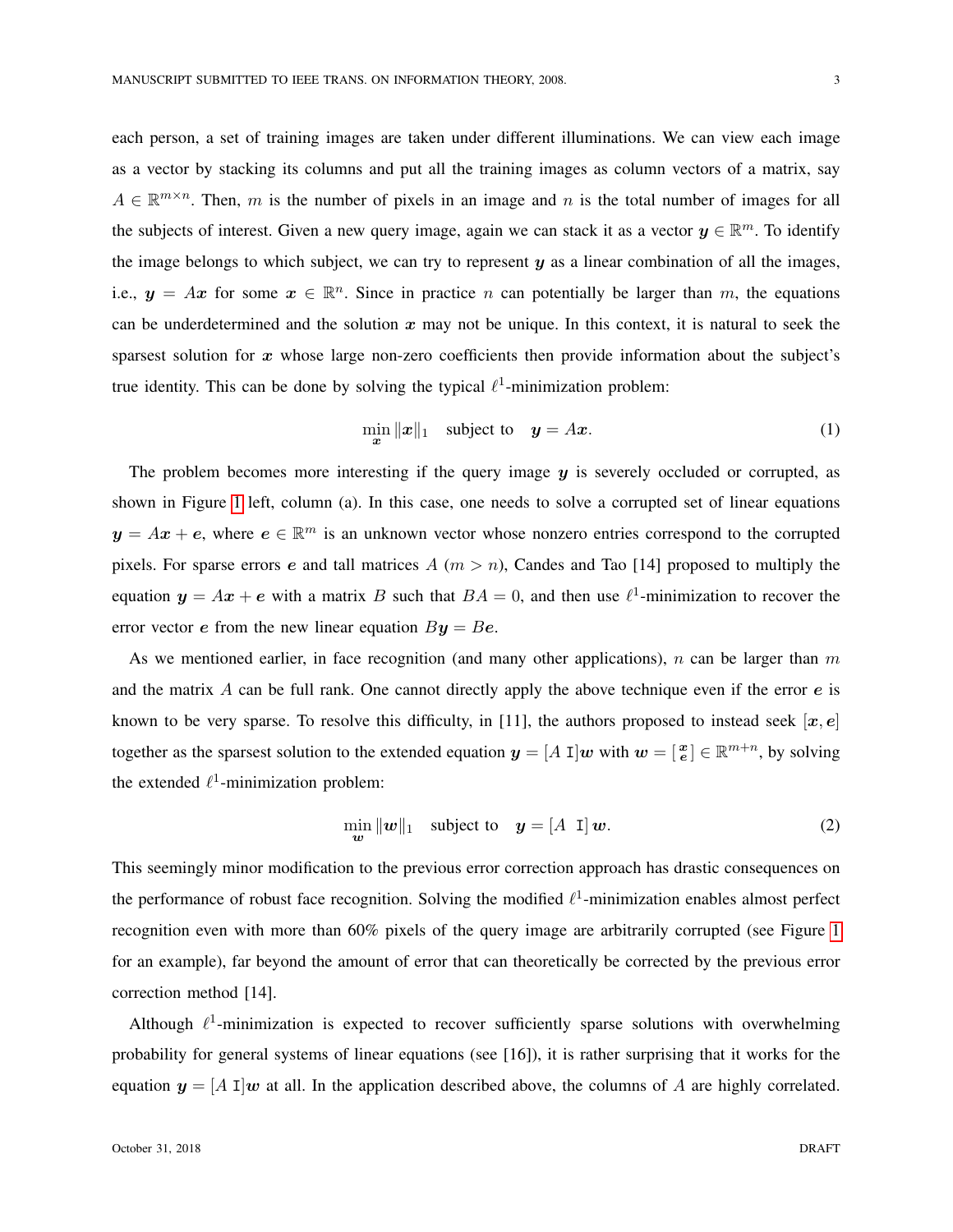each person, a set of training images are taken under different illuminations. We can view each image as a vector by stacking its columns and put all the training images as column vectors of a matrix, say  $A \in \mathbb{R}^{m \times n}$ . Then, m is the number of pixels in an image and n is the total number of images for all the subjects of interest. Given a new query image, again we can stack it as a vector  $y \in \mathbb{R}^m$ . To identify the image belongs to which subject, we can try to represent  $y$  as a linear combination of all the images, i.e.,  $y = Ax$  for some  $x \in \mathbb{R}^n$ . Since in practice n can potentially be larger than m, the equations can be underdetermined and the solution  $x$  may not be unique. In this context, it is natural to seek the sparsest solution for  $x$  whose large non-zero coefficients then provide information about the subject's true identity. This can be done by solving the typical  $\ell^1$ -minimization problem:

<span id="page-2-1"></span>
$$
\min_{\mathbf{x}} \| \mathbf{x} \|_1 \quad \text{subject to} \quad \mathbf{y} = A\mathbf{x}.\tag{1}
$$

The problem becomes more interesting if the query image  $y$  is severely occluded or corrupted, as shown in Figure [1](#page-3-0) left, column (a). In this case, one needs to solve a corrupted set of linear equations  $y = Ax + e$ , where  $e \in \mathbb{R}^m$  is an unknown vector whose nonzero entries correspond to the corrupted pixels. For sparse errors e and tall matrices  $A(m > n)$ , Candes and Tao [14] proposed to multiply the equation  $y = Ax + e$  with a matrix B such that  $BA = 0$ , and then use  $\ell^1$ -minimization to recover the error vector e from the new linear equation  $By = Be$ .

As we mentioned earlier, in face recognition (and many other applications),  $n$  can be larger than  $m$ and the matrix  $\vec{A}$  can be full rank. One cannot directly apply the above technique even if the error  $\vec{e}$  is known to be very sparse. To resolve this difficulty, in [11], the authors proposed to instead seek  $[x, e]$ together as the sparsest solution to the extended equation  $y = [A \; I]w$  with  $w = [\frac{x}{e}] \in \mathbb{R}^{m+n}$ , by solving the extended  $\ell^1$ -minimization problem:

<span id="page-2-0"></span>
$$
\min_{\mathbf{w}} \|\mathbf{w}\|_1 \quad \text{subject to} \quad \mathbf{y} = [A \ \mathbf{I}] \ \mathbf{w}. \tag{2}
$$

This seemingly minor modification to the previous error correction approach has drastic consequences on the performance of robust face recognition. Solving the modified  $\ell^1$ -minimization enables almost perfect recognition even with more than 60% pixels of the query image are arbitrarily corrupted (see Figure [1](#page-3-0) for an example), far beyond the amount of error that can theoretically be corrected by the previous error correction method [14].

Although  $\ell^1$ -minimization is expected to recover sufficiently sparse solutions with overwhelming probability for general systems of linear equations (see [16]), it is rather surprising that it works for the equation  $y = [A \, I]w$  at all. In the application described above, the columns of A are highly correlated.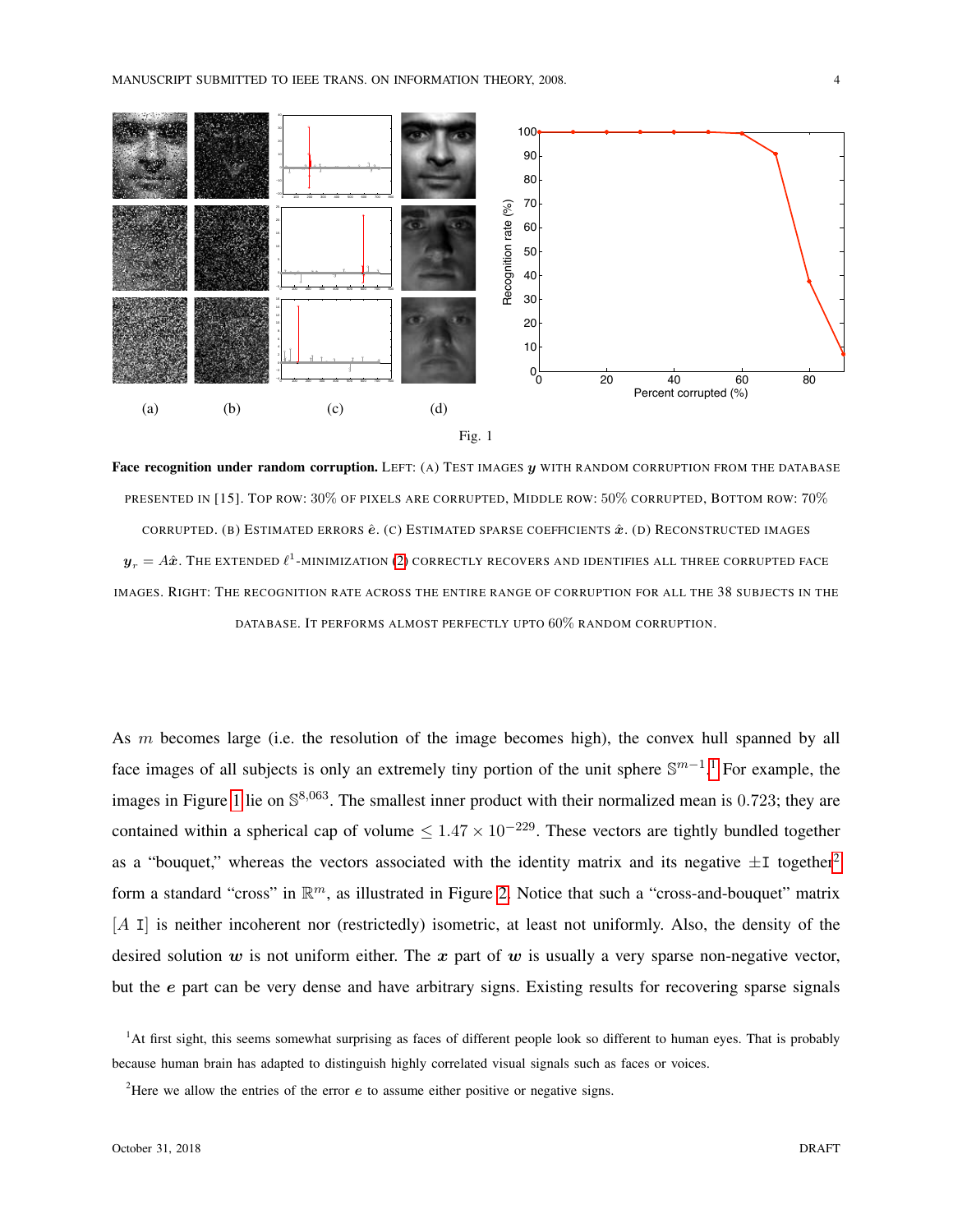



<span id="page-3-0"></span>Face recognition under random corruption. LEFT: (A) TEST IMAGES  $y$  WITH RANDOM CORRUPTION FROM THE DATABASE PRESENTED IN [15]. TOP ROW: 30% OF PIXELS ARE CORRUPTED, MIDDLE ROW: 50% CORRUPTED, BOTTOM ROW: 70% CORRUPTED. (B) ESTIMATED ERRORS  $\hat{e}$ . (C) ESTIMATED SPARSE COEFFICIENTS  $\hat{x}$ . (D) RECONSTRUCTED IMAGES  $\bm{y}_r = A \hat{\bm{x}}.$  The extended  $\ell^1$ -minimization [\(2\)](#page-2-0) correctly recovers and identifies all three corrupted face IMAGES. RIGHT: THE RECOGNITION RATE ACROSS THE ENTIRE RANGE OF CORRUPTION FOR ALL THE 38 SUBJECTS IN THE DATABASE. IT PERFORMS ALMOST PERFECTLY UPTO 60% RANDOM CORRUPTION.

As m becomes large (i.e. the resolution of the image becomes high), the convex hull spanned by all face images of all subjects is only an extremely tiny portion of the unit sphere  $\mathbb{S}^{m-1}$  $\mathbb{S}^{m-1}$  $\mathbb{S}^{m-1}$ .<sup>1</sup> For example, the images in Figure [1](#page-3-0) lie on  $\mathbb{S}^{8,063}$ . The smallest inner product with their normalized mean is 0.723; they are contained within a spherical cap of volume  $\leq 1.47 \times 10^{-229}$ . These vectors are tightly bundled together as a "bouquet," whereas the vectors associated with the identity matrix and its negative  $\pm 1$  together<sup>[2](#page-3-2)</sup> form a standard "cross" in  $\mathbb{R}^m$ , as illustrated in Figure [2.](#page-4-0) Notice that such a "cross-and-bouquet" matrix  $[A \, I]$  is neither incoherent nor (restrictedly) isometric, at least not uniformly. Also, the density of the desired solution  $w$  is not uniform either. The  $x$  part of  $w$  is usually a very sparse non-negative vector, but the e part can be very dense and have arbitrary signs. Existing results for recovering sparse signals

<span id="page-3-1"></span><sup>&</sup>lt;sup>1</sup>At first sight, this seems somewhat surprising as faces of different people look so different to human eyes. That is probably because human brain has adapted to distinguish highly correlated visual signals such as faces or voices.

<span id="page-3-2"></span><sup>&</sup>lt;sup>2</sup>Here we allow the entries of the error  $e$  to assume either positive or negative signs.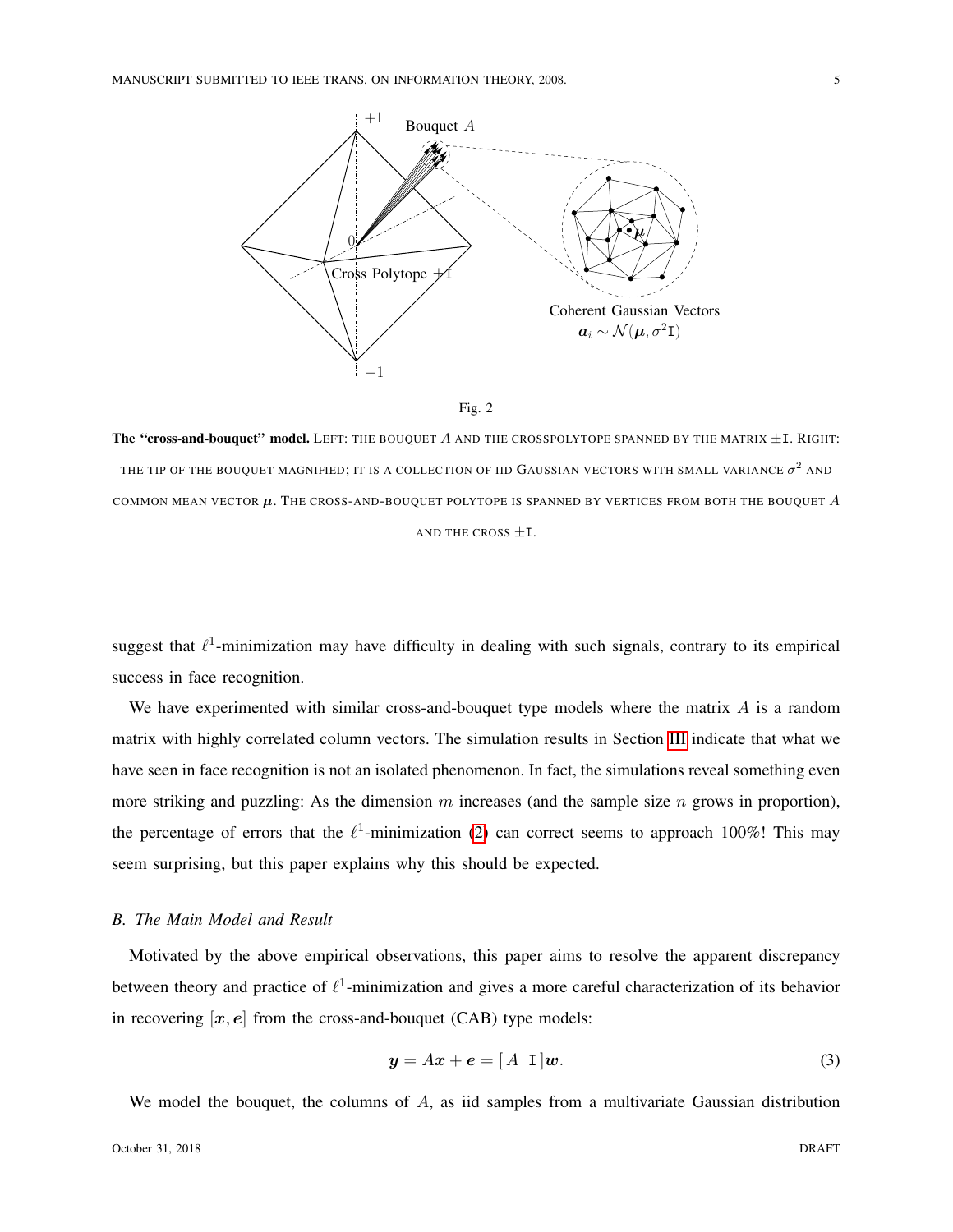



<span id="page-4-0"></span>The "cross-and-bouquet" model. LEFT: THE BOUQUET A AND THE CROSSPOLYTOPE SPANNED BY THE MATRIX  $\pm$ I. RIGHT: THE TIP OF THE BOUQUET MAGNIFIED; IT IS A COLLECTION OF IID GAUSSIAN VECTORS WITH SMALL VARIANCE  $\sigma^2$  and COMMON MEAN VECTOR  $\mu$ . The CROSS-AND-BOUQUET POLYTOPE IS SPANNED BY VERTICES FROM BOTH THE BOUQUET  $A$ AND THE CROSS  $\pm$ I.

suggest that  $\ell^1$ -minimization may have difficulty in dealing with such signals, contrary to its empirical success in face recognition.

We have experimented with similar cross-and-bouquet type models where the matrix  $A$  is a random matrix with highly correlated column vectors. The simulation results in Section [III](#page-22-0) indicate that what we have seen in face recognition is not an isolated phenomenon. In fact, the simulations reveal something even more striking and puzzling: As the dimension  $m$  increases (and the sample size  $n$  grows in proportion), the percentage of errors that the  $\ell^1$ -minimization [\(2\)](#page-2-0) can correct seems to approach 100%! This may seem surprising, but this paper explains why this should be expected.

## *B. The Main Model and Result*

Motivated by the above empirical observations, this paper aims to resolve the apparent discrepancy between theory and practice of  $\ell^1$ -minimization and gives a more careful characterization of its behavior in recovering  $[x, e]$  from the cross-and-bouquet (CAB) type models:

$$
y = Ax + e = [A \, 1]w. \tag{3}
$$

We model the bouquet, the columns of A, as iid samples from a multivariate Gaussian distribution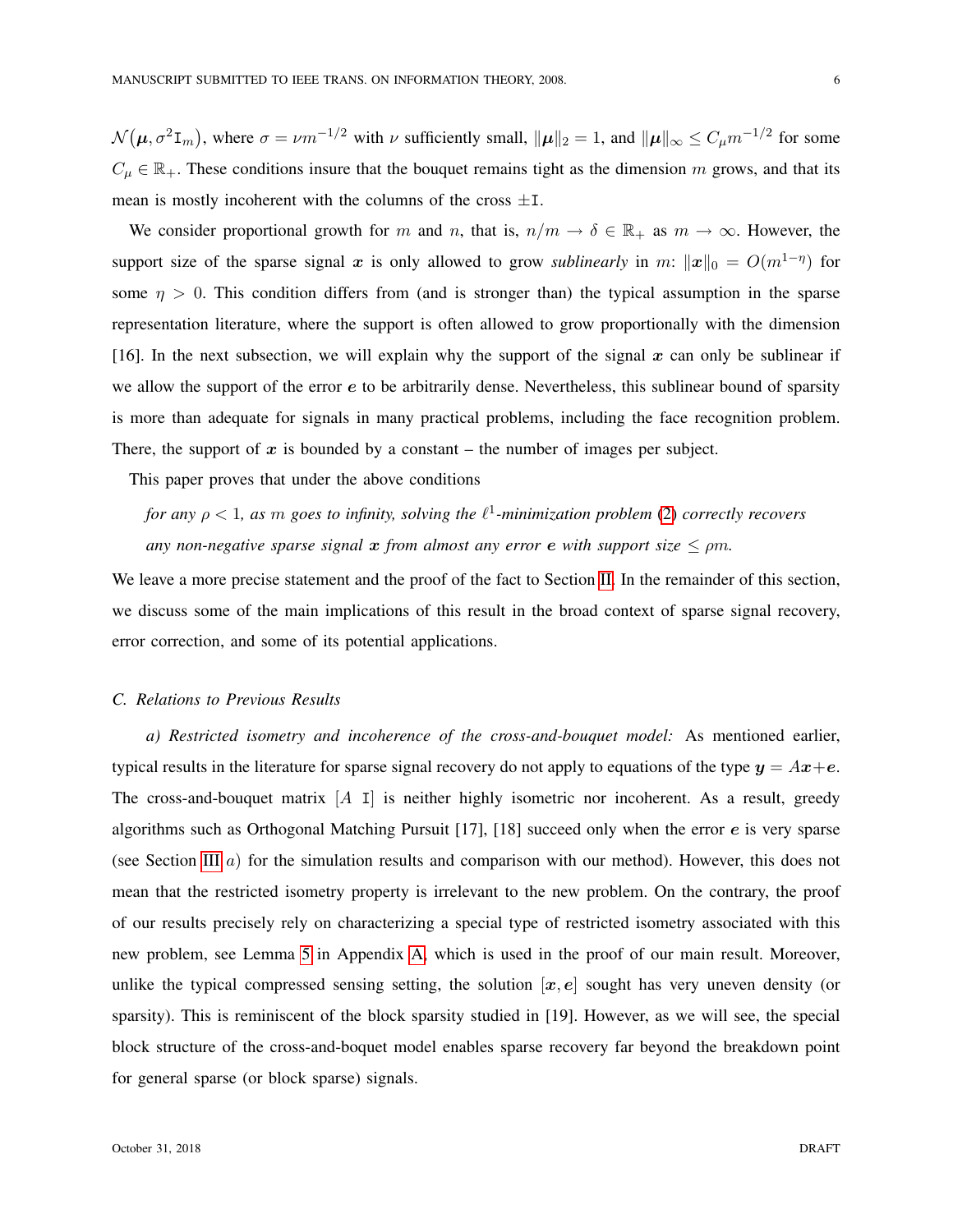$\mathcal{N}(\mu, \sigma^2 \mathbf{I}_m)$ , where  $\sigma = \nu m^{-1/2}$  with  $\nu$  sufficiently small,  $\|\mu\|_2 = 1$ , and  $\|\mu\|_{\infty} \le C_{\mu} m^{-1/2}$  for some  $C_{\mu} \in \mathbb{R}_+$ . These conditions insure that the bouquet remains tight as the dimension m grows, and that its mean is mostly incoherent with the columns of the cross  $\pm$ I.

We consider proportional growth for m and n, that is,  $n/m \to \delta \in \mathbb{R}_+$  as  $m \to \infty$ . However, the support size of the sparse signal x is only allowed to grow *sublinearly* in m:  $\|\mathbf{x}\|_0 = O(m^{1-\eta})$  for some  $\eta > 0$ . This condition differs from (and is stronger than) the typical assumption in the sparse representation literature, where the support is often allowed to grow proportionally with the dimension [16]. In the next subsection, we will explain why the support of the signal  $x$  can only be sublinear if we allow the support of the error e to be arbitrarily dense. Nevertheless, this sublinear bound of sparsity is more than adequate for signals in many practical problems, including the face recognition problem. There, the support of  $x$  is bounded by a constant – the number of images per subject.

This paper proves that under the above conditions

*for any* ρ < 1*, as* m *goes to infinity, solving the* ` 1 *-minimization problem* [\(2\)](#page-2-0) *correctly recovers any non-negative sparse signal*  $x$  *from almost any error*  $e$  *with support size*  $\leq \rho m$ *.* 

We leave a more precise statement and the proof of the fact to Section [II.](#page-8-0) In the remainder of this section, we discuss some of the main implications of this result in the broad context of sparse signal recovery, error correction, and some of its potential applications.

# *C. Relations to Previous Results*

*a) Restricted isometry and incoherence of the cross-and-bouquet model:* As mentioned earlier, typical results in the literature for sparse signal recovery do not apply to equations of the type  $y = Ax + e$ . The cross-and-bouquet matrix  $[A \, I]$  is neither highly isometric nor incoherent. As a result, greedy algorithms such as Orthogonal Matching Pursuit [17], [18] succeed only when the error e is very sparse (see Section [III](#page-22-0) a) for the simulation results and comparison with our method). However, this does not mean that the restricted isometry property is irrelevant to the new problem. On the contrary, the proof of our results precisely rely on characterizing a special type of restricted isometry associated with this new problem, see Lemma [5](#page-31-0) in Appendix [A,](#page-31-1) which is used in the proof of our main result. Moreover, unlike the typical compressed sensing setting, the solution  $[x, e]$  sought has very uneven density (or sparsity). This is reminiscent of the block sparsity studied in [19]. However, as we will see, the special block structure of the cross-and-boquet model enables sparse recovery far beyond the breakdown point for general sparse (or block sparse) signals.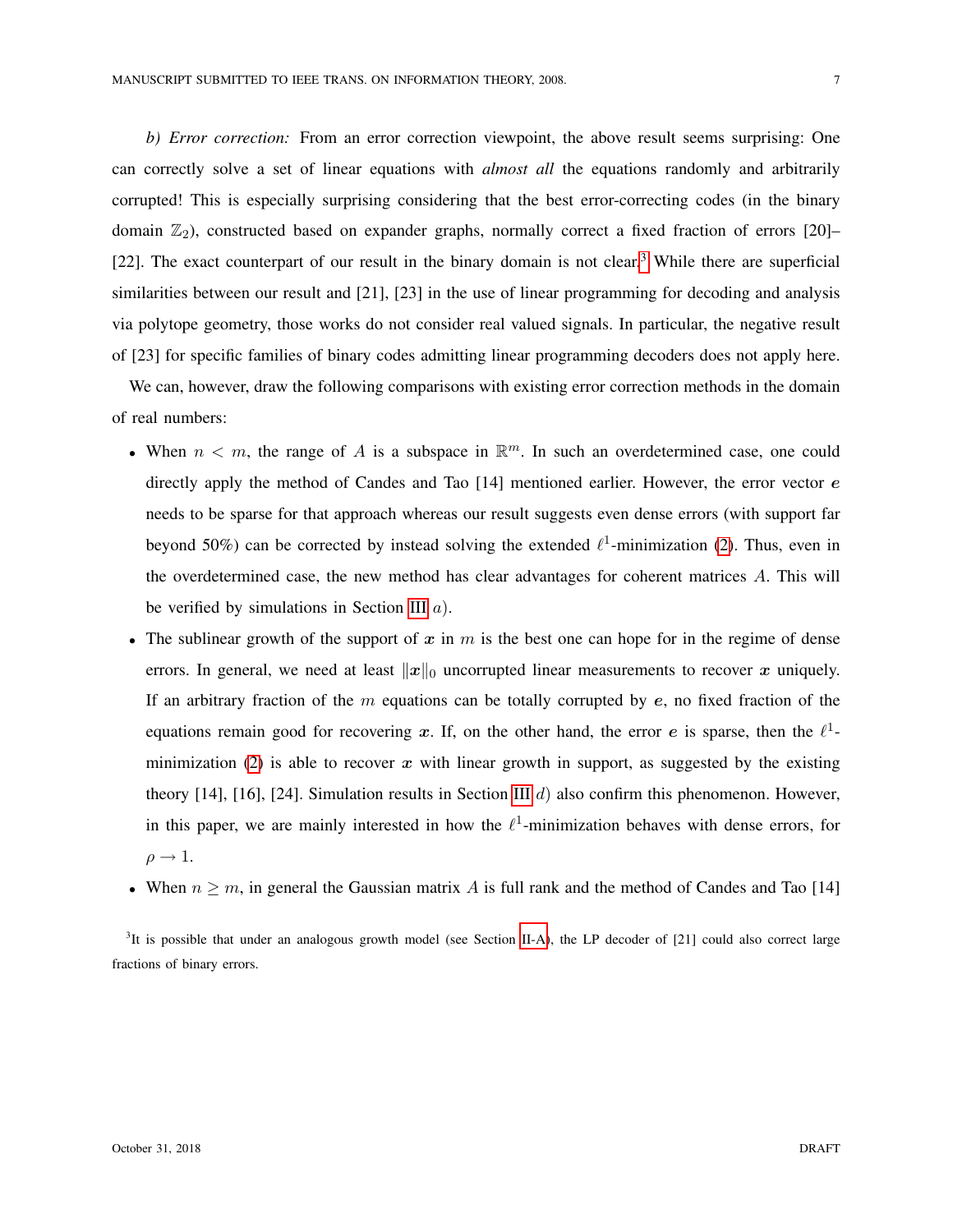*b) Error correction:* From an error correction viewpoint, the above result seems surprising: One can correctly solve a set of linear equations with *almost all* the equations randomly and arbitrarily corrupted! This is especially surprising considering that the best error-correcting codes (in the binary domain  $\mathbb{Z}_2$ ), constructed based on expander graphs, normally correct a fixed fraction of errors [20]– [22]. The exact counterpart of our result in the binary domain is not clear.<sup>[3](#page-6-0)</sup> While there are superficial similarities between our result and [21], [23] in the use of linear programming for decoding and analysis via polytope geometry, those works do not consider real valued signals. In particular, the negative result of [23] for specific families of binary codes admitting linear programming decoders does not apply here.

We can, however, draw the following comparisons with existing error correction methods in the domain of real numbers:

- When  $n < m$ , the range of A is a subspace in  $\mathbb{R}^m$ . In such an overdetermined case, one could directly apply the method of Candes and Tao  $[14]$  mentioned earlier. However, the error vector  $e$ needs to be sparse for that approach whereas our result suggests even dense errors (with support far beyond 50%) can be corrected by instead solving the extended  $\ell^1$ -minimization [\(2\)](#page-2-0). Thus, even in the overdetermined case, the new method has clear advantages for coherent matrices  $A$ . This will be verified by simulations in Section [III](#page-22-0)  $a$ ).
- The sublinear growth of the support of x in  $m$  is the best one can hope for in the regime of dense errors. In general, we need at least  $||x||_0$  uncorrupted linear measurements to recover x uniquely. If an arbitrary fraction of the  $m$  equations can be totally corrupted by  $e$ , no fixed fraction of the equations remain good for recovering x. If, on the other hand, the error e is sparse, then the  $l^1$ -minimization [\(2\)](#page-2-0) is able to recover  $x$  with linear growth in support, as suggested by the existing theory [14], [16], [24]. Simulation results in Section [III](#page-22-0)  $d$ ) also confirm this phenomenon. However, in this paper, we are mainly interested in how the  $\ell^1$ -minimization behaves with dense errors, for  $\rho \rightarrow 1$ .
- When  $n \geq m$ , in general the Gaussian matrix A is full rank and the method of Candes and Tao [14]

<span id="page-6-0"></span> ${}^{3}$ It is possible that under an analogous growth model (see Section [II-A\)](#page-9-0), the LP decoder of [21] could also correct large fractions of binary errors.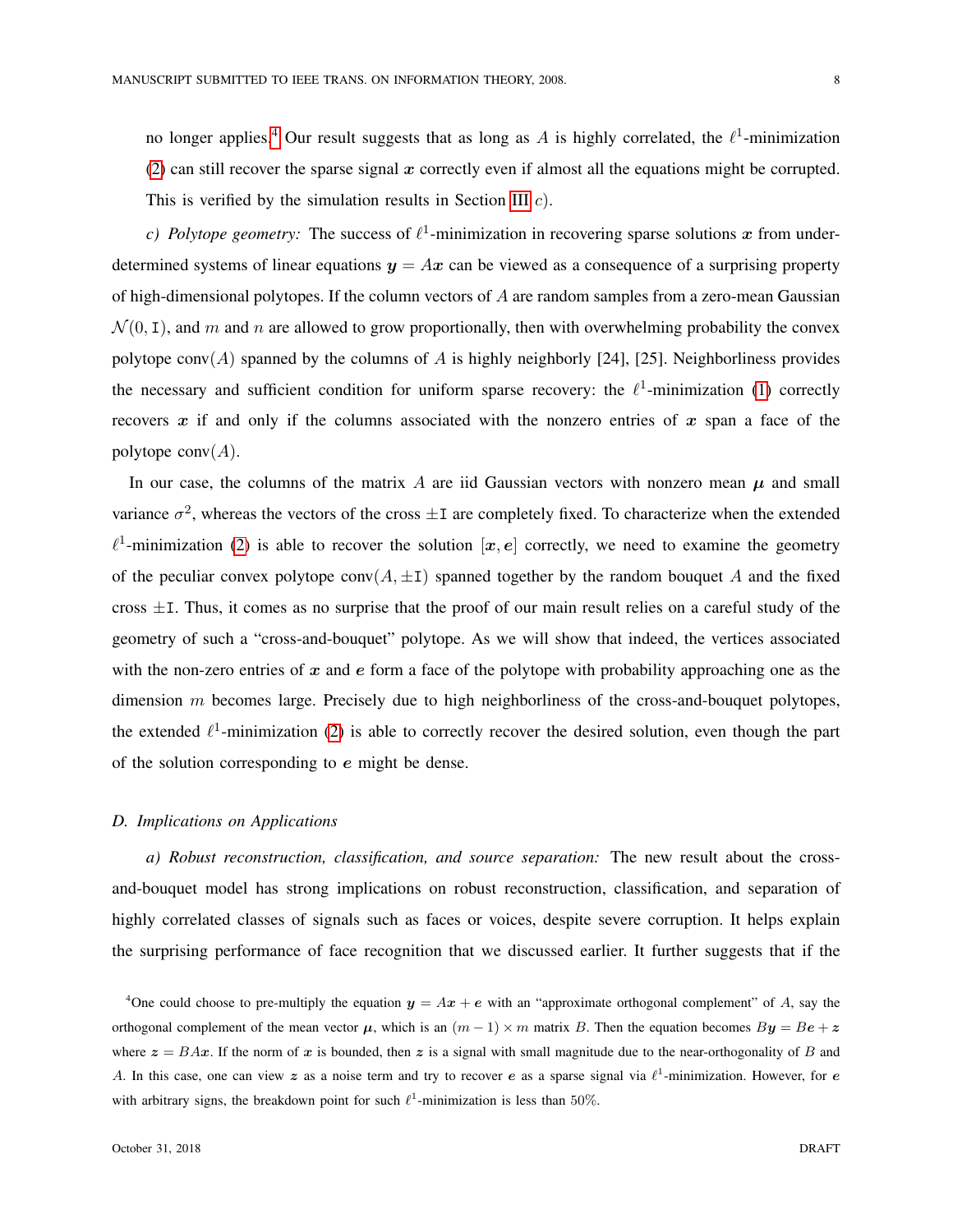no longer applies.<sup>[4](#page-7-0)</sup> Our result suggests that as long as A is highly correlated, the  $\ell^1$ -minimization [\(2\)](#page-2-0) can still recover the sparse signal  $x$  correctly even if almost all the equations might be corrupted. This is verified by the simulation results in Section [III](#page-22-0)  $c$ ).

*c)* Polytope geometry: The success of  $\ell^1$ -minimization in recovering sparse solutions x from underdetermined systems of linear equations  $y = Ax$  can be viewed as a consequence of a surprising property of high-dimensional polytopes. If the column vectors of  $A$  are random samples from a zero-mean Gaussian  $\mathcal{N}(0, \mathbf{I})$ , and m and n are allowed to grow proportionally, then with overwhelming probability the convex polytope conv $(A)$  spanned by the columns of A is highly neighborly [24], [25]. Neighborliness provides the necessary and sufficient condition for uniform sparse recovery: the  $\ell^1$ -minimization [\(1\)](#page-2-1) correctly recovers x if and only if the columns associated with the nonzero entries of x span a face of the polytope  $\text{conv}(A)$ .

In our case, the columns of the matrix A are iid Gaussian vectors with nonzero mean  $\mu$  and small variance  $\sigma^2$ , whereas the vectors of the cross  $\pm \text{I}$  are completely fixed. To characterize when the extended  $\ell^1$ -minimization [\(2\)](#page-2-0) is able to recover the solution  $[x, e]$  correctly, we need to examine the geometry of the peculiar convex polytope conv $(A, \pm I)$  spanned together by the random bouquet A and the fixed cross  $\pm$ I. Thus, it comes as no surprise that the proof of our main result relies on a careful study of the geometry of such a "cross-and-bouquet" polytope. As we will show that indeed, the vertices associated with the non-zero entries of  $x$  and  $e$  form a face of the polytope with probability approaching one as the dimension  $m$  becomes large. Precisely due to high neighborliness of the cross-and-bouquet polytopes, the extended  $\ell^1$ -minimization [\(2\)](#page-2-0) is able to correctly recover the desired solution, even though the part of the solution corresponding to e might be dense.

## *D. Implications on Applications*

*a) Robust reconstruction, classification, and source separation:* The new result about the crossand-bouquet model has strong implications on robust reconstruction, classification, and separation of highly correlated classes of signals such as faces or voices, despite severe corruption. It helps explain the surprising performance of face recognition that we discussed earlier. It further suggests that if the

<span id="page-7-0"></span><sup>&</sup>lt;sup>4</sup>One could choose to pre-multiply the equation  $y = Ax + e$  with an "approximate orthogonal complement" of A, say the orthogonal complement of the mean vector  $\mu$ , which is an  $(m - 1) \times m$  matrix B. Then the equation becomes  $By = Be + z$ where  $z = BAx$ . If the norm of x is bounded, then z is a signal with small magnitude due to the near-orthogonality of B and A. In this case, one can view z as a noise term and try to recover e as a sparse signal via  $\ell^1$ -minimization. However, for e with arbitrary signs, the breakdown point for such  $\ell^1$ -minimization is less than 50%.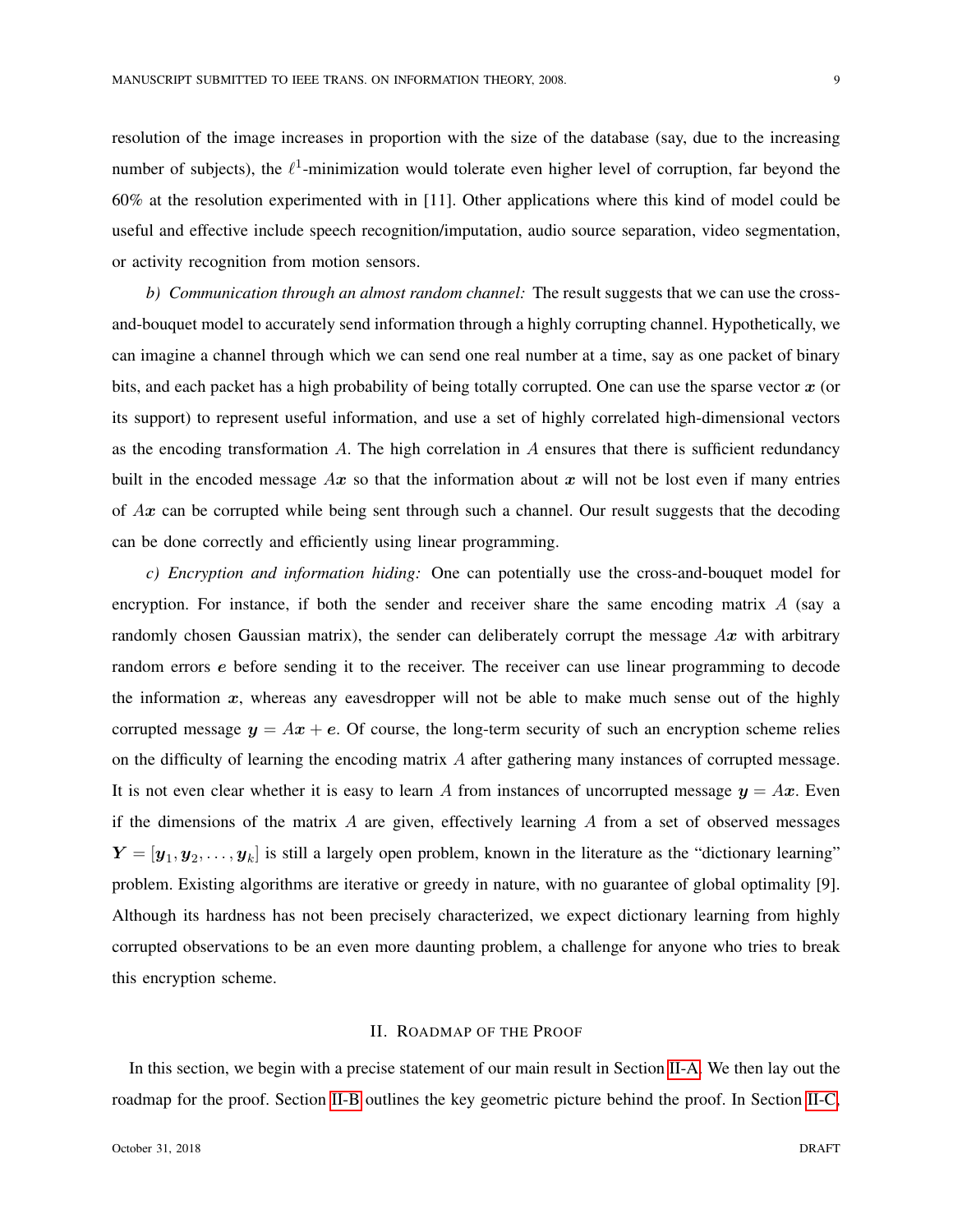resolution of the image increases in proportion with the size of the database (say, due to the increasing number of subjects), the  $\ell^1$ -minimization would tolerate even higher level of corruption, far beyond the 60% at the resolution experimented with in [11]. Other applications where this kind of model could be useful and effective include speech recognition/imputation, audio source separation, video segmentation, or activity recognition from motion sensors.

*b) Communication through an almost random channel:* The result suggests that we can use the crossand-bouquet model to accurately send information through a highly corrupting channel. Hypothetically, we can imagine a channel through which we can send one real number at a time, say as one packet of binary bits, and each packet has a high probability of being totally corrupted. One can use the sparse vector  $x$  (or its support) to represent useful information, and use a set of highly correlated high-dimensional vectors as the encoding transformation  $A$ . The high correlation in  $A$  ensures that there is sufficient redundancy built in the encoded message  $Ax$  so that the information about x will not be lost even if many entries of  $Ax$  can be corrupted while being sent through such a channel. Our result suggests that the decoding can be done correctly and efficiently using linear programming.

*c) Encryption and information hiding:* One can potentially use the cross-and-bouquet model for encryption. For instance, if both the sender and receiver share the same encoding matrix  $A$  (say a randomly chosen Gaussian matrix), the sender can deliberately corrupt the message  $Ax$  with arbitrary random errors e before sending it to the receiver. The receiver can use linear programming to decode the information  $x$ , whereas any eavesdropper will not be able to make much sense out of the highly corrupted message  $y = Ax + e$ . Of course, the long-term security of such an encryption scheme relies on the difficulty of learning the encoding matrix A after gathering many instances of corrupted message. It is not even clear whether it is easy to learn A from instances of uncorrupted message  $y = Ax$ . Even if the dimensions of the matrix  $\tilde{A}$  are given, effectively learning  $\tilde{A}$  from a set of observed messages  $Y = [\mathbf{y}_1, \mathbf{y}_2, \dots, \mathbf{y}_k]$  is still a largely open problem, known in the literature as the "dictionary learning" problem. Existing algorithms are iterative or greedy in nature, with no guarantee of global optimality [9]. Although its hardness has not been precisely characterized, we expect dictionary learning from highly corrupted observations to be an even more daunting problem, a challenge for anyone who tries to break this encryption scheme.

# II. ROADMAP OF THE PROOF

<span id="page-8-0"></span>In this section, we begin with a precise statement of our main result in Section [II-A.](#page-9-0) We then lay out the roadmap for the proof. Section [II-B](#page-10-0) outlines the key geometric picture behind the proof. In Section [II-C,](#page-12-0)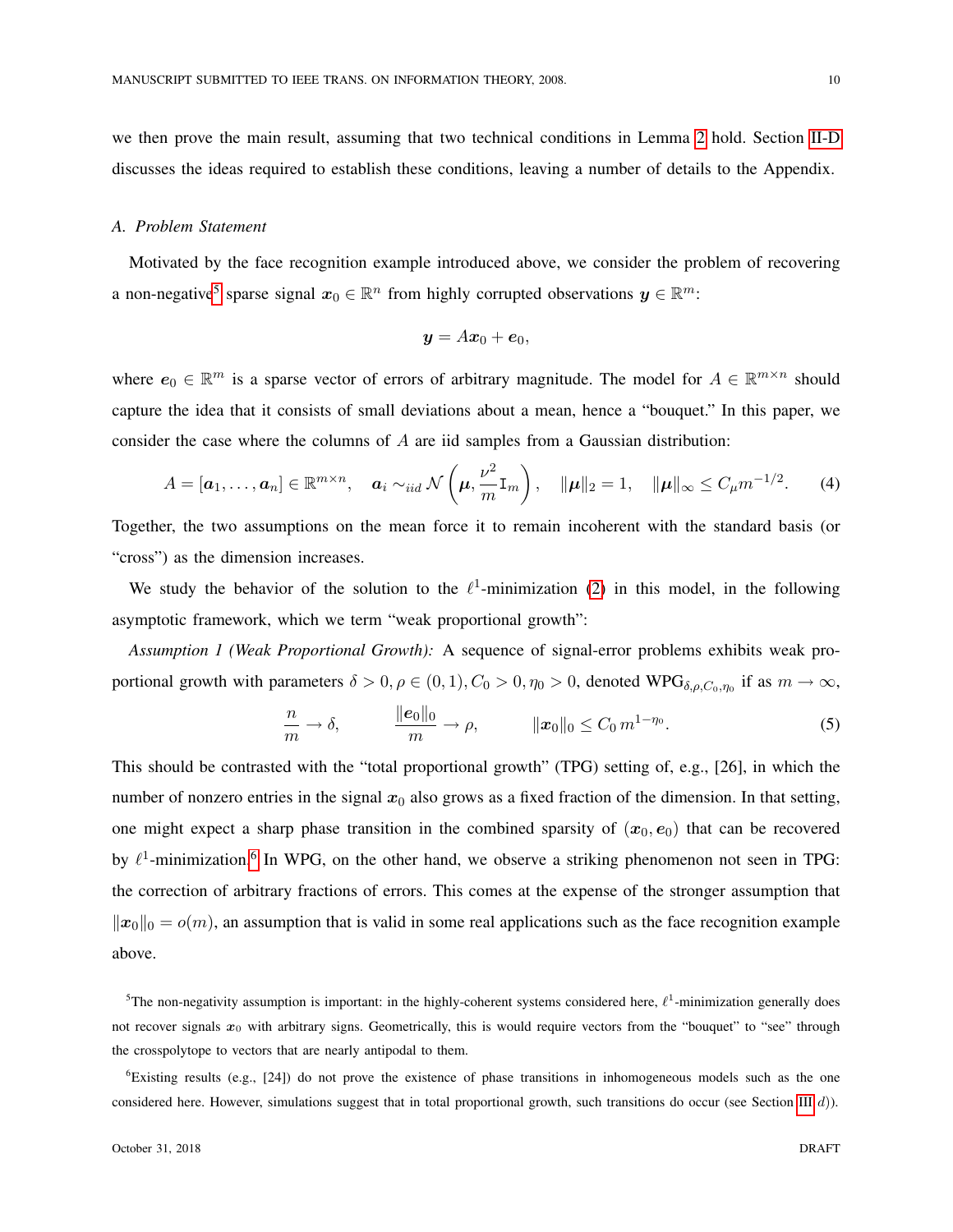we then prove the main result, assuming that two technical conditions in Lemma [2](#page-13-0) hold. Section [II-D](#page-15-0) discusses the ideas required to establish these conditions, leaving a number of details to the Appendix.

# <span id="page-9-0"></span>*A. Problem Statement*

Motivated by the face recognition example introduced above, we consider the problem of recovering a non-negative<sup>[5](#page-9-1)</sup> sparse signal  $x_0 \in \mathbb{R}^n$  from highly corrupted observations  $y \in \mathbb{R}^m$ :

$$
\boldsymbol{y} = A\boldsymbol{x}_0 + \boldsymbol{e}_0,
$$

where  $e_0 \in \mathbb{R}^m$  is a sparse vector of errors of arbitrary magnitude. The model for  $A \in \mathbb{R}^{m \times n}$  should capture the idea that it consists of small deviations about a mean, hence a "bouquet." In this paper, we consider the case where the columns of A are iid samples from a Gaussian distribution:

<span id="page-9-3"></span>
$$
A = [\boldsymbol{a}_1, \ldots, \boldsymbol{a}_n] \in \mathbb{R}^{m \times n}, \quad \boldsymbol{a}_i \sim_{iid} \mathcal{N}\left(\boldsymbol{\mu}, \frac{\nu^2}{m} \mathbf{I}_m\right), \quad \|\boldsymbol{\mu}\|_2 = 1, \quad \|\boldsymbol{\mu}\|_{\infty} \leq C_{\mu} m^{-1/2}.
$$
 (4)

Together, the two assumptions on the mean force it to remain incoherent with the standard basis (or "cross") as the dimension increases.

We study the behavior of the solution to the  $\ell^1$ -minimization [\(2\)](#page-2-0) in this model, in the following asymptotic framework, which we term "weak proportional growth":

*Assumption 1 (Weak Proportional Growth):* A sequence of signal-error problems exhibits weak proportional growth with parameters  $\delta > 0, \rho \in (0, 1), C_0 > 0, \eta_0 > 0$ , denoted WPG $_{\delta, \rho, C_0, \eta_0}$  if as  $m \to \infty$ ,

$$
\frac{n}{m} \to \delta, \qquad \frac{\|e_0\|_0}{m} \to \rho, \qquad \qquad \|x_0\|_0 \le C_0 m^{1-\eta_0}.
$$
\n(5)

This should be contrasted with the "total proportional growth" (TPG) setting of, e.g., [26], in which the number of nonzero entries in the signal  $x_0$  also grows as a fixed fraction of the dimension. In that setting, one might expect a sharp phase transition in the combined sparsity of  $(x_0, e_0)$  that can be recovered by  $\ell^1$ -minimization.<sup>[6](#page-9-2)</sup> In WPG, on the other hand, we observe a striking phenomenon not seen in TPG: the correction of arbitrary fractions of errors. This comes at the expense of the stronger assumption that  $||x_0||_0 = o(m)$ , an assumption that is valid in some real applications such as the face recognition example above.

<span id="page-9-1"></span><sup>5</sup>The non-negativity assumption is important: in the highly-coherent systems considered here,  $\ell^1$ -minimization generally does not recover signals  $x_0$  with arbitrary signs. Geometrically, this is would require vectors from the "bouquet" to "see" through the crosspolytope to vectors that are nearly antipodal to them.

<span id="page-9-2"></span> $6$ Existing results (e.g., [24]) do not prove the existence of phase transitions in inhomogeneous models such as the one considered here. However, simulations suggest that in total proportional growth, such transitions do occur (see Section [III](#page-22-0) d)).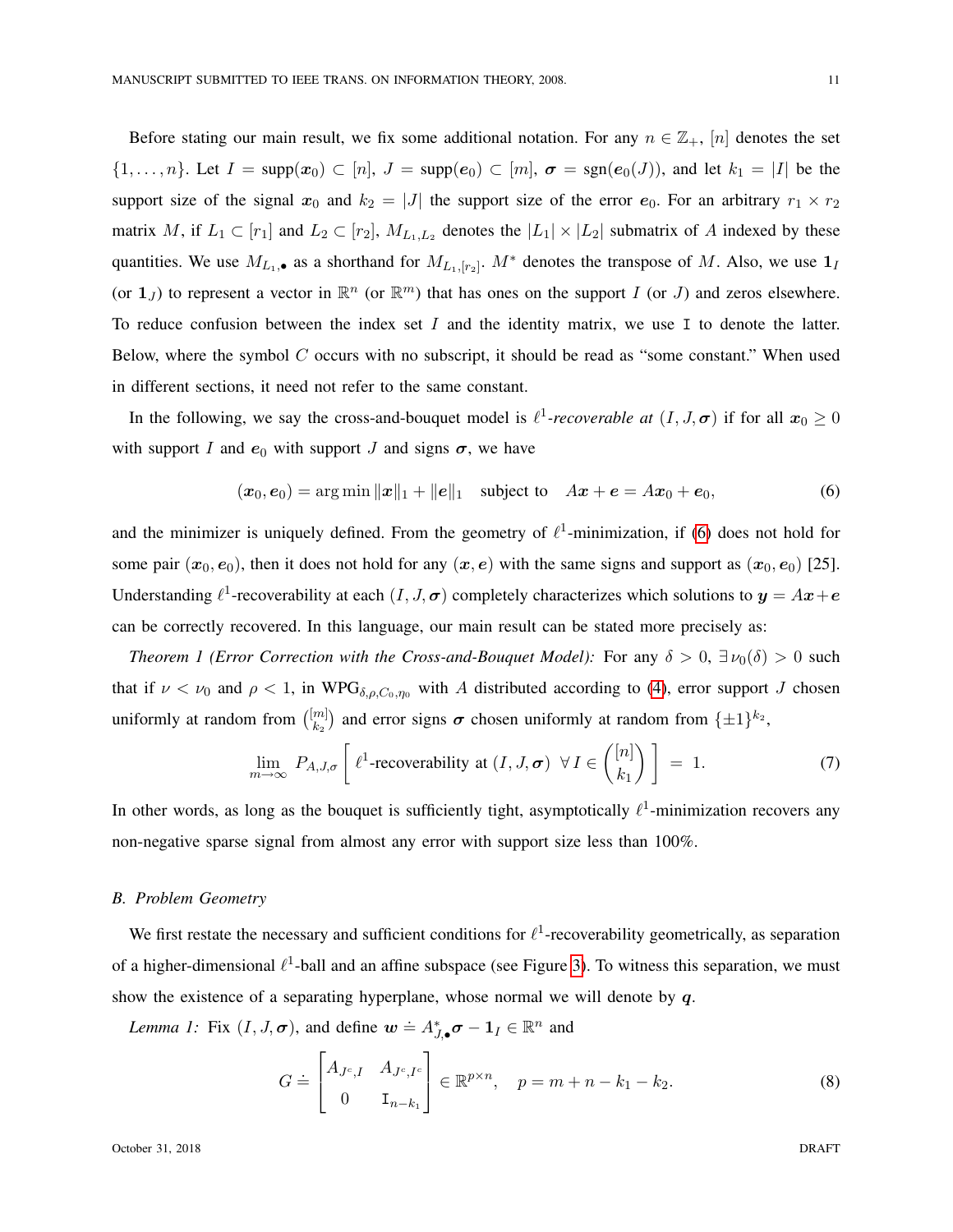Before stating our main result, we fix some additional notation. For any  $n \in \mathbb{Z}_+$ ,  $[n]$  denotes the set  $\{1,\ldots,n\}$ . Let  $I = \text{supp}(\mathbf{x}_0) \subset [n], J = \text{supp}(\mathbf{e}_0) \subset [m], \mathbf{\sigma} = \text{sgn}(\mathbf{e}_0(J))$ , and let  $k_1 = |I|$  be the support size of the signal  $x_0$  and  $k_2 = |J|$  the support size of the error  $e_0$ . For an arbitrary  $r_1 \times r_2$ matrix M, if  $L_1 \subset [r_1]$  and  $L_2 \subset [r_2]$ ,  $M_{L_1,L_2}$  denotes the  $|L_1| \times |L_2|$  submatrix of A indexed by these quantities. We use  $M_{L_1,\bullet}$  as a shorthand for  $M_{L_1,[r_2]}$ .  $M^*$  denotes the transpose of M. Also, we use  $\mathbf{1}_I$ (or  $1_J$ ) to represent a vector in  $\mathbb{R}^n$  (or  $\mathbb{R}^m$ ) that has ones on the support I (or J) and zeros elsewhere. To reduce confusion between the index set  $I$  and the identity matrix, we use  $I$  to denote the latter. Below, where the symbol  $C$  occurs with no subscript, it should be read as "some constant." When used in different sections, it need not refer to the same constant.

In the following, we say the cross-and-bouquet model is  $\ell^1$ -recoverable at  $(I, J, \sigma)$  if for all  $x_0 \ge 0$ with support I and  $e_0$  with support J and signs  $\sigma$ , we have

<span id="page-10-1"></span>
$$
(\bm{x}_0, \bm{e}_0) = \arg \min ||\bm{x}||_1 + ||\bm{e}||_1 \quad \text{subject to} \quad A\bm{x} + \bm{e} = A\bm{x}_0 + \bm{e}_0,\tag{6}
$$

and the minimizer is uniquely defined. From the geometry of  $\ell^1$ -minimization, if [\(6\)](#page-10-1) does not hold for some pair  $(x_0, e_0)$ , then it does not hold for any  $(x, e)$  with the same signs and support as  $(x_0, e_0)$  [25]. Understanding  $\ell^1$ -recoverability at each  $(I, J, \sigma)$  completely characterizes which solutions to  $y = Ax + e$ can be correctly recovered. In this language, our main result can be stated more precisely as:

*Theorem 1 (Error Correction with the Cross-and-Bouquet Model):* For any  $\delta > 0$ ,  $\exists \nu_0(\delta) > 0$  such that if  $\nu < \nu_0$  and  $\rho < 1$ , in WPG<sub>δ, p, C<sub>0</sub>,  $\eta_0$  with A distributed according to [\(4\)](#page-9-3), error support J chosen</sub> uniformly at random from  $\binom{[m]}{k_0}$  $\binom{m}{k_2}$  and error signs  $\sigma$  chosen uniformly at random from  $\{\pm 1\}^{k_2}$ ,

<span id="page-10-4"></span>
$$
\lim_{m \to \infty} P_{A,J,\sigma} \left[ \ell^1\text{-recoverability at } (I,J,\sigma) \ \forall I \in \binom{[n]}{k_1} \right] = 1. \tag{7}
$$

In other words, as long as the bouquet is sufficiently tight, asymptotically  $\ell^1$ -minimization recovers any non-negative sparse signal from almost any error with support size less than 100%.

# <span id="page-10-0"></span>*B. Problem Geometry*

We first restate the necessary and sufficient conditions for  $\ell^1$ -recoverability geometrically, as separation of a higher-dimensional  $\ell^1$ -ball and an affine subspace (see Figure [3\)](#page-12-1). To witness this separation, we must show the existence of a separating hyperplane, whose normal we will denote by  $q$ .

<span id="page-10-2"></span>*Lemma 1:* Fix  $(I, J, \sigma)$ , and define  $\mathbf{w} \doteq A_{J, \bullet}^* \sigma - \mathbf{1}_I \in \mathbb{R}^n$  and

<span id="page-10-3"></span>
$$
G = \begin{bmatrix} A_{J^c, I} & A_{J^c, I^c} \\ 0 & \mathbf{I}_{n-k_1} \end{bmatrix} \in \mathbb{R}^{p \times n}, \quad p = m + n - k_1 - k_2.
$$
 (8)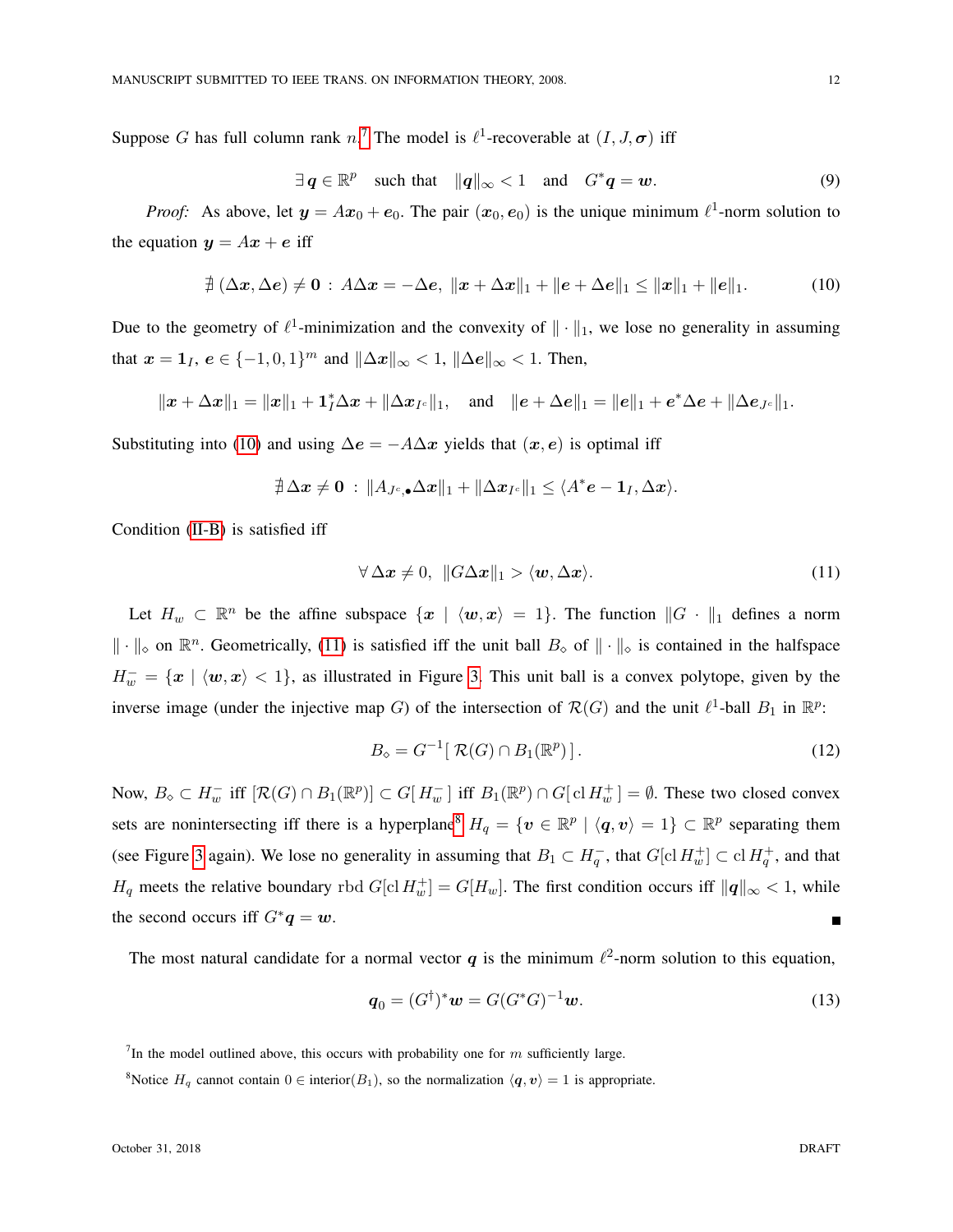Suppose G has full column rank n.<sup>[7](#page-11-0)</sup> The model is  $\ell^1$ -recoverable at  $(I, J, \sigma)$  iff

$$
\exists q \in \mathbb{R}^p \quad \text{such that} \quad \|q\|_{\infty} < 1 \quad \text{and} \quad G^*q = w. \tag{9}
$$

*Proof:* As above, let  $y = Ax_0 + e_0$ . The pair  $(x_0, e_0)$  is the unique minimum  $\ell^1$ -norm solution to the equation  $y = Ax + e$  iff

<span id="page-11-1"></span>
$$
\nexists (\Delta x, \Delta e) \neq 0 : A\Delta x = -\Delta e, \ \|x + \Delta x\|_1 + \|e + \Delta e\|_1 \le \|x\|_1 + \|e\|_1. \tag{10}
$$

Due to the geometry of  $\ell^1$ -minimization and the convexity of  $\|\cdot\|_1$ , we lose no generality in assuming that  $x = 1$ <sub>I</sub>,  $e \in \{-1, 0, 1\}^m$  and  $\|\Delta x\|_{\infty} < 1$ ,  $\|\Delta e\|_{\infty} < 1$ . Then,

$$
||x + \Delta x||_1 = ||x||_1 + \mathbf{1}_I^* \Delta x + ||\Delta x_{I^c}||_1
$$
, and  $||e + \Delta e||_1 = ||e||_1 + e^* \Delta e + ||\Delta e_{J^c}||_1$ .

Substituting into [\(10\)](#page-11-1) and using  $\Delta e = -A\Delta x$  yields that  $(x, e)$  is optimal iff

$$
\nexists \Delta x \neq \mathbf{0} : \|A_{J^c, \bullet} \Delta x\|_1 + \|\Delta x_{I^c}\|_1 \leq \langle A^* e - \mathbf{1}_I, \Delta x \rangle.
$$

Condition [\(II-B\)](#page-11-1) is satisfied iff

<span id="page-11-2"></span>
$$
\forall \Delta x \neq 0, \quad \|G\Delta x\|_1 > \langle w, \Delta x \rangle. \tag{11}
$$

Let  $H_w \subset \mathbb{R}^n$  be the affine subspace  $\{x \mid \langle w, x \rangle = 1\}$ . The function  $||G||_1$  defines a norm  $\|\cdot\|_{\infty}$  on  $\mathbb{R}^n$ . Geometrically, [\(11\)](#page-11-2) is satisfied iff the unit ball  $B_{\infty}$  of  $\|\cdot\|_{\infty}$  is contained in the halfspace  $H_w^- = \{x \mid \langle w, x \rangle < 1\}$ , as illustrated in Figure [3.](#page-12-1) This unit ball is a convex polytope, given by the inverse image (under the injective map G) of the intersection of  $\mathcal{R}(G)$  and the unit  $\ell^1$ -ball  $B_1$  in  $\mathbb{R}^p$ :

$$
B_{\diamond} = G^{-1} [\mathcal{R}(G) \cap B_1(\mathbb{R}^p)]. \tag{12}
$$

Now,  $B_{\diamond} \subset H_w^-$  iff  $[\mathcal{R}(G) \cap B_1(\mathbb{R}^p)] \subset G[H_w^-]$  iff  $B_1(\mathbb{R}^p) \cap G[\text{cl } H_w^+] = \emptyset$ . These two closed convex sets are nonintersecting iff there is a hyperplane<sup>[8](#page-11-3)</sup>  $H_q = \{ v \in \mathbb{R}^p \mid \langle q, v \rangle = 1 \} \subset \mathbb{R}^p$  separating them (see Figure [3](#page-12-1) again). We lose no generality in assuming that  $B_1 \subset H_q^-$ , that  $G[\text{cl } H_w^+] \subset \text{cl } H_q^+$ , and that  $H_q$  meets the relative boundary rbd  $G[\text{cl } H_w^+] = G[H_w]$ . The first condition occurs iff  $||q||_{\infty} < 1$ , while the second occurs iff  $G^*q = w$ . П

The most natural candidate for a normal vector q is the minimum  $\ell^2$ -norm solution to this equation,

$$
\boldsymbol{q}_0 = (G^{\dagger})^* \boldsymbol{w} = G(G^* G)^{-1} \boldsymbol{w}.
$$
\n(13)

<span id="page-11-0"></span><sup>7</sup>In the model outlined above, this occurs with probability one for m sufficiently large.

<span id="page-11-3"></span><sup>8</sup>Notice  $H_q$  cannot contain  $0 \in$  interior( $B_1$ ), so the normalization  $\langle q, v \rangle = 1$  is appropriate.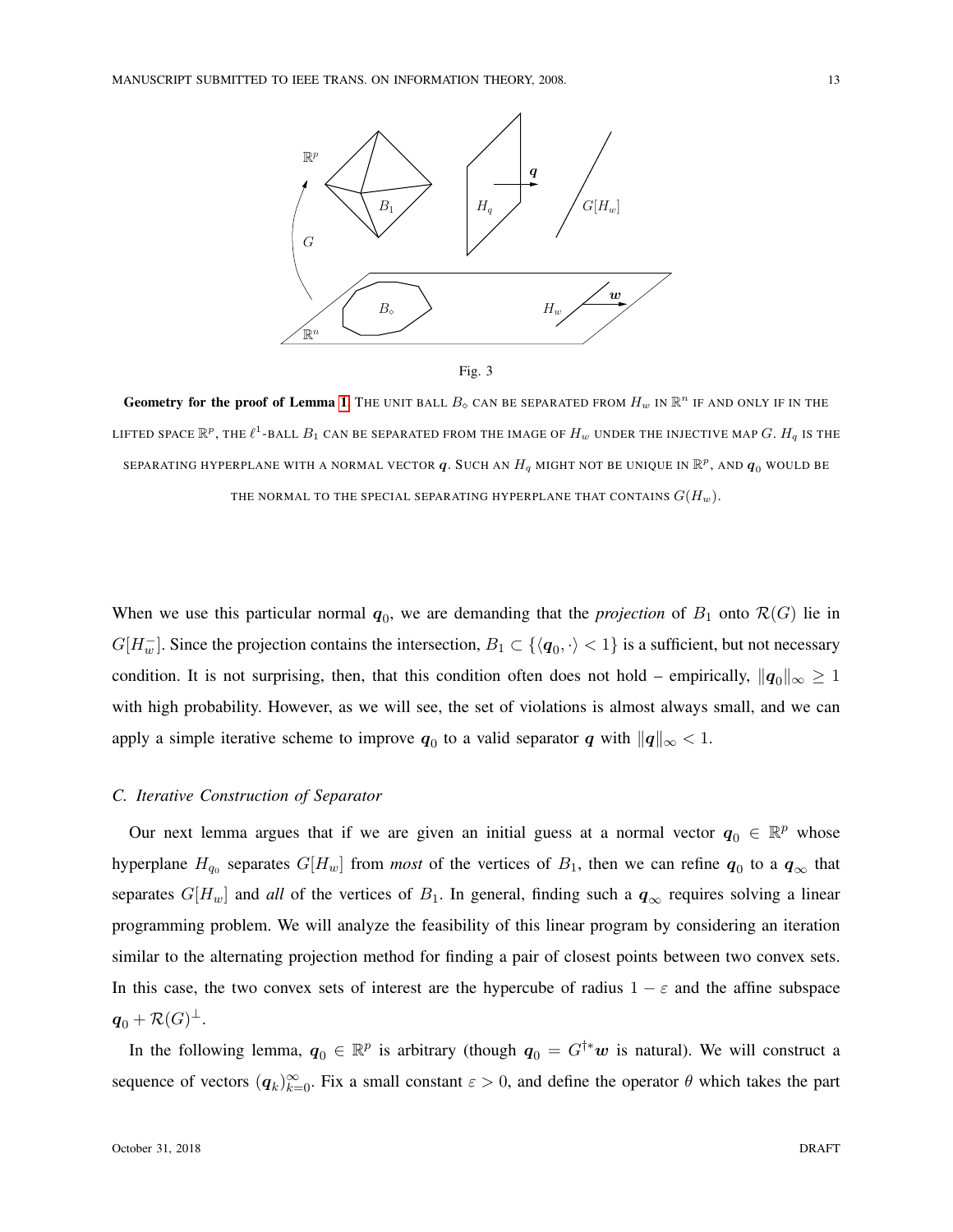

<span id="page-12-1"></span>Geometry for the proof of Lemma [1.](#page-10-2) The UNIT BALL  $B_\diamond$  can be separated from  $H_w$  in  $\mathbb{R}^n$  if and only if in the LIFTED SPACE  $\R^p$ , the  $\ell^1$ -ball  $B_1$  can be separated from the image of  $H_w$  under the injective map  $G.$   $H_q$  is the SEPARATING HYPERPLANE WITH A NORMAL VECTOR  $\bm{q}.$  Such an  $H_q$  might not be unique in  $\mathbb{R}^p,$  and  $\bm{q}_0$  would be THE NORMAL TO THE SPECIAL SEPARATING HYPERPLANE THAT CONTAINS  $G(H_w)$ .

When we use this particular normal  $q_0$ , we are demanding that the *projection* of  $B_1$  onto  $\mathcal{R}(G)$  lie in  $G[H_w^-]$ . Since the projection contains the intersection,  $B_1 \subset \{\langle q_0, \cdot \rangle < 1\}$  is a sufficient, but not necessary condition. It is not surprising, then, that this condition often does not hold – empirically,  $||q_0||_{\infty} \ge 1$ with high probability. However, as we will see, the set of violations is almost always small, and we can apply a simple iterative scheme to improve  $q_0$  to a valid separator q with  $||q||_{\infty} < 1$ .

# <span id="page-12-0"></span>*C. Iterative Construction of Separator*

Our next lemma argues that if we are given an initial guess at a normal vector  $q_0 \in \mathbb{R}^p$  whose hyperplane  $H_{q_0}$  separates  $G[H_w]$  from *most* of the vertices of  $B_1$ , then we can refine  $\bm{q}_0$  to a  $\bm{q}_{\infty}$  that separates  $G[H_w]$  and *all* of the vertices of  $B_1$ . In general, finding such a  $q_\infty$  requires solving a linear programming problem. We will analyze the feasibility of this linear program by considering an iteration similar to the alternating projection method for finding a pair of closest points between two convex sets. In this case, the two convex sets of interest are the hypercube of radius  $1 - \varepsilon$  and the affine subspace  $\boldsymbol{q}_0 + \mathcal{R}(G)^\perp.$ 

In the following lemma,  $q_0 \in \mathbb{R}^p$  is arbitrary (though  $q_0 = G^{\dagger *}w$  is natural). We will construct a sequence of vectors  $(q_k)_{k=0}^{\infty}$ . Fix a small constant  $\varepsilon > 0$ , and define the operator  $\theta$  which takes the part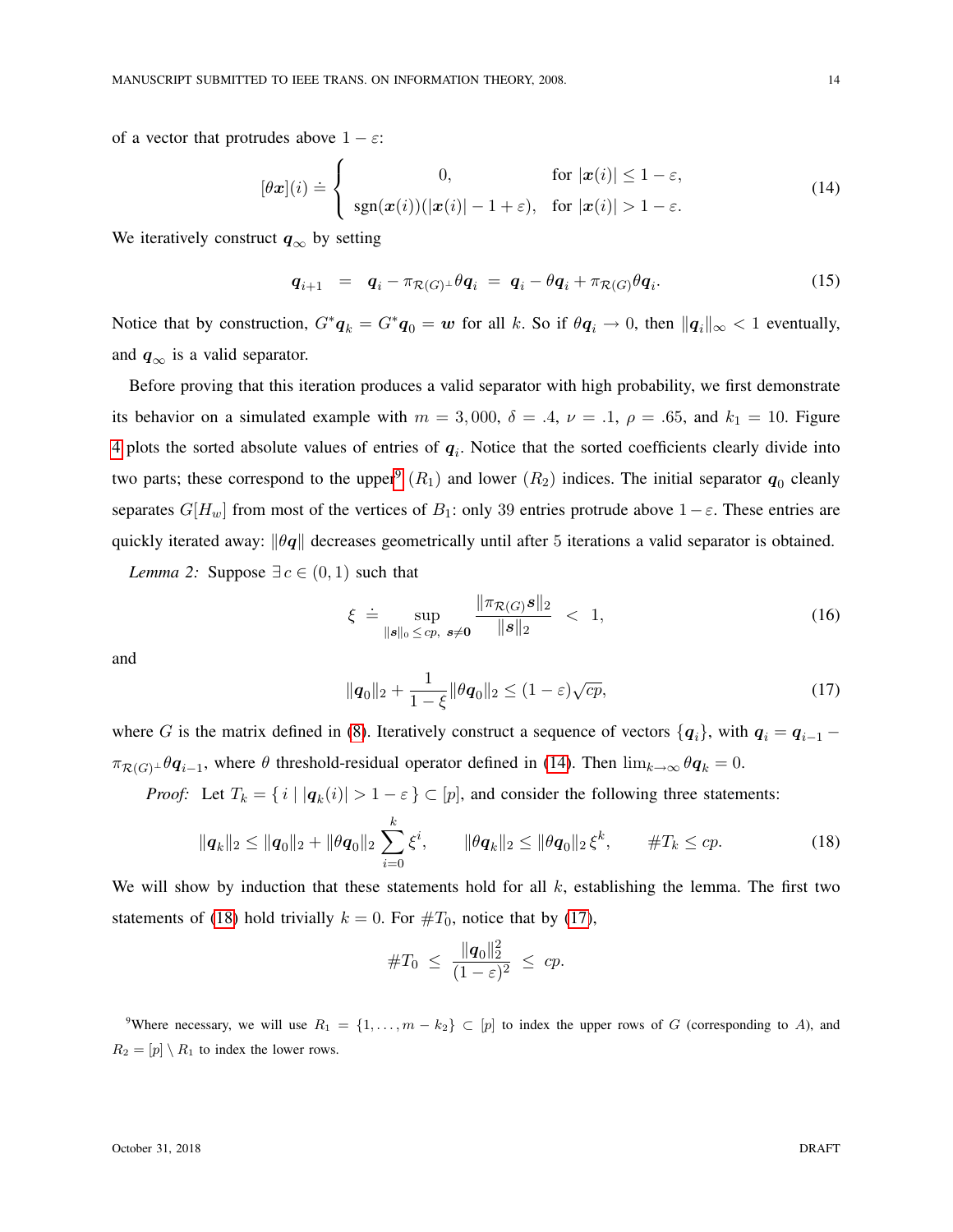of a vector that protrudes above  $1 - \varepsilon$ :

<span id="page-13-2"></span>
$$
[\theta \mathbf{x}](i) \doteq \begin{cases} 0, & \text{for } |\mathbf{x}(i)| \le 1 - \varepsilon, \\ \text{sgn}(\mathbf{x}(i))(|\mathbf{x}(i)| - 1 + \varepsilon), & \text{for } |\mathbf{x}(i)| > 1 - \varepsilon. \end{cases} \tag{14}
$$

We iteratively construct  $q_{\infty}$  by setting

$$
\boldsymbol{q}_{i+1} = \boldsymbol{q}_i - \pi_{\mathcal{R}(G)^{\perp}} \theta \boldsymbol{q}_i = \boldsymbol{q}_i - \theta \boldsymbol{q}_i + \pi_{\mathcal{R}(G)} \theta \boldsymbol{q}_i. \tag{15}
$$

Notice that by construction,  $G^*q_k = G^*q_0 = w$  for all k. So if  $\theta q_i \to 0$ , then  $||q_i||_{\infty} < 1$  eventually, and  $q_{\infty}$  is a valid separator.

Before proving that this iteration produces a valid separator with high probability, we first demonstrate its behavior on a simulated example with  $m = 3,000$ ,  $\delta = .4$ ,  $\nu = .1$ ,  $\rho = .65$ , and  $k_1 = 10$ . Figure [4](#page-14-0) plots the sorted absolute values of entries of  $q_i$ . Notice that the sorted coefficients clearly divide into two parts; these correspond to the upper<sup>[9](#page-13-1)</sup>  $(R_1)$  and lower  $(R_2)$  indices. The initial separator  $q_0$  cleanly separates  $G[H_w]$  from most of the vertices of  $B_1$ : only 39 entries protrude above  $1-\varepsilon$ . These entries are quickly iterated away:  $\|\theta q\|$  decreases geometrically until after 5 iterations a valid separator is obtained.

<span id="page-13-0"></span>*Lemma 2:* Suppose  $\exists c \in (0,1)$  such that

<span id="page-13-5"></span>
$$
\xi \doteq \sup_{\|\mathbf{s}\|_{0} \leq cp, \; \mathbf{s} \neq \mathbf{0}} \frac{\|\pi_{\mathcal{R}(G)}\mathbf{s}\|_{2}}{\|\mathbf{s}\|_{2}} \; < \; 1,\tag{16}
$$

and

<span id="page-13-4"></span>
$$
\|\mathbf{q}_0\|_2 + \frac{1}{1-\xi} \|\theta \mathbf{q}_0\|_2 \le (1-\varepsilon)\sqrt{cp},\tag{17}
$$

where G is the matrix defined in [\(8\)](#page-10-3). Iteratively construct a sequence of vectors  $\{q_i\}$ , with  $q_i = q_{i-1} - q_{i-1}$  $\pi_{\mathcal{R}(G)} \perp \theta \mathbf{q}_{i-1}$ , where  $\theta$  threshold-residual operator defined in [\(14\)](#page-13-2). Then  $\lim_{k\to\infty} \theta \mathbf{q}_k = 0$ .

*Proof:* Let  $T_k = \{ i \mid |q_k(i)| > 1 - \varepsilon \} \subset [p]$ , and consider the following three statements:

<span id="page-13-3"></span>
$$
\|\mathbf{q}_k\|_2 \le \|\mathbf{q}_0\|_2 + \|\theta \mathbf{q}_0\|_2 \sum_{i=0}^k \xi^i, \qquad \|\theta \mathbf{q}_k\|_2 \le \|\theta \mathbf{q}_0\|_2 \xi^k, \qquad \#T_k \le cp. \tag{18}
$$

We will show by induction that these statements hold for all  $k$ , establishing the lemma. The first two statements of [\(18\)](#page-13-3) hold trivially  $k = 0$ . For  $\#T_0$ , notice that by [\(17\)](#page-13-4),

$$
\#T_0 \ \leq \ \frac{\|\boldsymbol{q}_0\|_2^2}{(1-\varepsilon)^2} \ \leq \ c p.
$$

<span id="page-13-1"></span><sup>9</sup>Where necessary, we will use  $R_1 = \{1, \ldots, m - k_2\} \subset [p]$  to index the upper rows of G (corresponding to A), and  $R_2 = [p] \setminus R_1$  to index the lower rows.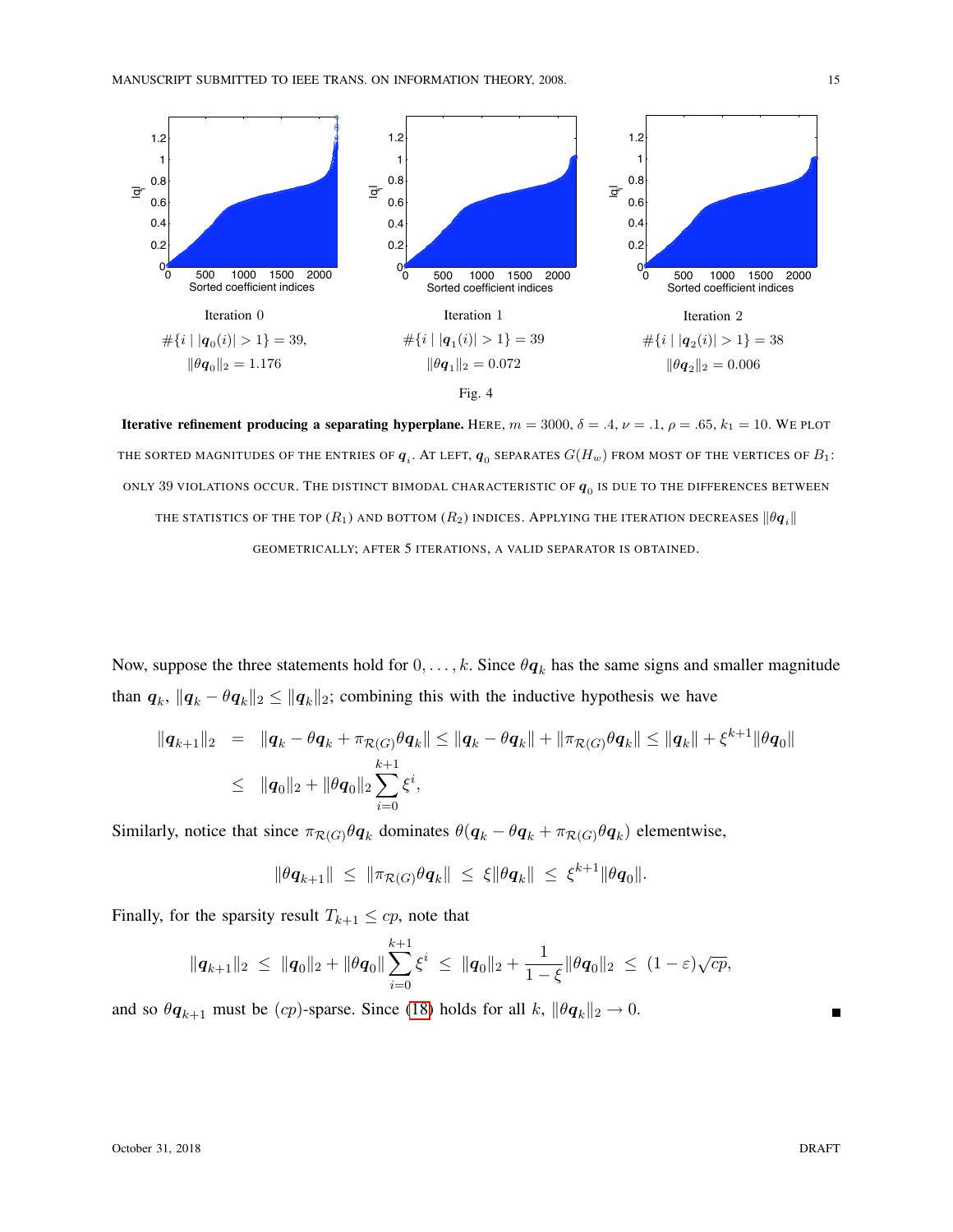

<span id="page-14-0"></span>Iterative refinement producing a separating hyperplane. HERE,  $m = 3000$ ,  $\delta = .4$ ,  $\nu = .1$ ,  $\rho = .65$ ,  $k_1 = 10$ . WE PLOT THE SORTED MAGNITUDES OF THE ENTRIES OF  $\bm{q}_i.$  AT LEFT,  $\bm{q}_0$  separates  $G(H_w)$  from most of the vertices of  $B_1$ : ONLY 39 VIOLATIONS OCCUR. THE DISTINCT BIMODAL CHARACTERISTIC OF  $q_{\rm 0}$  is due to the differences between THE STATISTICS OF THE TOP  $(R_1)$  and bottom  $(R_2)$  indices. Applying the iteration decreases  $\|\theta \mathbf{q}_i\|$ GEOMETRICALLY; AFTER 5 ITERATIONS, A VALID SEPARATOR IS OBTAINED.

Now, suppose the three statements hold for  $0, \ldots, k$ . Since  $\theta q_k$  has the same signs and smaller magnitude than  $q_k$ ,  $||q_k - \theta q_k||_2 \le ||q_k||_2$ ; combining this with the inductive hypothesis we have

$$
\begin{array}{rcl}\|\bm{q}_{k+1}\|_2 & = & \|\bm{q}_k - \theta \bm{q}_k + \pi_{\mathcal{R}(G)} \theta \bm{q}_k\| \le \|\bm{q}_k - \theta \bm{q}_k\| + \|\pi_{\mathcal{R}(G)} \theta \bm{q}_k\| \le \|\bm{q}_k\| + \xi^{k+1} \|\theta \bm{q}_0\| \\
& \le \|\bm{q}_0\|_2 + \|\theta \bm{q}_0\|_2 \sum_{i=0}^{k+1} \xi^i,\n\end{array}
$$

Similarly, notice that since  $\pi_{\mathcal{R}(G)}\theta q_k$  dominates  $\theta(q_k - \theta q_k + \pi_{\mathcal{R}(G)}\theta q_k)$  elementwise,

$$
\|\theta q_{k+1}\| \leq \|\pi_{\mathcal{R}(G)}\theta q_k\| \leq \xi \|\theta q_k\| \leq \xi^{k+1} \|\theta q_0\|.
$$

Finally, for the sparsity result  $T_{k+1} \leq cp$ , note that

$$
\|\mathbf{q}_{k+1}\|_2 \ \leq \ \|\mathbf{q}_0\|_2 + \|\theta\mathbf{q}_0\| \sum_{i=0}^{k+1} \xi^i \ \leq \ \|\mathbf{q}_0\|_2 + \frac{1}{1-\xi} \|\theta\mathbf{q}_0\|_2 \ \leq \ (1-\varepsilon)\sqrt{cp},
$$

and so  $\theta q_{k+1}$  must be  $(cp)$ -sparse. Since [\(18\)](#page-13-3) holds for all k,  $\|\theta q_k\|_2 \to 0$ .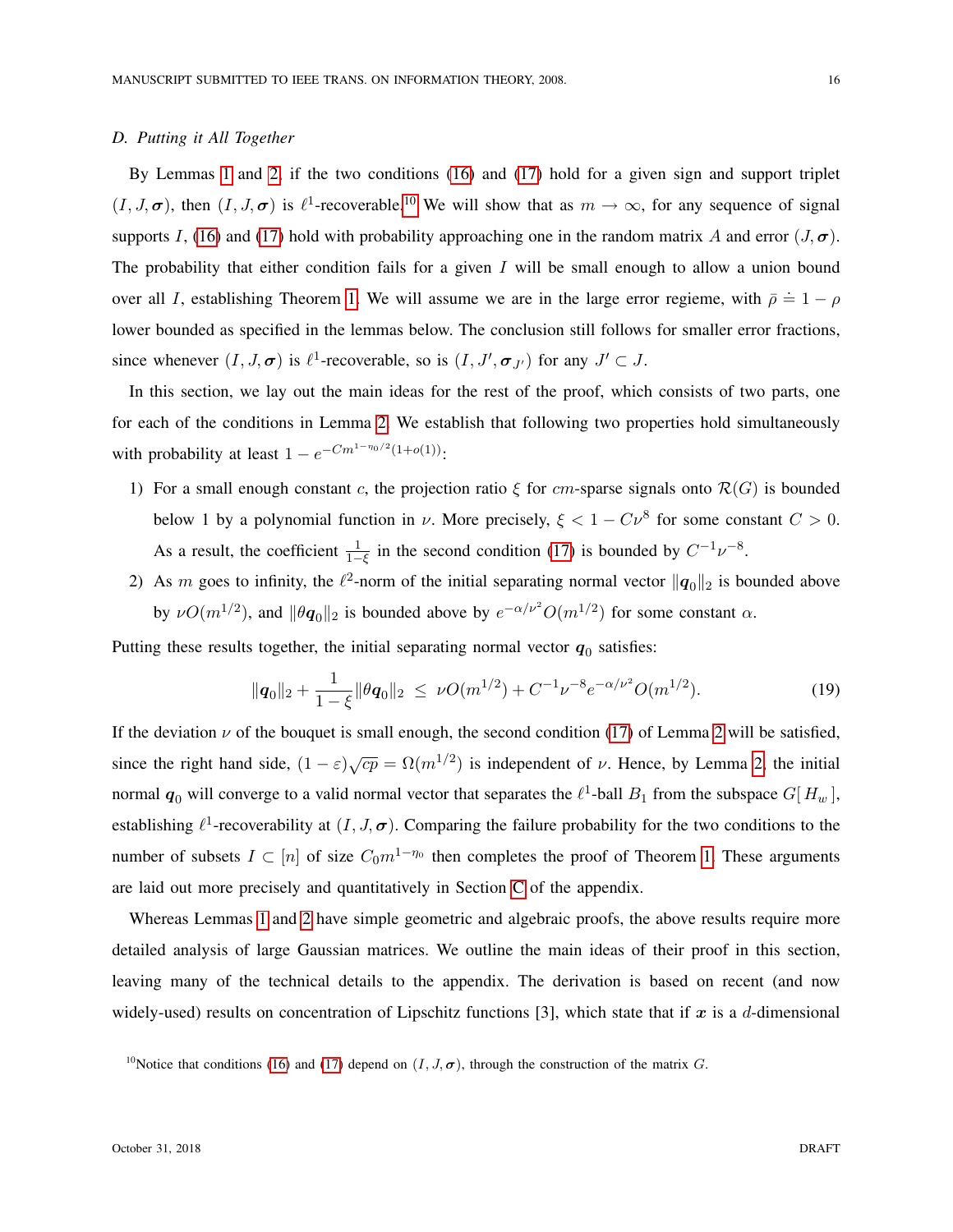#### <span id="page-15-0"></span>*D. Putting it All Together*

By Lemmas [1](#page-10-2) and [2,](#page-13-0) if the two conditions [\(16\)](#page-13-5) and [\(17\)](#page-13-4) hold for a given sign and support triplet  $(I, J, \sigma)$ , then  $(I, J, \sigma)$  is  $\ell^1$ -recoverable.<sup>[10](#page-15-1)</sup> We will show that as  $m \to \infty$ , for any sequence of signal supports I, [\(16\)](#page-13-5) and [\(17\)](#page-13-4) hold with probability approaching one in the random matrix A and error  $(J, \sigma)$ . The probability that either condition fails for a given  $I$  will be small enough to allow a union bound over all *I*, establishing Theorem [1.](#page-10-4) We will assume we are in the large error regieme, with  $\bar{\rho} \doteq 1 - \rho$ lower bounded as specified in the lemmas below. The conclusion still follows for smaller error fractions, since whenever  $(I, J, \sigma)$  is  $\ell^1$ -recoverable, so is  $(I, J', \sigma_{J'})$  for any  $J' \subset J$ .

In this section, we lay out the main ideas for the rest of the proof, which consists of two parts, one for each of the conditions in Lemma [2.](#page-13-0) We establish that following two properties hold simultaneously with probability at least  $1 - e^{-Cm^{1-\eta_0/2}(1+o(1))}$ :

- 1) For a small enough constant c, the projection ratio  $\xi$  for cm-sparse signals onto  $\mathcal{R}(G)$  is bounded below 1 by a polynomial function in  $\nu$ . More precisely,  $\xi < 1 - C \nu^8$  for some constant  $C > 0$ . As a result, the coefficient  $\frac{1}{1-\xi}$  in the second condition [\(17\)](#page-13-4) is bounded by  $C^{-1}\nu^{-8}$ .
- 2) As m goes to infinity, the  $\ell^2$ -norm of the initial separating normal vector  $\|\boldsymbol{q}_0\|_2$  is bounded above by  $\nu O(m^{1/2})$ , and  $\|\theta\mathbf{q}_0\|_2$  is bounded above by  $e^{-\alpha/\nu^2}O(m^{1/2})$  for some constant  $\alpha$ .

Putting these results together, the initial separating normal vector  $q_0$  satisfies:

$$
\|\mathbf{q}_0\|_2 + \frac{1}{1-\xi} \|\theta \mathbf{q}_0\|_2 \ \leq \ \nu O(m^{1/2}) + C^{-1} \nu^{-8} e^{-\alpha/\nu^2} O(m^{1/2}). \tag{19}
$$

If the deviation  $\nu$  of the bouquet is small enough, the second condition [\(17\)](#page-13-4) of Lemma [2](#page-13-0) will be satisfied, since the right hand side,  $(1 - \varepsilon)\sqrt{cp} = \Omega(m^{1/2})$  is independent of  $\nu$ . Hence, by Lemma [2,](#page-13-0) the initial normal  $q_0$  will converge to a valid normal vector that separates the  $\ell^1$ -ball  $B_1$  from the subspace  $G[H_w]$ , establishing  $\ell^1$ -recoverability at  $(I, J, \sigma)$ . Comparing the failure probability for the two conditions to the number of subsets  $I \subset [n]$  of size  $C_0 m^{1-\eta_0}$  then completes the proof of Theorem [1.](#page-10-4) These arguments are laid out more precisely and quantitatively in Section [C](#page-39-0) of the appendix.

Whereas Lemmas [1](#page-10-2) and [2](#page-13-0) have simple geometric and algebraic proofs, the above results require more detailed analysis of large Gaussian matrices. We outline the main ideas of their proof in this section, leaving many of the technical details to the appendix. The derivation is based on recent (and now widely-used) results on concentration of Lipschitz functions [3], which state that if  $x$  is a d-dimensional

<span id="page-15-1"></span><sup>&</sup>lt;sup>10</sup>Notice that conditions [\(16\)](#page-13-5) and [\(17\)](#page-13-4) depend on  $(I, J, \sigma)$ , through the construction of the matrix G.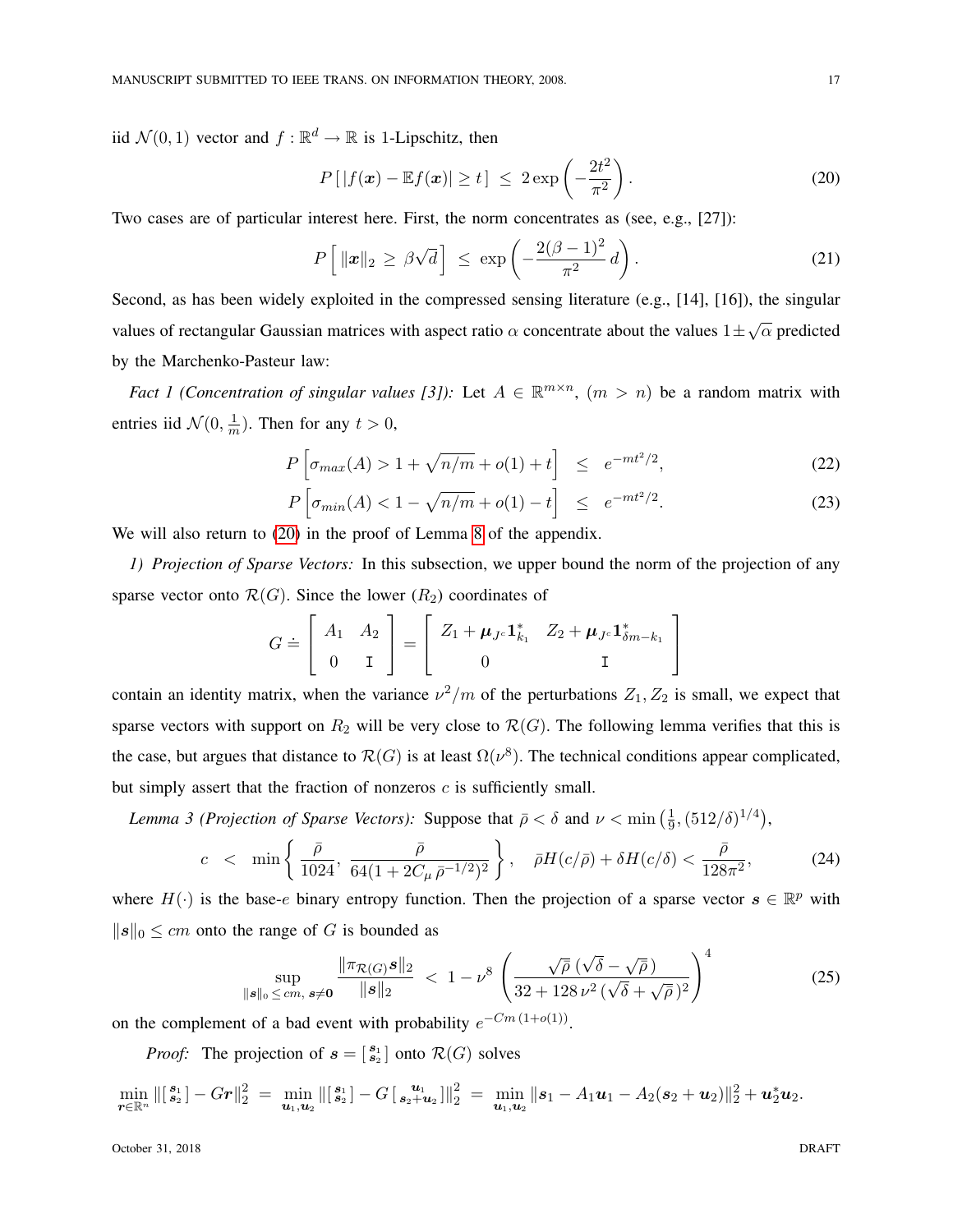iid  $\mathcal{N}(0,1)$  vector and  $f : \mathbb{R}^d \to \mathbb{R}$  is 1-Lipschitz, then

<span id="page-16-0"></span>
$$
P\left[|f(\boldsymbol{x}) - \mathbb{E}f(\boldsymbol{x})| \ge t\right] \le 2 \exp\left(-\frac{2t^2}{\pi^2}\right). \tag{20}
$$

Two cases are of particular interest here. First, the norm concentrates as (see, e.g., [27]):

<span id="page-16-4"></span><span id="page-16-1"></span>
$$
P\left[\|\boldsymbol{x}\|_2 \geq \beta\sqrt{d}\right] \leq \exp\left(-\frac{2(\beta-1)^2}{\pi^2}d\right). \tag{21}
$$

Second, as has been widely exploited in the compressed sensing literature (e.g., [14], [16]), the singular values of rectangular Gaussian matrices with aspect ratio  $\alpha$  concentrate about the values  $1 \pm \sqrt{\alpha}$  predicted by the Marchenko-Pasteur law:

*Fact 1 (Concentration of singular values [3])*: Let  $A \in \mathbb{R}^{m \times n}$ ,  $(m > n)$  be a random matrix with entries iid  $\mathcal{N}(0, \frac{1}{n})$  $\frac{1}{m}$ ). Then for any  $t > 0$ ,

$$
P\left[\sigma_{max}(A) > 1 + \sqrt{n/m} + o(1) + t\right] \leq e^{-mt^2/2},\tag{22}
$$

$$
P\left[\sigma_{min}(A) < 1 - \sqrt{n/m} + o(1) - t\right] \leq e^{-mt^2/2}.\tag{23}
$$

We will also return to [\(20\)](#page-16-0) in the proof of Lemma [8](#page-38-0) of the appendix.

j

*1) Projection of Sparse Vectors:* In this subsection, we upper bound the norm of the projection of any sparse vector onto  $\mathcal{R}(G)$ . Since the lower  $(R_2)$  coordinates of

<span id="page-16-5"></span>
$$
G \doteq \left[ \begin{array}{cc} A_1 & A_2 \\ 0 & \mathbf{I} \end{array} \right] = \left[ \begin{array}{cc} Z_1 + \boldsymbol{\mu}_{J^c} \mathbf{1}_{k_1}^* & Z_2 + \boldsymbol{\mu}_{J^c} \mathbf{1}_{\delta m - k_1}^* \\ 0 & \mathbf{I} \end{array} \right]
$$

contain an identity matrix, when the variance  $\nu^2/m$  of the perturbations  $Z_1, Z_2$  is small, we expect that sparse vectors with support on  $R_2$  will be very close to  $\mathcal{R}(G)$ . The following lemma verifies that this is the case, but argues that distance to  $\mathcal{R}(G)$  is at least  $\Omega(\nu^8)$ . The technical conditions appear complicated, but simply assert that the fraction of nonzeros  $c$  is sufficiently small.

*Lemma 3 (Projection of Sparse Vectors):* Suppose that  $\bar{\rho} < \delta$  and  $\nu < \min(\frac{1}{\alpha})$  $\frac{1}{9},(512/\delta)^{1/4}),$ 

<span id="page-16-2"></span>
$$
c < \min\left\{\frac{\bar{\rho}}{1024}, \frac{\bar{\rho}}{64(1+2C_{\mu}\bar{\rho}^{-1/2})^2}\right\}, \quad \bar{\rho}H(c/\bar{\rho}) + \delta H(c/\delta) < \frac{\bar{\rho}}{128\pi^2},
$$
 (24)

where  $H(\cdot)$  is the base-e binary entropy function. Then the projection of a sparse vector  $s \in \mathbb{R}^p$  with  $||s||_0 \le cm$  onto the range of G is bounded as

<span id="page-16-3"></span>
$$
\sup_{\|\boldsymbol{s}\|_{0} \le cm, \; \boldsymbol{s} \neq \boldsymbol{0}} \frac{\|\pi_{\mathcal{R}(G)}\boldsymbol{s}\|_{2}}{\|\boldsymbol{s}\|_{2}} \; < \; 1 - \nu^{8} \; \left(\frac{\sqrt{\bar{\rho}} \; (\sqrt{\delta} - \sqrt{\bar{\rho}})}{32 + 128 \, \nu^{2} \; (\sqrt{\delta} + \sqrt{\bar{\rho}})^{2}}\right)^{4} \tag{25}
$$

on the complement of a bad event with probability  $e^{-Cm(1+o(1))}$ .

*Proof:* The projection of  $s = \begin{bmatrix} s_1 \\ s_2 \end{bmatrix}$  onto  $\mathcal{R}(G)$  solves

$$
\min_{\boldsymbol{r}\in\mathbb{R}^n} \left\| \begin{bmatrix} s_1 \\ s_2 \end{bmatrix} - Gr \right\|_2^2 = \min_{\boldsymbol{u}_1,\boldsymbol{u}_2} \left\| \begin{bmatrix} s_1 \\ s_2 \end{bmatrix} - G \begin{bmatrix} \boldsymbol{u}_1 \\ \boldsymbol{s}_2 + \boldsymbol{u}_2 \end{bmatrix} \right\|_2^2 = \min_{\boldsymbol{u}_1,\boldsymbol{u}_2} \|\boldsymbol{s}_1 - A_1 \boldsymbol{u}_1 - A_2 (\boldsymbol{s}_2 + \boldsymbol{u}_2) \|^2_2 + \boldsymbol{u}_2^* \boldsymbol{u}_2.
$$

October 31, 2018 DRAFT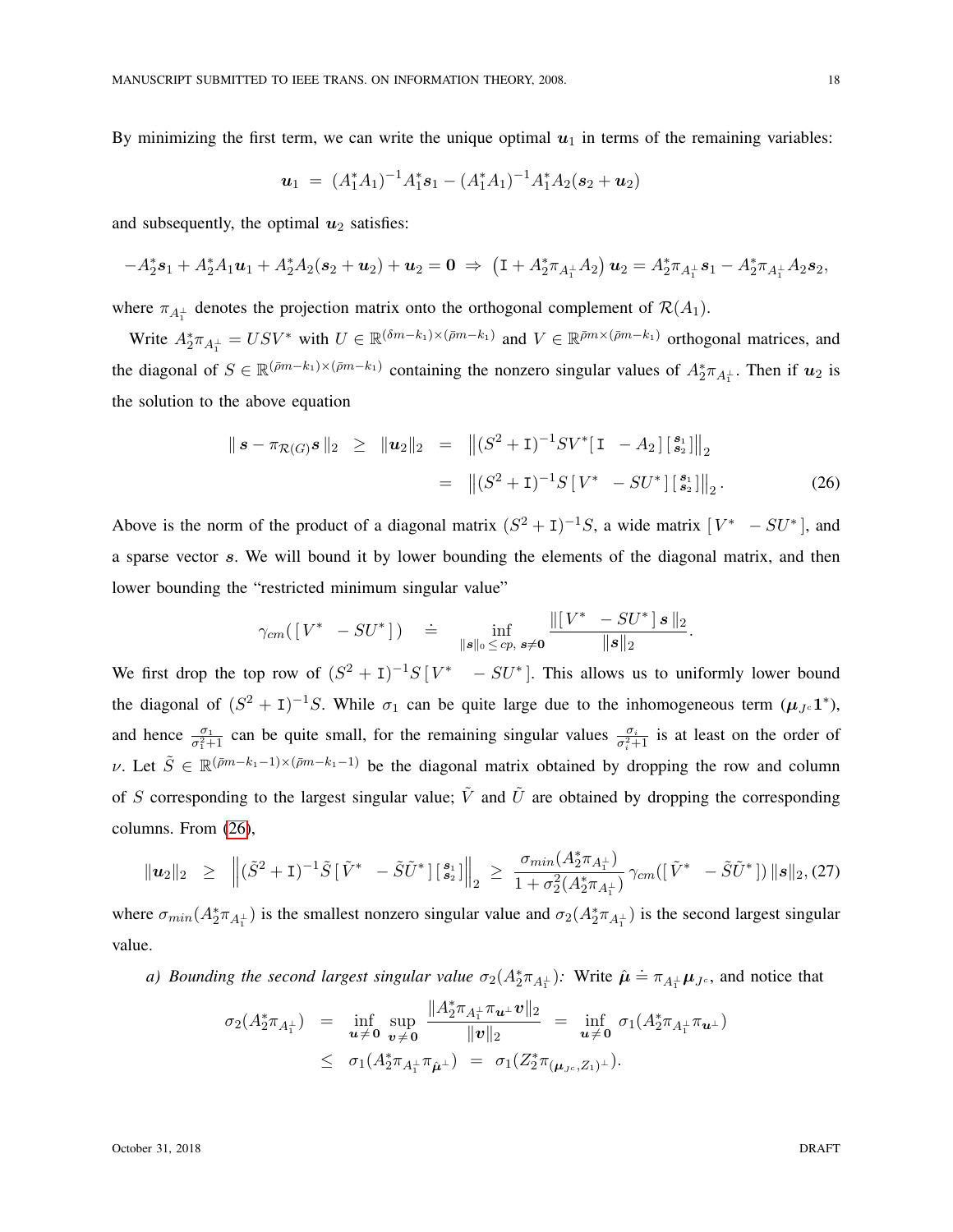By minimizing the first term, we can write the unique optimal  $u_1$  in terms of the remaining variables:

$$
\mathbf{u}_1 = (A_1^*A_1)^{-1}A_1^*\mathbf{s}_1 - (A_1^*A_1)^{-1}A_1^*A_2(\mathbf{s}_2 + \mathbf{u}_2)
$$

and subsequently, the optimal  $u_2$  satisfies:

$$
-A_2^* \mathbf{s}_1 + A_2^* A_1 \mathbf{u}_1 + A_2^* A_2 (\mathbf{s}_2 + \mathbf{u}_2) + \mathbf{u}_2 = \mathbf{0} \Rightarrow (\mathbf{I} + A_2^* \pi_{A_1^{\perp}} A_2) \mathbf{u}_2 = A_2^* \pi_{A_1^{\perp}} \mathbf{s}_1 - A_2^* \pi_{A_1^{\perp}} A_2 \mathbf{s}_2,
$$

where  $\pi_{A_1^{\perp}}$  denotes the projection matrix onto the orthogonal complement of  $\mathcal{R}(A_1)$ .

Write  $A_2^*\pi_{A_1^{\perp}} = USV^*$  with  $U \in \mathbb{R}^{(\delta m - k_1) \times (\bar{\rho} m - k_1)}$  and  $V \in \mathbb{R}^{\bar{\rho} m \times (\bar{\rho} m - k_1)}$  orthogonal matrices, and the diagonal of  $S \in \mathbb{R}^{(\bar{p}m-k_1)\times(\bar{p}m-k_1)}$  containing the nonzero singular values of  $A_2^*\pi_{A_1^{\perp}}$ . Then if  $u_2$  is the solution to the above equation

<span id="page-17-0"></span>
$$
\| \mathbf{s} - \pi_{\mathcal{R}(G)} \mathbf{s} \|_2 \ge \| \mathbf{u}_2 \|_2 = \| (S^2 + \mathbf{I})^{-1} S V^* [\mathbf{I} - A_2] \begin{bmatrix} s_1 \\ s_2 \end{bmatrix} \|_2
$$
  
= 
$$
\| (S^2 + \mathbf{I})^{-1} S [V^* - SU^*] \begin{bmatrix} s_1 \\ s_2 \end{bmatrix} \|_2.
$$
 (26)

Above is the norm of the product of a diagonal matrix  $(S^2 + I)^{-1}S$ , a wide matrix  $[V^* - SU^*]$ , and a sparse vector s. We will bound it by lower bounding the elements of the diagonal matrix, and then lower bounding the "restricted minimum singular value"

$$
\gamma_{cm}(\begin{bmatrix} V^* & -SU^* \end{bmatrix}) \quad \doteq \quad \inf_{\|{\boldsymbol s}\|_0 \leq \, cp, \; {\boldsymbol s}\neq {\boldsymbol 0}} \frac{\|[\,V^* \; -SU^* \,] \, {\boldsymbol s} \, \|_2}{\|{\boldsymbol s}\|_2}.
$$

We first drop the top row of  $(S^2 + I)^{-1}S[V^* - SU^*]$ . This allows us to uniformly lower bound the diagonal of  $(S^2 + I)^{-1}S$ . While  $\sigma_1$  can be quite large due to the inhomogeneous term  $(\mu_{J^c} 1^*)$ , and hence  $\frac{\sigma_1}{\sigma_1^2+1}$  can be quite small, for the remaining singular values  $\frac{\sigma_i}{\sigma_i^2+1}$  is at least on the order of v. Let  $\tilde{S} \in \mathbb{R}^{(\bar{p}m-k_1-1)\times(\bar{p}m-k_1-1)}$  be the diagonal matrix obtained by dropping the row and column of S corresponding to the largest singular value;  $\tilde{V}$  and  $\tilde{U}$  are obtained by dropping the corresponding columns. From [\(26\)](#page-17-0),

<span id="page-17-1"></span>
$$
\|\mathbf{u}_2\|_2 \geq \left\| (\tilde{S}^2 + \mathbf{I})^{-1} \tilde{S} [\tilde{V}^* - \tilde{S}\tilde{U}^*] [\mathbf{s}_2] \right\|_2 \geq \frac{\sigma_{min}(A_2^* \pi_{A_1^+})}{1 + \sigma_2^2(A_2^* \pi_{A_1^+})} \gamma_{cm}([\tilde{V}^* - \tilde{S}\tilde{U}^*]) \|\mathbf{s}\|_2, (27)
$$

where  $\sigma_{min}(A_2^*\pi_{A_1^{\perp}})$  is the smallest nonzero singular value and  $\sigma_2(A_2^*\pi_{A_1^{\perp}})$  is the second largest singular value.

*a)* Bounding the second largest singular value  $\sigma_2(A_2^*\pi_{A_1^{\perp}})$ : Write  $\hat{\mu} \doteq \pi_{A_1^{\perp}}\mu_{J^c}$ , and notice that

$$
\sigma_2(A_2^*\pi_{A_1^{\perp}}) = \inf_{\mathbf{u}\neq \mathbf{0}} \sup_{\mathbf{v}\neq \mathbf{0}} \frac{\|A_2^*\pi_{A_1^{\perp}}\pi_{\mathbf{u}^{\perp}}\mathbf{v}\|_2}{\|\mathbf{v}\|_2} = \inf_{\mathbf{u}\neq \mathbf{0}} \sigma_1(A_2^*\pi_{A_1^{\perp}}\pi_{\mathbf{u}^{\perp}})
$$
  
 
$$
\leq \sigma_1(A_2^*\pi_{A_1^{\perp}}\pi_{\hat{\mathbf{\mu}}^{\perp}}) = \sigma_1(Z_2^*\pi_{(\mathbf{\mu}_{J^c},Z_1)^{\perp}}).
$$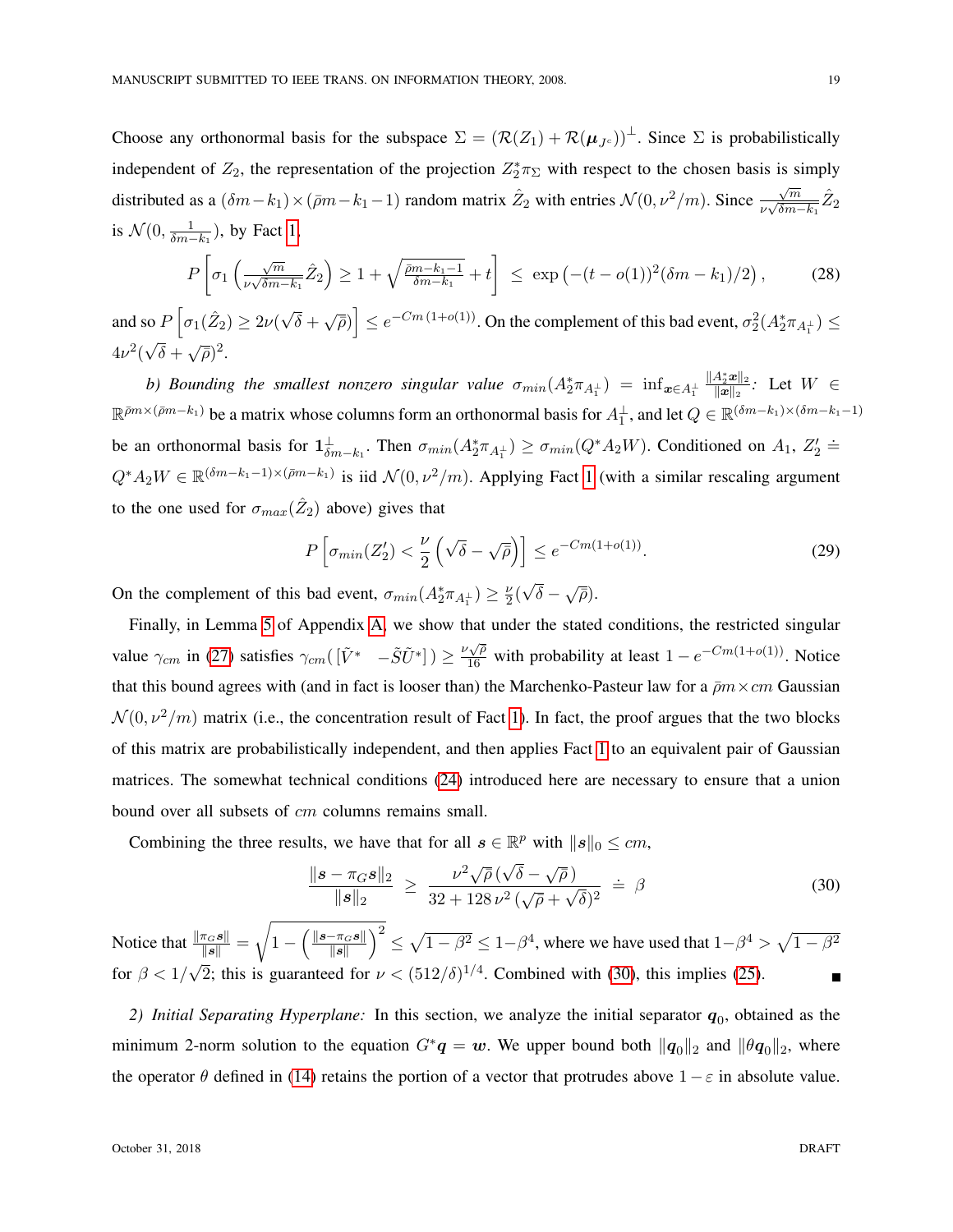Choose any orthonormal basis for the subspace  $\Sigma = (\mathcal{R}(Z_1) + \mathcal{R}(\mu_{J_c}))^{\perp}$ . Since  $\Sigma$  is probabilistically independent of  $Z_2$ , the representation of the projection  $Z_2^* \pi_{\Sigma}$  with respect to the chosen basis is simply distributed as a  $(\delta m - k_1) \times (\bar{\rho}m - k_1 - 1)$  random matrix  $\hat{Z}_2$  with entries  $\mathcal{N}(0, \nu^2/m)$ . Since  $\frac{\sqrt{m}}{\nu \sqrt{\delta m}}$  $\frac{\sqrt{m}}{\nu\sqrt{\delta m-k_1}} \hat{Z}_2$ is  $\mathcal{N}(0, \frac{1}{\delta m - k_1})$ , by Fact [1,](#page-16-1)

$$
P\left[\sigma_1\left(\frac{\sqrt{m}}{\nu\sqrt{\delta m-k_1}}\hat{Z}_2\right)\geq 1+\sqrt{\frac{\bar{\rho}m-k_1-1}{\delta m-k_1}}+t\right] \leq \exp\left(-(t-o(1))^2(\delta m-k_1)/2\right),\tag{28}
$$

and so  $P\left[\sigma_1(\hat{Z}_2)\geq 2\nu\right]$ √  $\left[\overline{\delta} + \sqrt{\overline{\rho}})\right] \leq e^{-Cm(1+o(1))}$ . On the complement of this bad event,  $\sigma_2^2(A_2^* \pi_{A_1^{\perp}}) \leq$  $4\nu^2($ √  $\overline{\delta} + \sqrt{\overline{\rho}})^2$ .

b) Bounding the smallest nonzero singular value  $\sigma_{min}(A_2^*\pi_{A_1^{\perp}})$  =  $\inf_{\bm{x}\in A_1^{\perp}}$  $\|A_2^*\bm{x}\|_2$  $\frac{A_2^{\infty} \boldsymbol{x} \|_2}{\|\boldsymbol{x}\|_2}$ : Let  $W \in$  $\mathbb{R}^{\bar{p}m\times(\bar{p}m-k_1)}$  be a matrix whose columns form an orthonormal basis for  $A_1^{\perp}$ , and let  $Q\in\mathbb{R}^{(\delta m-k_1)\times(\delta m-k_1-1)}$ be an orthonormal basis for  $\mathbf{1}_{\delta m-k_1}^{\perp}$ . Then  $\sigma_{min}(A_2^*\pi_{A_1^{\perp}}) \ge \sigma_{min}(Q^*A_2W)$ . Conditioned on  $A_1, Z_2' \doteq$  $Q^*A_2W \in \mathbb{R}^{(\delta m - k_1 - 1) \times (\bar{\rho} m - k_1)}$  $Q^*A_2W \in \mathbb{R}^{(\delta m - k_1 - 1) \times (\bar{\rho} m - k_1)}$  $Q^*A_2W \in \mathbb{R}^{(\delta m - k_1 - 1) \times (\bar{\rho} m - k_1)}$  is iid  $\mathcal{N}(0, \nu^2/m)$ . Applying Fact 1 (with a similar rescaling argument to the one used for  $\sigma_{max}(\hat{Z}_2)$  above) gives that

$$
P\left[\sigma_{min}(Z_2') < \frac{\nu}{2}\left(\sqrt{\delta} - \sqrt{\bar{\rho}}\right)\right] \le e^{-Cm(1+o(1))}.\tag{29}
$$

On the complement of this bad event,  $\sigma_{min}(A_2^*\pi_{A_1^{\perp}}) \ge \frac{\nu}{2}$  $\frac{\nu}{2}$  (  $\overline{\delta}-\sqrt{\overline{\rho}}$ ).

Finally, in Lemma [5](#page-31-0) of Appendix [A,](#page-31-1) we show that under the stated conditions, the restricted singular value  $\gamma_{cm}$  in [\(27\)](#page-17-1) satisfies  $\gamma_{cm}([\tilde{V}^* - \tilde{S}\tilde{U}^*]) \ge \frac{\nu\sqrt{\rho}}{16}$  with probability at least  $1 - e^{-Cm(1+o(1))}$ . Notice that this bound agrees with (and in fact is looser than) the Marchenko-Pasteur law for a  $\bar{p}m \times cm$  Gaussian  $\mathcal{N}(0, \nu^2/m)$  matrix (i.e., the concentration result of Fact [1\)](#page-16-1). In fact, the proof argues that the two blocks of this matrix are probabilistically independent, and then applies Fact [1](#page-16-1) to an equivalent pair of Gaussian matrices. The somewhat technical conditions [\(24\)](#page-16-2) introduced here are necessary to ensure that a union bound over all subsets of *cm* columns remains small.

Combining the three results, we have that for all  $s \in \mathbb{R}^p$  with  $\|s\|_0 \leq cm$ ,

<span id="page-18-0"></span>
$$
\frac{\|\bm{s} - \pi_{G}\bm{s}\|_{2}}{\|\bm{s}\|_{2}} \geq \frac{\nu^{2}\sqrt{\bar{\rho}}(\sqrt{\delta} - \sqrt{\bar{\rho}})}{32 + 128 \nu^{2}(\sqrt{\bar{\rho}} + \sqrt{\delta})^{2}} \doteq \beta
$$
\n(30)

Notice that  $\frac{\|\pi_{G}\mathbf{s}\|}{\|\mathbf{s}\|} =$ <sup>1</sup>  $1 - \left( \frac{\|s - \pi_{G} s\|}{\|s\|} \right)$  $\frac{-\pi_G s}{\|s\|}$ ) $\frac{2}{\pi} \leq \sqrt{1-\beta^2} \leq 1-\beta^4$ , where we have used that  $1-\beta^4 > \sqrt{1-\beta^2}$ for  $\beta < 1/\sqrt{2}$ ; this is guaranteed for  $\nu < (512/\delta)^{1/4}$ . Combined with [\(30\)](#page-18-0), this implies [\(25\)](#page-16-3). √

2) Initial Separating Hyperplane: In this section, we analyze the initial separator  $q_0$ , obtained as the minimum 2-norm solution to the equation  $G^*q = w$ . We upper bound both  $||q_0||_2$  and  $||\theta q_0||_2$ , where the operator  $\theta$  defined in [\(14\)](#page-13-2) retains the portion of a vector that protrudes above  $1-\varepsilon$  in absolute value.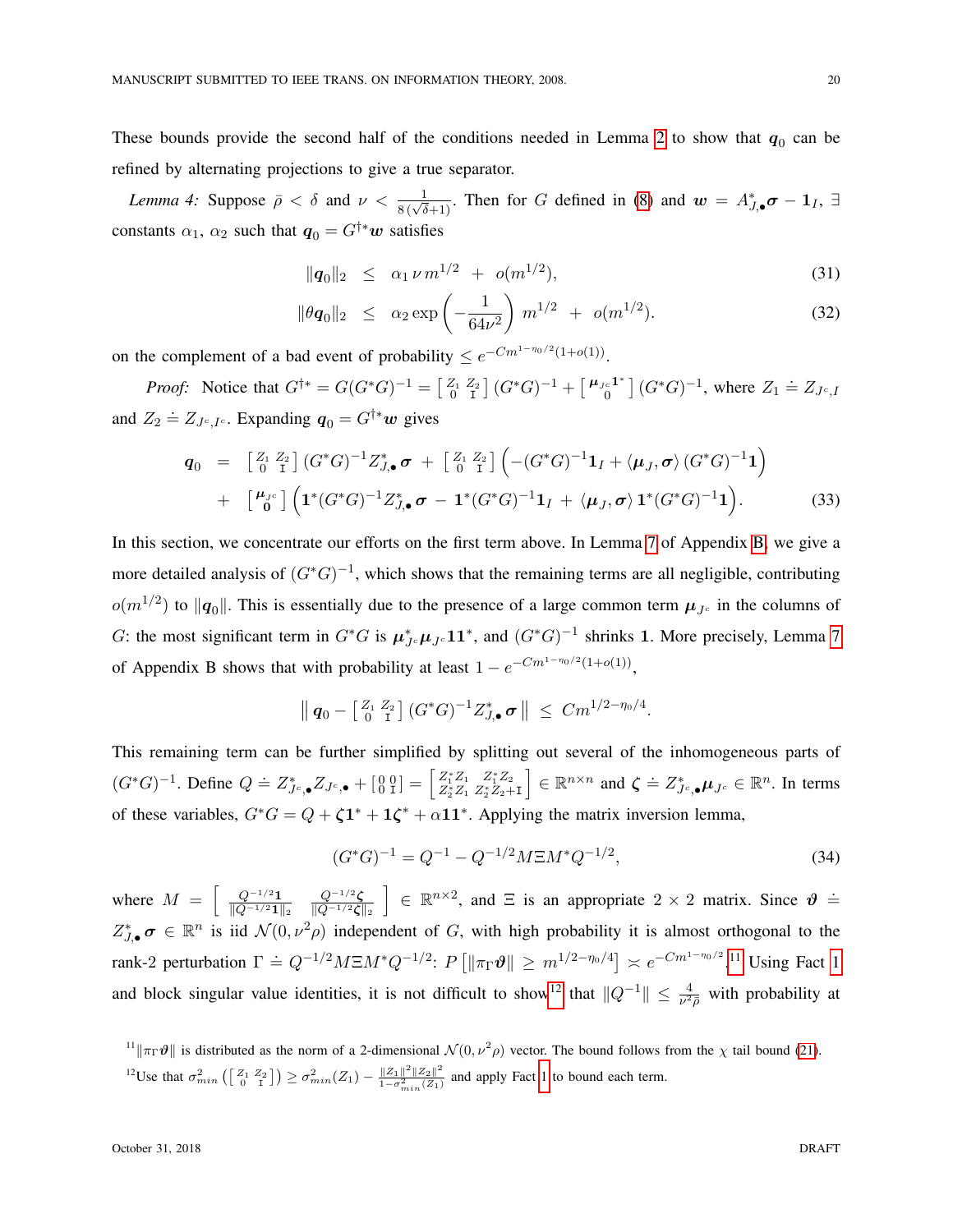These bounds provide the second half of the conditions needed in Lemma [2](#page-13-0) to show that  $q_0$  can be refined by alternating projections to give a true separator.

<span id="page-19-2"></span>*Lemma 4:* Suppose  $\bar{\rho} < \delta$  and  $\nu < \frac{1}{8(\sqrt{\delta}+1)}$ . Then for G defined in [\(8\)](#page-10-3) and  $w = A_{J,\bullet}^* \sigma - 1_I$ ,  $\exists$ constants  $\alpha_1$ ,  $\alpha_2$  such that  $q_0 = G^{\dagger *} w$  satisfies

$$
\|\mathbf{q}_0\|_2 \leq \alpha_1 \nu \, m^{1/2} \, + \, o(m^{1/2}), \tag{31}
$$

$$
\|\theta q_0\|_2 \leq \alpha_2 \exp\left(-\frac{1}{64\nu^2}\right) m^{1/2} + o(m^{1/2}). \tag{32}
$$

on the complement of a bad event of probability  $\leq e^{-Cm^{1-\eta_0/2}(1+o(1))}$ .

*Proof:* Notice that  $G^{\dagger *} = G(G^*G)^{-1} = \begin{bmatrix} Z_1 & Z_2 \ 0 & I \end{bmatrix} (G^*G)^{-1} + \begin{bmatrix} \mu_{Jc} \mathbf{1}^* \\ 0 \end{bmatrix}$  $C_0^{c1^*}$ ]  $(G^*G)^{-1}$ , where  $Z_1 \doteq Z_{J^c,I}$ and  $Z_2 \doteq Z_{J^c,I^c}$ . Expanding  $q_0 = G^{\dagger *} w$  gives

$$
\mathbf{q}_0 = \begin{bmatrix} Z_1 & Z_2 \\ 0 & I \end{bmatrix} (G^*G)^{-1} Z_{J,\bullet}^* \sigma + \begin{bmatrix} Z_1 & Z_2 \\ 0 & I \end{bmatrix} \left( -(G^*G)^{-1} \mathbf{1}_I + \langle \mu_J, \sigma \rangle (G^*G)^{-1} \mathbf{1} \right) \n+ \begin{bmatrix} \mu_{J^c} \\ 0 \end{bmatrix} \left( \mathbf{1}^* (G^*G)^{-1} Z_{J,\bullet}^* \sigma - \mathbf{1}^* (G^*G)^{-1} \mathbf{1}_I + \langle \mu_J, \sigma \rangle \mathbf{1}^* (G^*G)^{-1} \mathbf{1} \right).
$$
\n(33)

In this section, we concentrate our efforts on the first term above. In Lemma [7](#page-36-0) of Appendix [B,](#page-36-1) we give a more detailed analysis of  $(G^*G)^{-1}$ , which shows that the remaining terms are all negligible, contributing  $o(m^{1/2})$  to  $||\mathbf{q}_0||$ . This is essentially due to the presence of a large common term  $\mu_{Jc}$  in the columns of G: the most significant term in  $G^*G$  is  $\mu_{Jc}^*\mu_{Jc}11^*$ , and  $(G^*G)^{-1}$  shrinks 1. More precisely, Lemma [7](#page-36-0) of Appendix B shows that with probability at least  $1 - e^{-Cm^{1-\eta_0/2}(1+o(1))}$ ,

$$
\|q_0 - \left[\begin{smallmatrix} Z_1 & Z_2 \\ 0 & I \end{smallmatrix}\right](G^*G)^{-1} Z_{J,\bullet}^* \sigma \| \leq C m^{1/2 - \eta_0/4}.
$$

This remaining term can be further simplified by splitting out several of the inhomogeneous parts of  $(G^*G)^{-1}$ . Define  $Q \doteq Z_{J^c,\bullet}^* Z_{J^c,\bullet} + \begin{bmatrix} 0 & 0 \\ 0 & I \end{bmatrix} = \begin{bmatrix} Z_1^* Z_1 & Z_1^* Z_2 \\ Z_2^* Z_1 & Z_2^* Z_2 + I \end{bmatrix}$  $\Big] \in \mathbb{R}^{n \times n}$  and  $\zeta \doteq Z_{J^c,\bullet}^* \mu_{J^c} \in \mathbb{R}^n$ . In terms of these variables,  $G^*G = Q + \zeta \mathbf{1}^* + \mathbf{1}\zeta^* + \alpha \mathbf{1}\mathbf{1}^*$ . Applying the matrix inversion lemma,

$$
(G^*G)^{-1} = Q^{-1} - Q^{-1/2}M\Xi M^*Q^{-1/2},\tag{34}
$$

where  $M = \left[ \begin{array}{c} Q^{-1/2} \frac{1}{\ln(1 - 1/2)} \end{array} \right]$  $\|Q^{-1/2}\mathbf{1}\|_2$  $Q^{-1/2}$  $\boldsymbol{\zeta}$  $\|Q^{-1/2}\boldsymbol\zeta\|_2$  $\Big] \in \mathbb{R}^{n \times 2}$ , and  $\Xi$  is an appropriate  $2 \times 2$  matrix. Since  $\vartheta =$  $Z_{J,\bullet}^*\sigma \in \mathbb{R}^n$  is iid  $\mathcal{N}(0,\nu^2\rho)$  independent of G, with high probability it is almost orthogonal to the rank-2 perturbation  $\Gamma = Q^{-1/2} M \Xi M^* Q^{-1/2}$ :  $P[\|\pi_\Gamma \vartheta\| \ge m^{1/2-\eta_0/4}] \approx e^{-Cm^{1-\eta_0/2}}$ .<sup>[11](#page-19-0)</sup> Using Fact [1](#page-16-1) and block singular value identities, it is not difficult to show<sup>[12](#page-19-1)</sup> that  $||Q^{-1}|| \le \frac{4}{\nu^2 \bar{\rho}}$  with probability at

<span id="page-19-1"></span><span id="page-19-0"></span><sup>11</sup> $\|\pi_{\Gamma} \vartheta\|$  is distributed as the norm of a 2-dimensional  $\mathcal{N}(0, \nu^2 \rho)$  vector. The bound follows from the  $\chi$  tail bound [\(21\)](#page-16-4). <sup>12</sup>Use that  $\sigma_{min}^2\left(\begin{bmatrix} Z_1 & Z_2 \ 0 & I \end{bmatrix}\right) \geq \sigma_{min}^2(Z_1) - \frac{\|Z_1\|^2 \|Z_2\|^2}{1 - \sigma_{min}^2(Z_1)}$  $\frac{||Z_1|| - ||Z_2||}{1 - \sigma_{min}^2(Z_1)}$  and apply Fact [1](#page-16-1) to bound each term.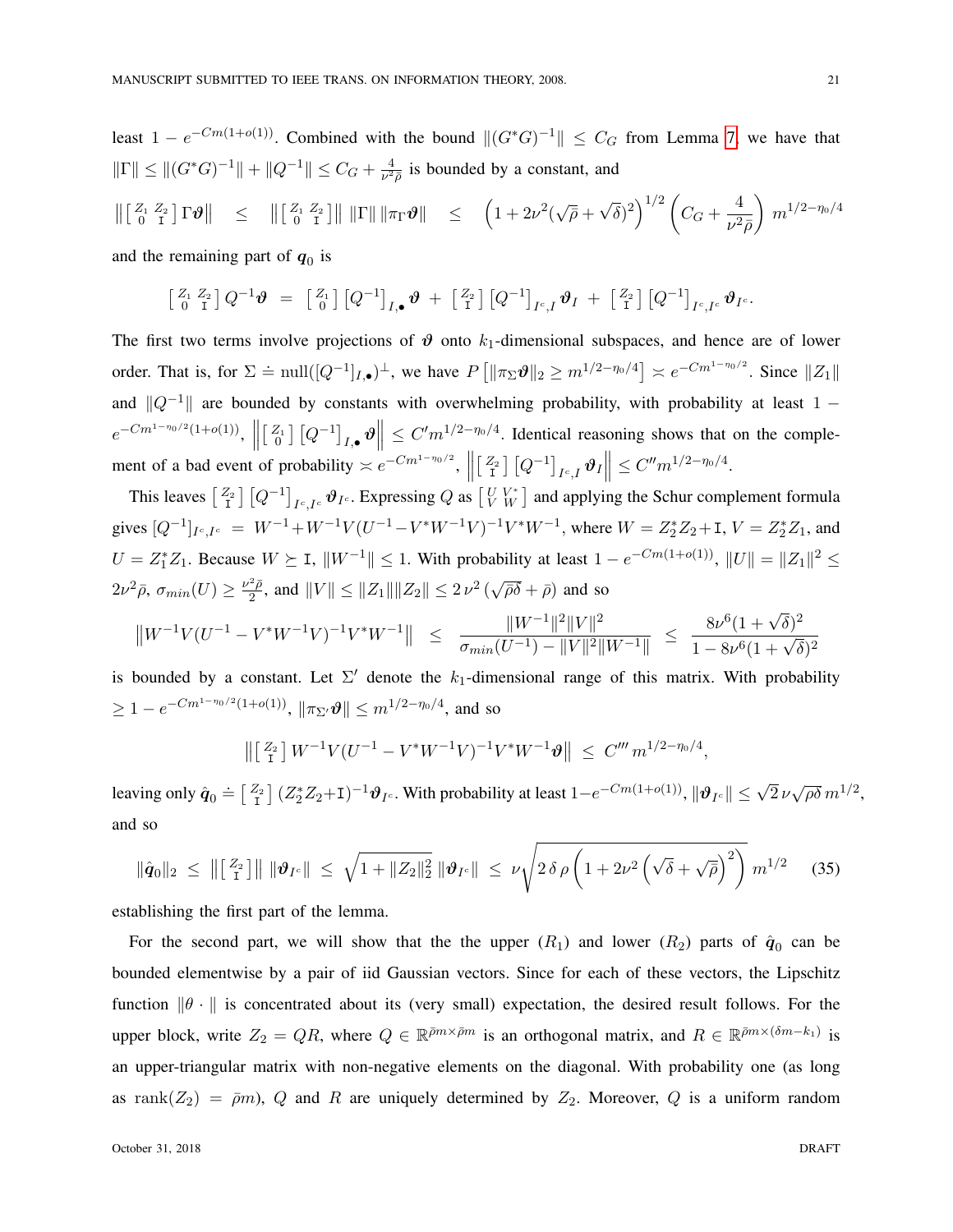least  $1 - e^{-Cm(1+o(1))}$ . Combined with the bound  $||(G^*G)^{-1}|| \leq C_G$  from Lemma [7,](#page-36-0) we have that  $\|\Gamma\| \leq \| (G^*G)^{-1} \| + \| Q^{-1} \| \leq C_G + \frac{4}{\nu^2}$  $\frac{4}{\nu^2 \bar{\rho}}$  is bounded by a constant, and

$$
\left\| \begin{bmatrix} Z_1 & Z_2 \\ 0 & I \end{bmatrix} \Gamma \vartheta \right\| \leq \left\| \begin{bmatrix} Z_1 & Z_2 \\ 0 & I \end{bmatrix} \right\| \|\Gamma\| \|\pi_{\Gamma} \vartheta\| \leq \left(1 + 2\nu^2(\sqrt{\rho} + \sqrt{\delta})^2\right)^{1/2} \left(C_G + \frac{4}{\nu^2 \rho}\right) m^{1/2 - \eta_0/4}
$$

and the remaining part of  $q_0$  is

$$
\begin{bmatrix} Z_1 & Z_2 \ 0 & I \end{bmatrix} Q^{-1} \boldsymbol{\vartheta} = \begin{bmatrix} Z_1 \ 0 \end{bmatrix} \begin{bmatrix} Q^{-1} \end{bmatrix}_{I,\bullet} \boldsymbol{\vartheta} + \begin{bmatrix} Z_2 \ 1 \end{bmatrix} \begin{bmatrix} Q^{-1} \end{bmatrix}_{I^c,I} \boldsymbol{\vartheta}_I + \begin{bmatrix} Z_2 \ 1 \end{bmatrix} \begin{bmatrix} Q^{-1} \end{bmatrix}_{I^c,I^c} \boldsymbol{\vartheta}_{I^c}.
$$

The first two terms involve projections of  $\vartheta$  onto  $k_1$ -dimensional subspaces, and hence are of lower order. That is, for  $\Sigma \doteq \text{null}([Q^{-1}]_{I,\bullet})^{\perp}$ , we have  $P[\|\pi_{\Sigma}\vartheta\|_2 \geq m^{1/2-\eta_0/4}] \approx e^{-Cm^{1-\eta_0/2}}$ . Since  $||Z_1||$ and  $||Q^{-1}||$  are bounded by constants with overwhelming probability, with probability at least 1 −  $e^{-Cm^{1-\eta_0/2}(1+o(1))}$ ,  $\left\| \begin{bmatrix} Z_1 \\ 0 \end{bmatrix} [Q^{-1}]_{I,\bullet} \boldsymbol{\vartheta} \right\| \leq C'm^{1/2-\eta_0/4}$ . Identical reasoning shows that on the comple- $\mathbf{I}$ ment of a bad event of probability  $\lt e^{-Cm^{1-\eta_0/2}}$ ,  $\parallel$  $\begin{bmatrix} Z_2 \\ I \end{bmatrix} [Q^{-1}]_{I^c,I} \boldsymbol{\vartheta}_I \leq C'' m^{1/2 - \eta_0/4}.$ 

This leaves  $\begin{bmatrix} Z_2 \\ I \end{bmatrix} [Q^{-1}]_{I^c,I^c} \boldsymbol{\vartheta}_{I^c}$ . Expressing  $Q$  as  $\begin{bmatrix} U & V^* \\ V & W \end{bmatrix}$  and applying the Schur complement formula gives  $[Q^{-1}]_{I^c,I^c} = W^{-1} + W^{-1}V(U^{-1} - V^*W^{-1}V)^{-1}V^*W^{-1}$ , where  $W = Z_2^*Z_2 + I$ ,  $V = Z_2^*Z_1$ , and  $U = Z_1^* Z_1$ . Because  $W \succeq I$ ,  $||W^{-1}|| \leq 1$ . With probability at least  $1 - e^{-Cm(1+o(1))}$ ,  $||U|| = ||Z_1||^2 \leq$  $2\nu^2\bar{\rho}, \sigma_{min}(U) \geq \frac{\nu^2\bar{\rho}}{2}$  $\frac{2\bar{\rho}}{2}$ , and  $||V|| \leq ||Z_1|| ||Z_2|| \leq 2\nu^2$  ( √  $\overline{\overline{\rho}\delta}$  +  $\overline{\rho}$ ) and so

$$
||W^{-1}V(U^{-1} - V^*W^{-1}V)^{-1}V^*W^{-1}|| \le \frac{||W^{-1}||^2||V||^2}{\sigma_{min}(U^{-1}) - ||V||^2||W^{-1}||} \le \frac{8\nu^6(1+\sqrt{\delta})^2}{1-8\nu^6(1+\sqrt{\delta})^2}
$$

is bounded by a constant. Let  $\Sigma'$  denote the  $k_1$ -dimensional range of this matrix. With probability  $\geq 1 - e^{-Cm^{1-\eta_0/2}(1+o(1))}, \|\pi_{\Sigma'}\boldsymbol{\vartheta}\| \leq m^{1/2-\eta_0/4},$  and so

$$
\left\| \left[ \begin{smallmatrix} Z_2 \\ \mathrm{I} \end{smallmatrix} \right] W^{-1} V (U^{-1} - V^* W^{-1} V)^{-1} V^* W^{-1} \vartheta \right\| \leq C''' m^{1/2 - \eta_0/4},
$$

leaving only  $\hat{\bm{q}}_0 \doteq \begin{bmatrix} Z_2 \\ I \end{bmatrix} (Z_2^* Z_2 + I)^{-1} \bm{\vartheta}_{I^c}$ . With probability at least  $1 - e^{-C m (1 + o(1))}$ ,  $\|\bm{\vartheta}_{I^c}\| \leq \sqrt{2} \, \nu$  $\sqrt{\rho\delta} m^{1/2},$ and so

$$
\|\hat{\bm{q}}_0\|_2 \leq \|[\frac{Z_2}{\mathrm{I}}]\| \|\bm{\vartheta}_{I^c}\| \leq \sqrt{1 + \|Z_2\|_2^2} \|\bm{\vartheta}_{I^c}\| \leq \nu \sqrt{2 \delta \rho \left(1 + 2\nu^2 \left(\sqrt{\delta} + \sqrt{\bar{\rho}}\right)^2\right)} \, m^{1/2} \tag{35}
$$

establishing the first part of the lemma.

For the second part, we will show that the the upper  $(R_1)$  and lower  $(R_2)$  parts of  $\hat{q}_0$  can be bounded elementwise by a pair of iid Gaussian vectors. Since for each of these vectors, the Lipschitz function  $\|\theta \cdot \|$  is concentrated about its (very small) expectation, the desired result follows. For the upper block, write  $Z_2 = QR$ , where  $Q \in \mathbb{R}^{\bar{p}m \times \bar{p}m}$  is an orthogonal matrix, and  $R \in \mathbb{R}^{\bar{p}m \times (\delta m - k_1)}$  is an upper-triangular matrix with non-negative elements on the diagonal. With probability one (as long as rank $(Z_2) = \bar{\rho}m$ , Q and R are uniquely determined by  $Z_2$ . Moreover, Q is a uniform random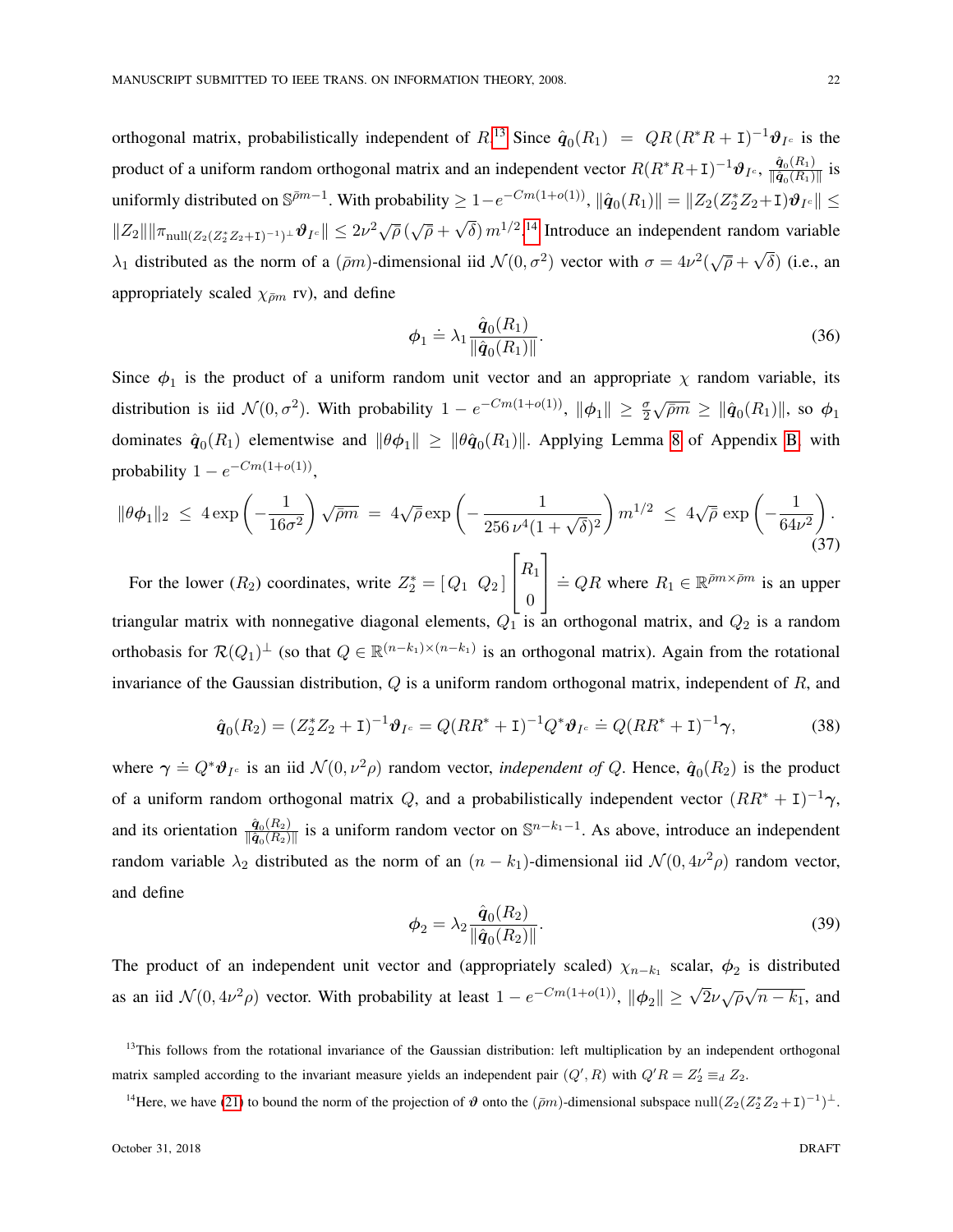orthogonal matrix, probabilistically independent of  $R^{13}$  $R^{13}$  $R^{13}$  Since  $\hat{q}_0(R_1) = QR (R^*R + I)^{-1} \theta_{I^c}$  is the product of a uniform random orthogonal matrix and an independent vector  $R(R^*R+I)^{-1}\theta_{I^c}$ ,  $\frac{\hat{q}_0(R_1)}{||\hat{q}_c(R_1)||}$  $\frac{\mathbf{q}_0(R_1)}{\|\hat{\mathbf{q}}_0(R_1)\|}$  is uniformly distributed on  $\mathbb{S}^{\bar{p}m-1}$ . With probability  $\geq 1-e^{-Cm(1+o(1))}$ ,  $\|\hat{\boldsymbol{q}}_0(R_1)\| = \|Z_2(Z_2^*Z_2+I)\boldsymbol{\vartheta}_{I^c}\| \leq$  $||Z_2|| ||\pi_{\mathrm{null}(Z_2(Z_2^*Z_2+\mathrm{I})^{-1})^{\perp}} \boldsymbol{\vartheta}_{I^c}|| \leq 2\nu^2\sqrt{\bar{\rho}}(\sqrt{\bar{\rho}}+\bar{\rho})$  $\sqrt{\delta}$ )  $m^{1/2}$ .<sup>[14](#page-21-1)</sup> Introduce an independent random variable  $\lambda_1$  distributed as the norm of a ( $\bar{\rho}m$ )-dimensional iid  $\mathcal{N}(0, \sigma^2)$  vector with  $\sigma = 4\nu^2(\sqrt{\bar{\rho}} + \bar{\rho})$ √  $\delta$ ) (i.e., an appropriately scaled  $\chi_{\bar{\rho}m}$  rv), and define

$$
\phi_1 \doteq \lambda_1 \frac{\hat{q}_0(R_1)}{\|\hat{q}_0(R_1)\|}.\tag{36}
$$

Since  $\phi_1$  is the product of a uniform random unit vector and an appropriate  $\chi$  random variable, its distribution is iid  $\mathcal{N}(0, \sigma^2)$ . With probability  $1 - e^{-Cm(1 + o(1))}$ ,  $\|\phi_1\| \geq \frac{\sigma}{2}$  $\sqrt{\bar{\rho}m} \geq \|\hat{\boldsymbol{q}}_0(R_1)\|$ , so  $\boldsymbol{\phi}_1$ dominates  $\hat{q}_0(R_1)$  elementwise and  $\|\theta\phi_1\|\geq \|\theta\hat{q}_0(R_1)\|$ . Applying Lemma [8](#page-38-0) of Appendix [B,](#page-36-1) with probability  $1 - e^{-Cm(1+o(1))}$ ,

$$
\|\theta\phi_1\|_2 \le 4\exp\left(-\frac{1}{16\sigma^2}\right)\sqrt{\bar{\rho}m} = 4\sqrt{\bar{\rho}}\exp\left(-\frac{1}{256\,\nu^4(1+\sqrt{\delta})^2}\right)m^{1/2} \le 4\sqrt{\bar{\rho}}\exp\left(-\frac{1}{64\nu^2}\right).
$$
\n(37)

For the lower  $(R_2)$  coordinates, write  $Z_2^* = [Q_1 \ Q_2]$  $\overline{1}$  $R_1$ 0  $\Big|$  = QR where  $R_1 \in \mathbb{R}^{\bar{p}m \times \bar{p}m}$  is an upper triangular matrix with nonnegative diagonal elements,  $Q_1$  is an orthogonal matrix, and  $Q_2$  is a random orthobasis for  $\mathcal{R}(Q_1)^\perp$  (so that  $Q \in \mathbb{R}^{(n-k_1)\times(n-k_1)}$  is an orthogonal matrix). Again from the rotational invariance of the Gaussian distribution,  $Q$  is a uniform random orthogonal matrix, independent of  $R$ , and

$$
\hat{\mathbf{q}}_0(R_2) = (Z_2^* Z_2 + \mathbf{I})^{-1} \boldsymbol{\vartheta}_{I^c} = Q(RR^* + \mathbf{I})^{-1} Q^* \boldsymbol{\vartheta}_{I^c} \doteq Q(RR^* + \mathbf{I})^{-1} \boldsymbol{\gamma},
$$
\n(38)

where  $\gamma \doteq Q^* \theta_{I^c}$  is an iid  $\mathcal{N}(0, \nu^2 \rho)$  random vector, *independent of Q*. Hence,  $\hat{q}_0(R_2)$  is the product of a uniform random orthogonal matrix Q, and a probabilistically independent vector  $(RR^* + I)^{-1}\gamma$ , and its orientation  $\frac{\hat{\mathbf{q}}_0(R_2)}{\|\hat{\mathbf{q}}_0(R_2)\|}$  $\frac{\hat{q}_0(R_2)}{\|\hat{q}_0(R_2)\|}$  is a uniform random vector on  $\mathbb{S}^{n-k_1-1}$ . As above, introduce an independent random variable  $\lambda_2$  distributed as the norm of an  $(n - k_1)$ -dimensional iid  $\mathcal{N}(0, 4\nu^2 \rho)$  random vector, and define

$$
\phi_2 = \lambda_2 \frac{\hat{q}_0(R_2)}{\|\hat{q}_0(R_2)\|}.
$$
\n(39)

The product of an independent unit vector and (appropriately scaled)  $\chi_{n-k_1}$  scalar,  $\phi_2$  is distributed as an iid  $\mathcal{N}(0, 4\nu^2 \rho)$  vector. With probability at least  $1 - e^{-Cm(1+o(1))}$ ,  $\|\phi_2\| \ge \sqrt{2}\nu\sqrt{\rho}\sqrt{\rho^2}$  $\overline{n-k_1}$ , and

<span id="page-21-0"></span><sup>&</sup>lt;sup>13</sup>This follows from the rotational invariance of the Gaussian distribution: left multiplication by an independent orthogonal matrix sampled according to the invariant measure yields an independent pair  $(Q', R)$  with  $Q'R = Z'_2 \equiv_d Z_2$ .

<span id="page-21-1"></span><sup>&</sup>lt;sup>14</sup>Here, we have [\(21\)](#page-16-4) to bound the norm of the projection of  $\vartheta$  onto the  $(\bar{\rho}m)$ -dimensional subspace null $(Z_2(Z_2^*Z_2+I)^{-1})^{\perp}$ .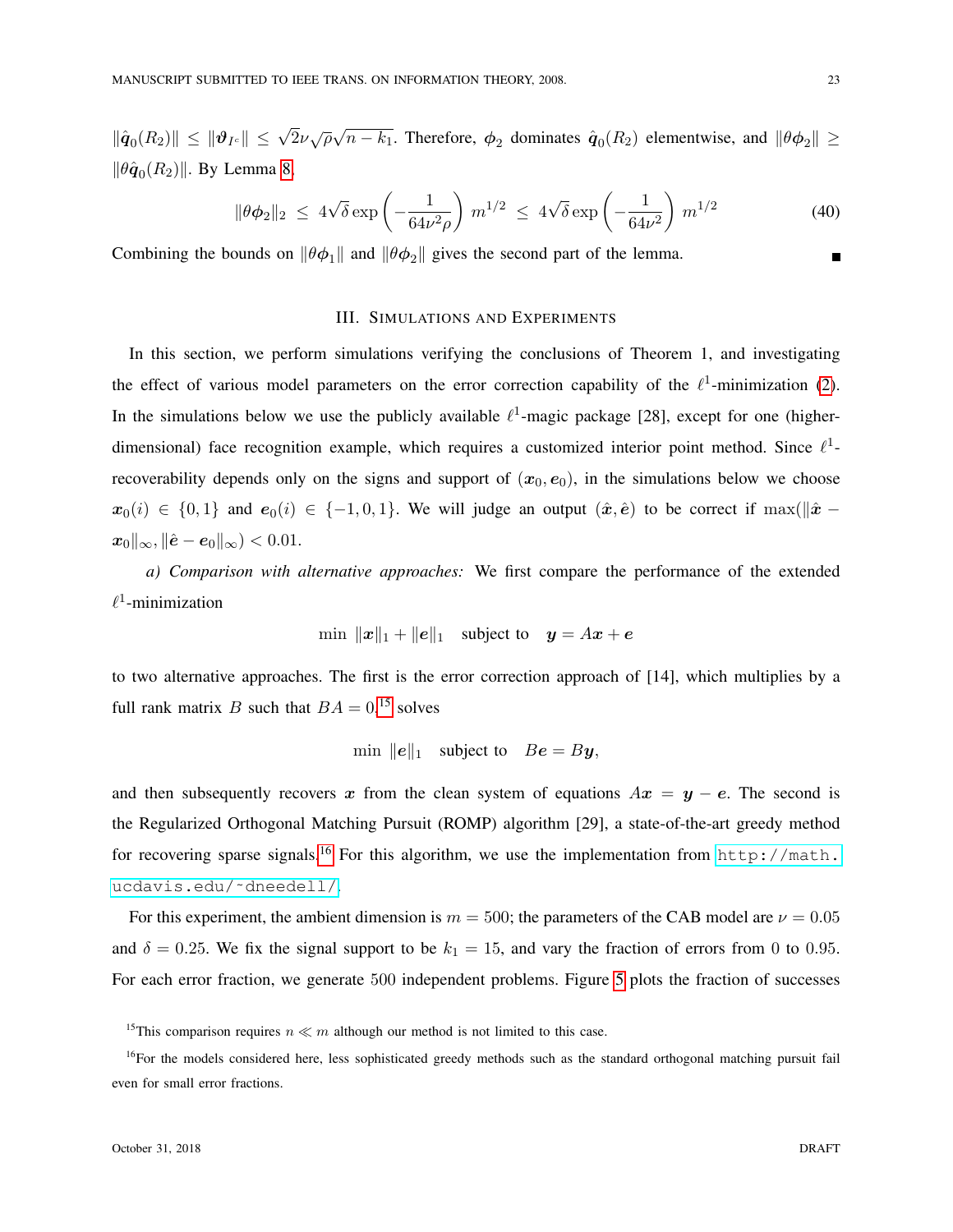$\|\hat{\boldsymbol{q}}_0(R_2)\| \leq \|\boldsymbol{\vartheta}_{I^c}\| \leq \sqrt{2}\nu\sqrt{\rho}\sqrt{\rho}$  $\overline{n-k_1}$ . Therefore,  $\phi_2$  dominates  $\hat{q}_0(R_2)$  elementwise, and  $\|\theta\phi_2\|\geq$  $\|\theta \hat{\boldsymbol{q}}_0(R_2)\|$ . By Lemma [8,](#page-38-0)

$$
\|\theta\phi_2\|_2 \le 4\sqrt{\delta} \exp\left(-\frac{1}{64\nu^2\rho}\right) m^{1/2} \le 4\sqrt{\delta} \exp\left(-\frac{1}{64\nu^2}\right) m^{1/2}
$$
 (40)

<span id="page-22-0"></span>Combining the bounds on  $\|\theta\phi_1\|$  and  $\|\theta\phi_2\|$  gives the second part of the lemma.

# III. SIMULATIONS AND EXPERIMENTS

In this section, we perform simulations verifying the conclusions of Theorem 1, and investigating the effect of various model parameters on the error correction capability of the  $\ell^1$ -minimization [\(2\)](#page-2-0). In the simulations below we use the publicly available  $\ell^1$ -magic package [28], except for one (higherdimensional) face recognition example, which requires a customized interior point method. Since  $\ell^1$ recoverability depends only on the signs and support of  $(x_0, e_0)$ , in the simulations below we choose  $x_0(i) \in \{0,1\}$  and  $e_0(i) \in \{-1,0,1\}$ . We will judge an output  $(\hat{x}, \hat{e})$  to be correct if max( $\|\hat{x} \|\mathbf{x}_0\|_{\infty}$ ,  $\|\hat{\mathbf{e}} - \mathbf{e}_0\|_{\infty}$ ) < 0.01.

*a) Comparison with alternative approaches:* We first compare the performance of the extended  $\ell^1$ -minimization

$$
\min \|x\|_1 + \|e\|_1 \quad \text{subject to} \quad y = Ax + e
$$

to two alternative approaches. The first is the error correction approach of [14], which multiplies by a full rank matrix B such that  $BA = 0,$ <sup>[15](#page-22-1)</sup> solves

$$
\min \|e\|_1 \quad \text{subject to} \quad Be = By,
$$

and then subsequently recovers x from the clean system of equations  $Ax = y - e$ . The second is the Regularized Orthogonal Matching Pursuit (ROMP) algorithm [29], a state-of-the-art greedy method for recovering sparse signals.<sup>[16](#page-22-2)</sup> For this algorithm, we use the implementation from [http://math.](http://math.ucdavis.edu/~dneedell/) [ucdavis.edu/˜dneedell/](http://math.ucdavis.edu/~dneedell/).

For this experiment, the ambient dimension is  $m = 500$ ; the parameters of the CAB model are  $\nu = 0.05$ and  $\delta = 0.25$ . We fix the signal support to be  $k_1 = 15$ , and vary the fraction of errors from 0 to 0.95. For each error fraction, we generate 500 independent problems. Figure [5](#page-23-0) plots the fraction of successes

<span id="page-22-2"></span><span id="page-22-1"></span><sup>&</sup>lt;sup>15</sup>This comparison requires  $n \ll m$  although our method is not limited to this case.

<sup>&</sup>lt;sup>16</sup>For the models considered here, less sophisticated greedy methods such as the standard orthogonal matching pursuit fail even for small error fractions.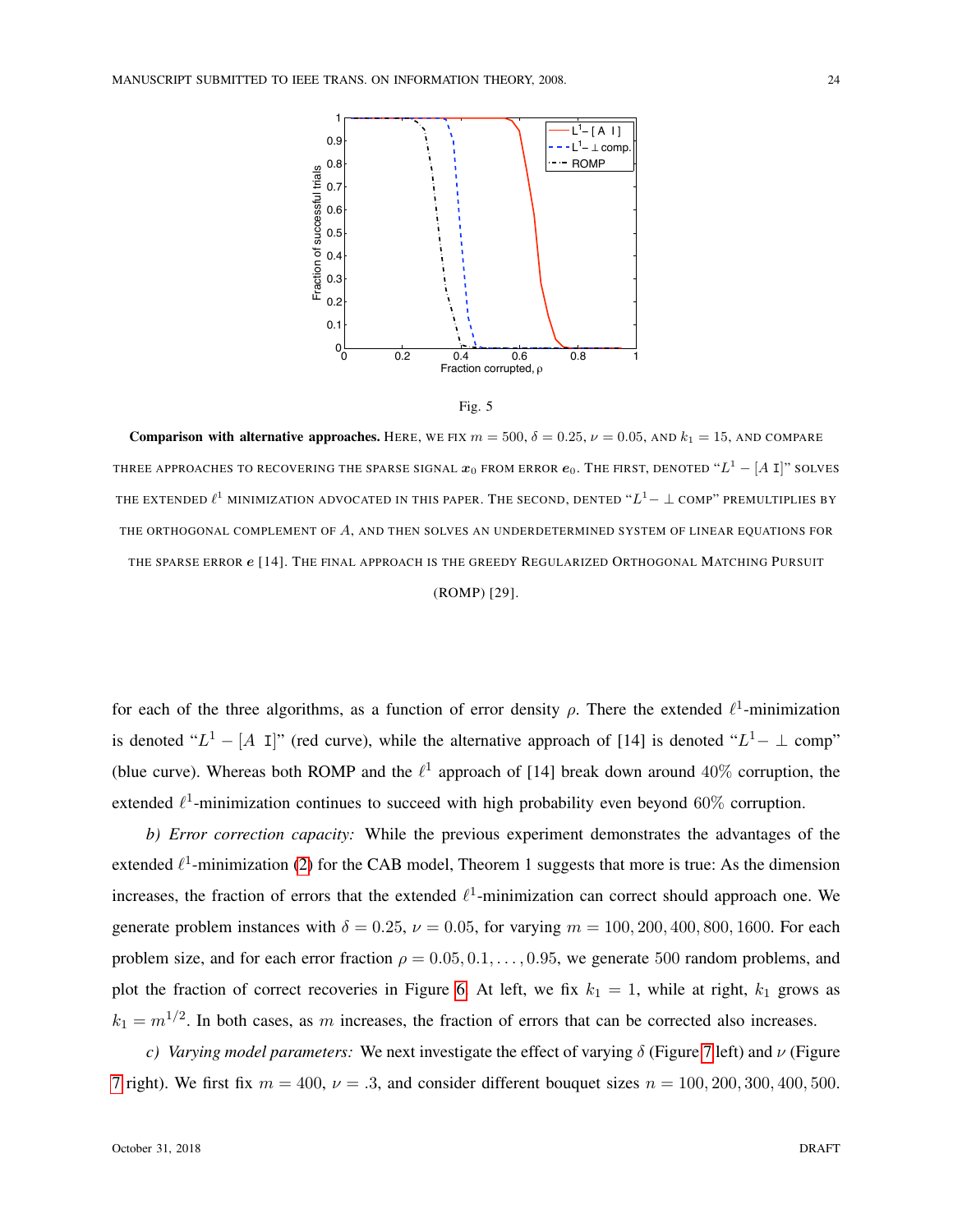



<span id="page-23-0"></span>**Comparison with alternative approaches.** HERE, WE FIX  $m = 500$ ,  $\delta = 0.25$ ,  $\nu = 0.05$ , AND  $k_1 = 15$ , AND COMPARE THREE APPROACHES TO RECOVERING THE SPARSE SIGNAL  $\bm{x}_0$  from error  $\bm{e}_0.$  The first, denoted " $L^1 - [A~\text{I}]$ " solves THE EXTENDED  $\ell^1$  minimization advocated in this paper. The second, dented " $L^1- \perp$  comp" premultiplies by THE ORTHOGONAL COMPLEMENT OF A, AND THEN SOLVES AN UNDERDETERMINED SYSTEM OF LINEAR EQUATIONS FOR THE SPARSE ERROR  $e$  [14]. THE FINAL APPROACH IS THE GREEDY REGULARIZED ORTHOGONAL MATCHING PURSUIT

## (ROMP) [29].

for each of the three algorithms, as a function of error density  $\rho$ . There the extended  $\ell^1$ -minimization is denoted " $L^1 - [A \, I]$ " (red curve), while the alternative approach of [14] is denoted " $L^1 - \bot$  comp" (blue curve). Whereas both ROMP and the  $\ell^1$  approach of [14] break down around 40% corruption, the extended  $\ell^1$ -minimization continues to succeed with high probability even beyond 60% corruption.

*b) Error correction capacity:* While the previous experiment demonstrates the advantages of the extended  $\ell^1$ -minimization [\(2\)](#page-2-0) for the CAB model, Theorem 1 suggests that more is true: As the dimension increases, the fraction of errors that the extended  $\ell^1$ -minimization can correct should approach one. We generate problem instances with  $\delta = 0.25$ ,  $\nu = 0.05$ , for varying  $m = 100, 200, 400, 800, 1600$ . For each problem size, and for each error fraction  $\rho = 0.05, 0.1, \ldots, 0.95$ , we generate 500 random problems, and plot the fraction of correct recoveries in Figure [6.](#page-24-0) At left, we fix  $k_1 = 1$ , while at right,  $k_1$  grows as  $k_1 = m^{1/2}$ . In both cases, as m increases, the fraction of errors that can be corrected also increases.

*c) Varying model parameters:* We next investigate the effect of varying δ (Figure [7](#page-25-0) left) and ν (Figure [7](#page-25-0) right). We first fix  $m = 400$ ,  $\nu = .3$ , and consider different bouquet sizes  $n = 100, 200, 300, 400, 500$ .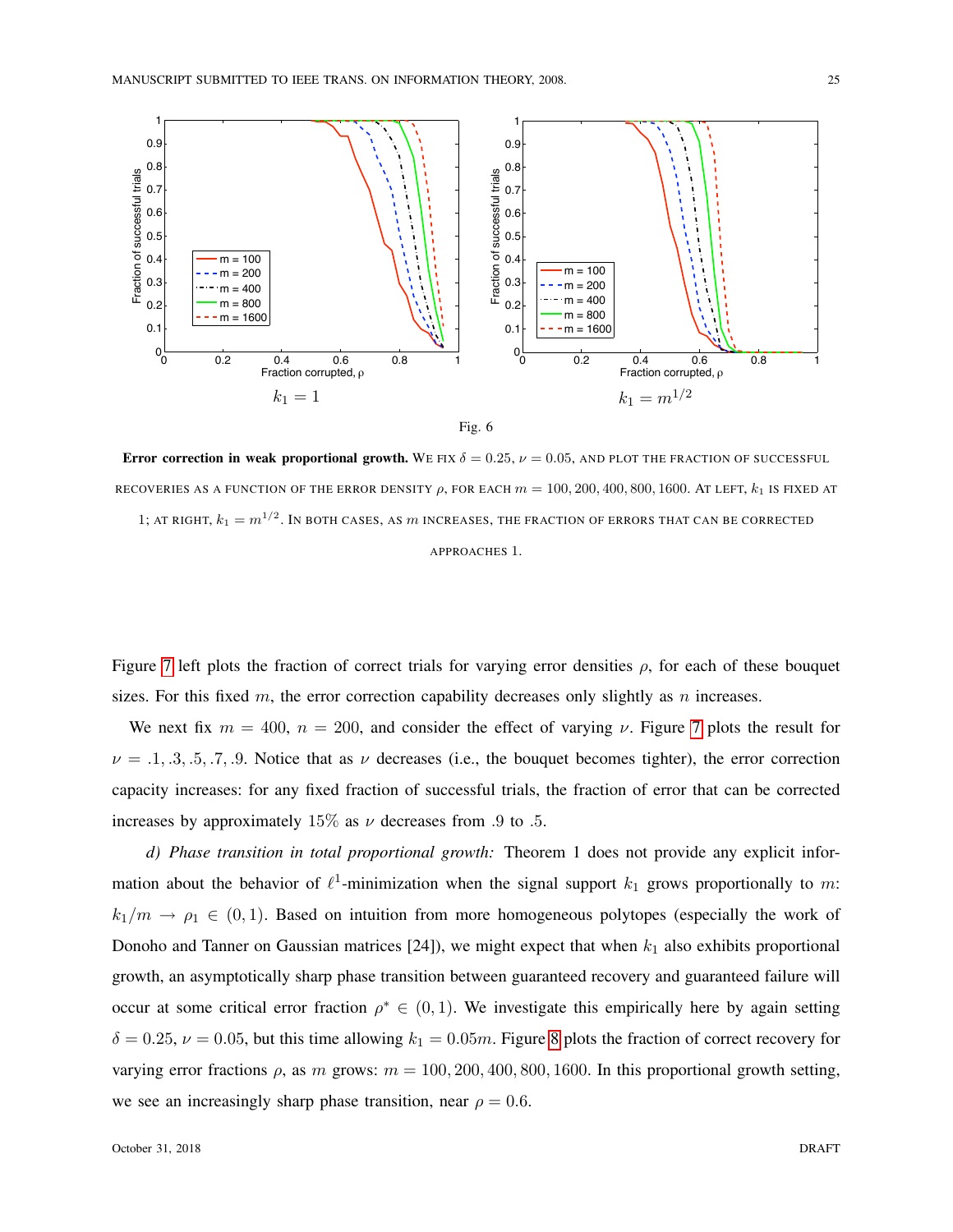



<span id="page-24-0"></span>Error correction in weak proportional growth. WE FIX  $\delta = 0.25$ ,  $\nu = 0.05$ , AND PLOT THE FRACTION OF SUCCESSFUL RECOVERIES AS A FUNCTION OF THE ERROR DENSITY  $\rho$ , FOR EACH  $m = 100, 200, 400, 800, 1600$ . AT LEFT,  $k_1$  is fixed at

1; AT RIGHT,  $k_1=m^{1/2}.$  In both cases, as  $m$  increases, the fraction of errors that can be corrected

APPROACHES 1.

Figure [7](#page-25-0) left plots the fraction of correct trials for varying error densities  $\rho$ , for each of these bouquet sizes. For this fixed m, the error correction capability decreases only slightly as n increases.

We next fix  $m = 400$ ,  $n = 200$ , and consider the effect of varying  $\nu$ . Figure [7](#page-25-0) plots the result for  $\nu = .1, .3, .5, .7, .9$ . Notice that as  $\nu$  decreases (i.e., the bouquet becomes tighter), the error correction capacity increases: for any fixed fraction of successful trials, the fraction of error that can be corrected increases by approximately 15% as  $\nu$  decreases from .9 to .5.

*d) Phase transition in total proportional growth:* Theorem 1 does not provide any explicit information about the behavior of  $\ell^1$ -minimization when the signal support  $k_1$  grows proportionally to m:  $k_1/m \rightarrow \rho_1 \in (0,1)$ . Based on intuition from more homogeneous polytopes (especially the work of Donoho and Tanner on Gaussian matrices [24]), we might expect that when  $k_1$  also exhibits proportional growth, an asymptotically sharp phase transition between guaranteed recovery and guaranteed failure will occur at some critical error fraction  $\rho^* \in (0, 1)$ . We investigate this empirically here by again setting  $\delta = 0.25$ ,  $\nu = 0.05$ , but this time allowing  $k_1 = 0.05m$ . Figure [8](#page-26-0) plots the fraction of correct recovery for varying error fractions  $\rho$ , as m grows:  $m = 100, 200, 400, 800, 1600$ . In this proportional growth setting, we see an increasingly sharp phase transition, near  $\rho = 0.6$ .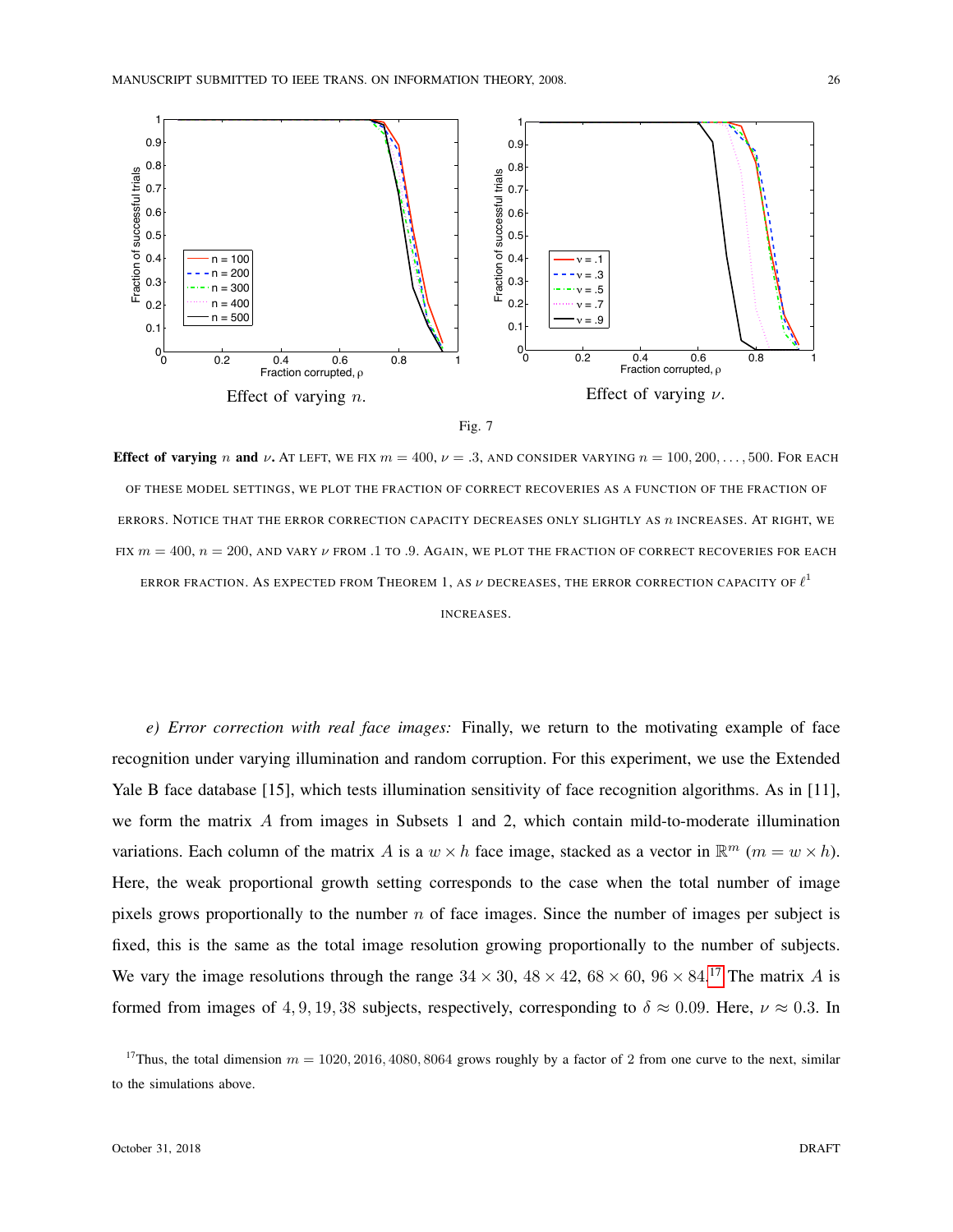



<span id="page-25-0"></span>Effect of varying n and  $\nu$ . AT LEFT, WE FIX  $m = 400$ ,  $\nu = .3$ , AND CONSIDER VARYING  $n = 100, 200, \ldots, 500$ . FOR EACH OF THESE MODEL SETTINGS, WE PLOT THE FRACTION OF CORRECT RECOVERIES AS A FUNCTION OF THE FRACTION OF ERRORS. NOTICE THAT THE ERROR CORRECTION CAPACITY DECREASES ONLY SLIGHTLY AS  $n$  INCREASES. AT RIGHT, WE FIX  $m = 400$ ,  $n = 200$ , AND VARY  $\nu$  FROM .1 TO .9. AGAIN, WE PLOT THE FRACTION OF CORRECT RECOVERIES FOR EACH ERROR FRACTION. AS EXPECTED FROM THEOREM 1, AS  $\nu$  decreases, the error correction capacity of  $\ell^1$ INCREASES.

*e) Error correction with real face images:* Finally, we return to the motivating example of face recognition under varying illumination and random corruption. For this experiment, we use the Extended Yale B face database [15], which tests illumination sensitivity of face recognition algorithms. As in [11], we form the matrix  $A$  from images in Subsets 1 and 2, which contain mild-to-moderate illumination variations. Each column of the matrix A is a  $w \times h$  face image, stacked as a vector in  $\mathbb{R}^m$  ( $m = w \times h$ ). Here, the weak proportional growth setting corresponds to the case when the total number of image pixels grows proportionally to the number  $n$  of face images. Since the number of images per subject is fixed, this is the same as the total image resolution growing proportionally to the number of subjects. We vary the image resolutions through the range  $34 \times 30$ ,  $48 \times 42$ ,  $68 \times 60$ ,  $96 \times 84$ .<sup>[17](#page-25-1)</sup> The matrix A is formed from images of 4, 9, 19, 38 subjects, respectively, corresponding to  $\delta \approx 0.09$ . Here,  $\nu \approx 0.3$ . In

<span id="page-25-1"></span><sup>17</sup>Thus, the total dimension  $m = 1020, 2016, 4080, 8064$  grows roughly by a factor of 2 from one curve to the next, similar to the simulations above.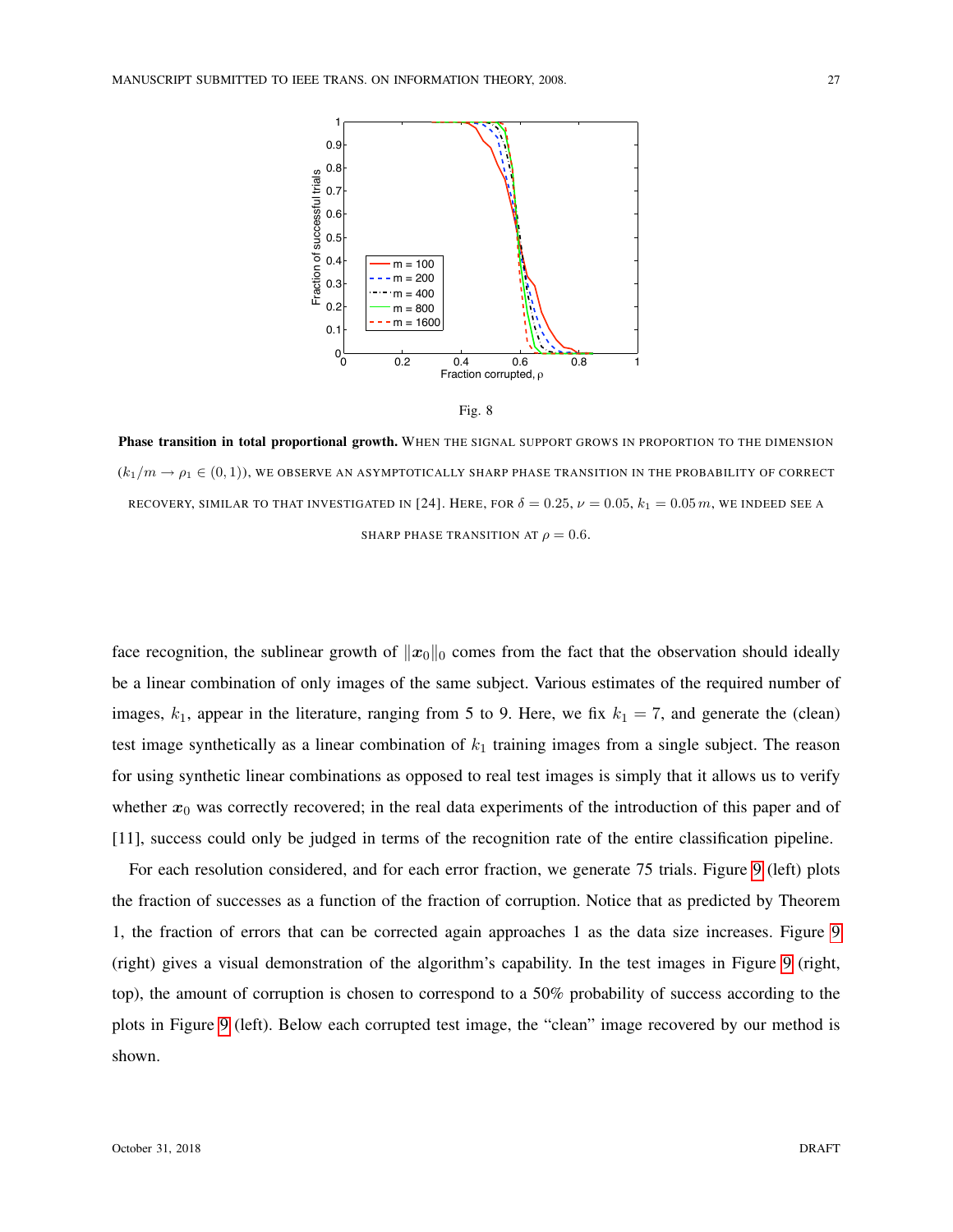



<span id="page-26-0"></span>Phase transition in total proportional growth. WHEN THE SIGNAL SUPPORT GROWS IN PROPORTION TO THE DIMENSION  $(k_1/m \rightarrow \rho_1 \in (0,1))$ , WE OBSERVE AN ASYMPTOTICALLY SHARP PHASE TRANSITION IN THE PROBABILITY OF CORRECT RECOVERY, SIMILAR TO THAT INVESTIGATED IN [24]. HERE, FOR  $\delta = 0.25$ ,  $\nu = 0.05$ ,  $k_1 = 0.05$  m, we indeed see a SHARP PHASE TRANSITION AT  $\rho = 0.6$ .

face recognition, the sublinear growth of  $||x_0||_0$  comes from the fact that the observation should ideally be a linear combination of only images of the same subject. Various estimates of the required number of images,  $k_1$ , appear in the literature, ranging from 5 to 9. Here, we fix  $k_1 = 7$ , and generate the (clean) test image synthetically as a linear combination of  $k_1$  training images from a single subject. The reason for using synthetic linear combinations as opposed to real test images is simply that it allows us to verify whether  $x_0$  was correctly recovered; in the real data experiments of the introduction of this paper and of [11], success could only be judged in terms of the recognition rate of the entire classification pipeline.

For each resolution considered, and for each error fraction, we generate 75 trials. Figure [9](#page-27-0) (left) plots the fraction of successes as a function of the fraction of corruption. Notice that as predicted by Theorem 1, the fraction of errors that can be corrected again approaches 1 as the data size increases. Figure [9](#page-27-0) (right) gives a visual demonstration of the algorithm's capability. In the test images in Figure [9](#page-27-0) (right, top), the amount of corruption is chosen to correspond to a 50% probability of success according to the plots in Figure [9](#page-27-0) (left). Below each corrupted test image, the "clean" image recovered by our method is shown.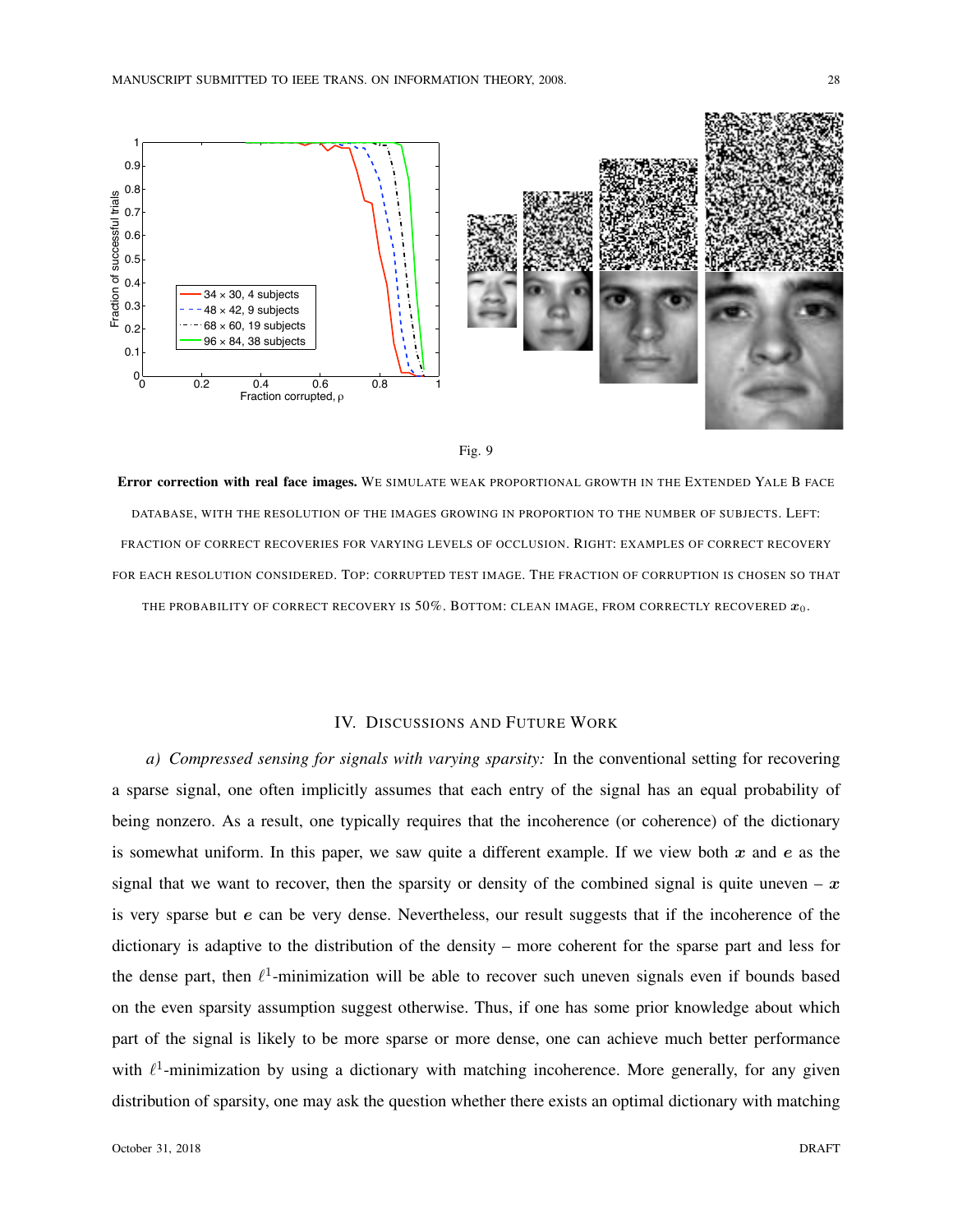



<span id="page-27-0"></span>Error correction with real face images. WE SIMULATE WEAK PROPORTIONAL GROWTH IN THE EXTENDED YALE B FACE DATABASE, WITH THE RESOLUTION OF THE IMAGES GROWING IN PROPORTION TO THE NUMBER OF SUBJECTS. LEFT: FRACTION OF CORRECT RECOVERIES FOR VARYING LEVELS OF OCCLUSION. RIGHT: EXAMPLES OF CORRECT RECOVERY FOR EACH RESOLUTION CONSIDERED. TOP: CORRUPTED TEST IMAGE. THE FRACTION OF CORRUPTION IS CHOSEN SO THAT THE PROBABILITY OF CORRECT RECOVERY IS  $50\%$ . BOTTOM: CLEAN IMAGE, FROM CORRECTLY RECOVERED  $x_0$ .

# IV. DISCUSSIONS AND FUTURE WORK

*a) Compressed sensing for signals with varying sparsity:* In the conventional setting for recovering a sparse signal, one often implicitly assumes that each entry of the signal has an equal probability of being nonzero. As a result, one typically requires that the incoherence (or coherence) of the dictionary is somewhat uniform. In this paper, we saw quite a different example. If we view both  $x$  and  $e$  as the signal that we want to recover, then the sparsity or density of the combined signal is quite uneven –  $x$ is very sparse but e can be very dense. Nevertheless, our result suggests that if the incoherence of the dictionary is adaptive to the distribution of the density – more coherent for the sparse part and less for the dense part, then  $\ell^1$ -minimization will be able to recover such uneven signals even if bounds based on the even sparsity assumption suggest otherwise. Thus, if one has some prior knowledge about which part of the signal is likely to be more sparse or more dense, one can achieve much better performance with  $\ell^1$ -minimization by using a dictionary with matching incoherence. More generally, for any given distribution of sparsity, one may ask the question whether there exists an optimal dictionary with matching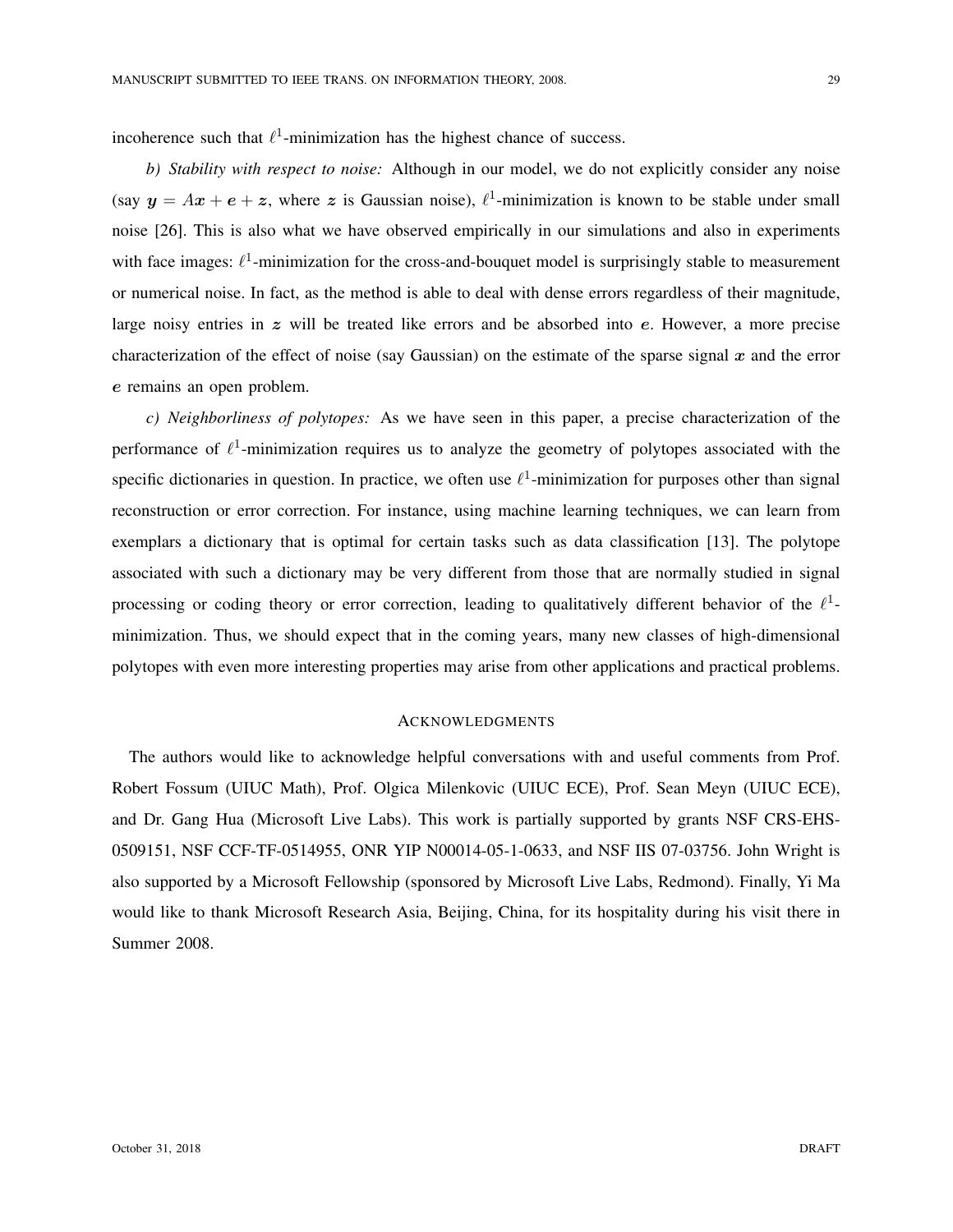incoherence such that  $\ell^1$ -minimization has the highest chance of success.

*b) Stability with respect to noise:* Although in our model, we do not explicitly consider any noise (say  $y = Ax + e + z$ , where z is Gaussian noise),  $\ell^1$ -minimization is known to be stable under small noise [26]. This is also what we have observed empirically in our simulations and also in experiments with face images:  $\ell^1$ -minimization for the cross-and-bouquet model is surprisingly stable to measurement or numerical noise. In fact, as the method is able to deal with dense errors regardless of their magnitude, large noisy entries in  $z$  will be treated like errors and be absorbed into  $e$ . However, a more precise characterization of the effect of noise (say Gaussian) on the estimate of the sparse signal  $x$  and the error e remains an open problem.

*c) Neighborliness of polytopes:* As we have seen in this paper, a precise characterization of the performance of  $\ell^1$ -minimization requires us to analyze the geometry of polytopes associated with the specific dictionaries in question. In practice, we often use  $\ell^1$ -minimization for purposes other than signal reconstruction or error correction. For instance, using machine learning techniques, we can learn from exemplars a dictionary that is optimal for certain tasks such as data classification [13]. The polytope associated with such a dictionary may be very different from those that are normally studied in signal processing or coding theory or error correction, leading to qualitatively different behavior of the  $\ell^1$ minimization. Thus, we should expect that in the coming years, many new classes of high-dimensional polytopes with even more interesting properties may arise from other applications and practical problems.

# **ACKNOWLEDGMENTS**

The authors would like to acknowledge helpful conversations with and useful comments from Prof. Robert Fossum (UIUC Math), Prof. Olgica Milenkovic (UIUC ECE), Prof. Sean Meyn (UIUC ECE), and Dr. Gang Hua (Microsoft Live Labs). This work is partially supported by grants NSF CRS-EHS-0509151, NSF CCF-TF-0514955, ONR YIP N00014-05-1-0633, and NSF IIS 07-03756. John Wright is also supported by a Microsoft Fellowship (sponsored by Microsoft Live Labs, Redmond). Finally, Yi Ma would like to thank Microsoft Research Asia, Beijing, China, for its hospitality during his visit there in Summer 2008.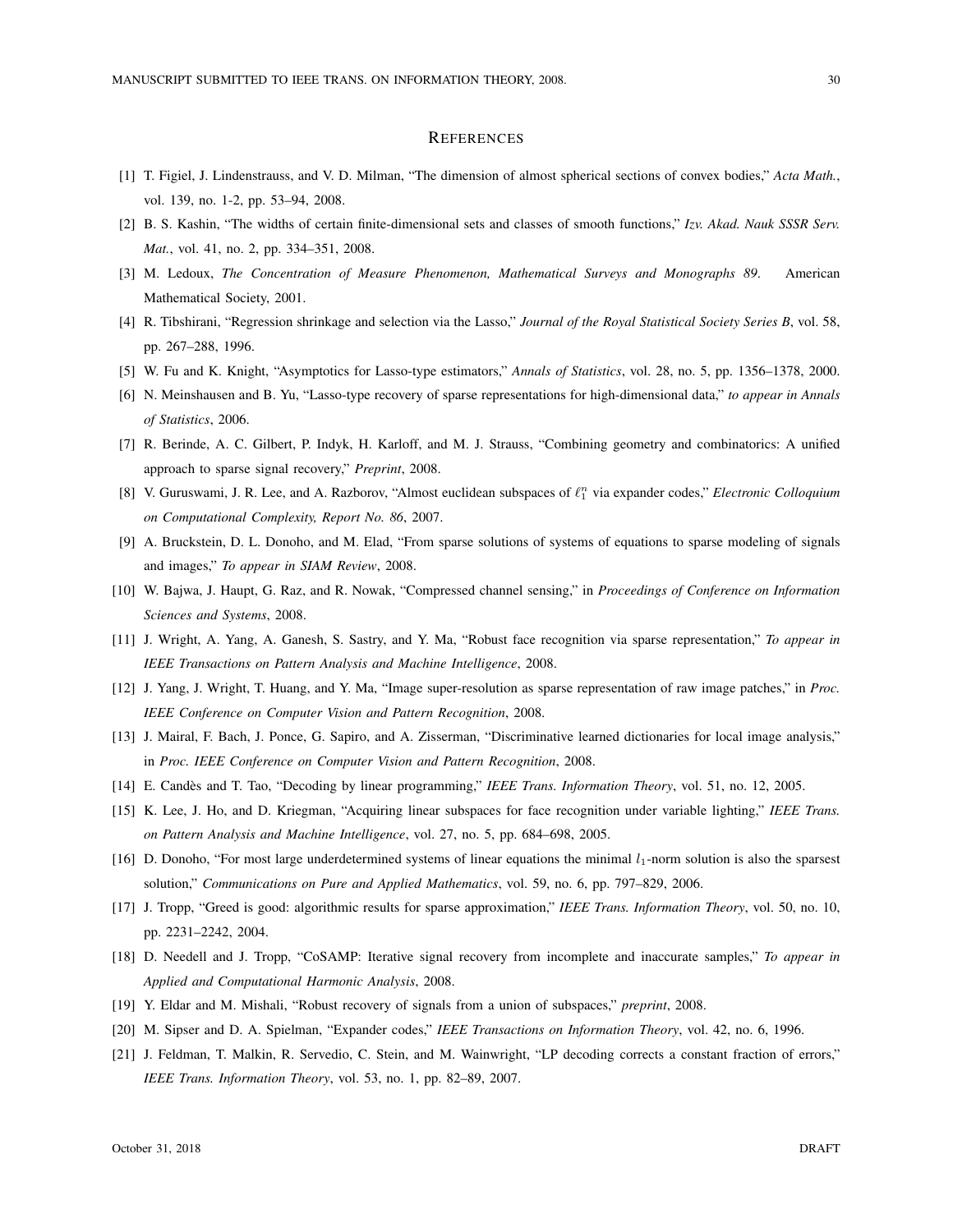#### **REFERENCES**

- [1] T. Figiel, J. Lindenstrauss, and V. D. Milman, "The dimension of almost spherical sections of convex bodies," *Acta Math.*, vol. 139, no. 1-2, pp. 53–94, 2008.
- [2] B. S. Kashin, "The widths of certain finite-dimensional sets and classes of smooth functions," *Izv. Akad. Nauk SSSR Serv. Mat.*, vol. 41, no. 2, pp. 334–351, 2008.
- [3] M. Ledoux, *The Concentration of Measure Phenomenon, Mathematical Surveys and Monographs 89*. American Mathematical Society, 2001.
- [4] R. Tibshirani, "Regression shrinkage and selection via the Lasso," *Journal of the Royal Statistical Society Series B*, vol. 58, pp. 267–288, 1996.
- [5] W. Fu and K. Knight, "Asymptotics for Lasso-type estimators," *Annals of Statistics*, vol. 28, no. 5, pp. 1356–1378, 2000.
- [6] N. Meinshausen and B. Yu, "Lasso-type recovery of sparse representations for high-dimensional data," *to appear in Annals of Statistics*, 2006.
- [7] R. Berinde, A. C. Gilbert, P. Indyk, H. Karloff, and M. J. Strauss, "Combining geometry and combinatorics: A unified approach to sparse signal recovery," *Preprint*, 2008.
- [8] V. Guruswami, J. R. Lee, and A. Razborov, "Almost euclidean subspaces of  $\ell_1^n$  via expander codes," *Electronic Colloquium on Computational Complexity, Report No. 86*, 2007.
- [9] A. Bruckstein, D. L. Donoho, and M. Elad, "From sparse solutions of systems of equations to sparse modeling of signals and images," *To appear in SIAM Review*, 2008.
- [10] W. Bajwa, J. Haupt, G. Raz, and R. Nowak, "Compressed channel sensing," in *Proceedings of Conference on Information Sciences and Systems*, 2008.
- [11] J. Wright, A. Yang, A. Ganesh, S. Sastry, and Y. Ma, "Robust face recognition via sparse representation," *To appear in IEEE Transactions on Pattern Analysis and Machine Intelligence*, 2008.
- [12] J. Yang, J. Wright, T. Huang, and Y. Ma, "Image super-resolution as sparse representation of raw image patches," in *Proc. IEEE Conference on Computer Vision and Pattern Recognition*, 2008.
- [13] J. Mairal, F. Bach, J. Ponce, G. Sapiro, and A. Zisserman, "Discriminative learned dictionaries for local image analysis," in *Proc. IEEE Conference on Computer Vision and Pattern Recognition*, 2008.
- [14] E. Candès and T. Tao, "Decoding by linear programming," IEEE Trans. Information Theory, vol. 51, no. 12, 2005.
- [15] K. Lee, J. Ho, and D. Kriegman, "Acquiring linear subspaces for face recognition under variable lighting," *IEEE Trans. on Pattern Analysis and Machine Intelligence*, vol. 27, no. 5, pp. 684–698, 2005.
- [16] D. Donoho, "For most large underdetermined systems of linear equations the minimal  $l_1$ -norm solution is also the sparsest solution," *Communications on Pure and Applied Mathematics*, vol. 59, no. 6, pp. 797–829, 2006.
- [17] J. Tropp, "Greed is good: algorithmic results for sparse approximation," *IEEE Trans. Information Theory*, vol. 50, no. 10, pp. 2231–2242, 2004.
- [18] D. Needell and J. Tropp, "CoSAMP: Iterative signal recovery from incomplete and inaccurate samples," *To appear in Applied and Computational Harmonic Analysis*, 2008.
- [19] Y. Eldar and M. Mishali, "Robust recovery of signals from a union of subspaces," *preprint*, 2008.
- [20] M. Sipser and D. A. Spielman, "Expander codes," *IEEE Transactions on Information Theory*, vol. 42, no. 6, 1996.
- [21] J. Feldman, T. Malkin, R. Servedio, C. Stein, and M. Wainwright, "LP decoding corrects a constant fraction of errors," *IEEE Trans. Information Theory*, vol. 53, no. 1, pp. 82–89, 2007.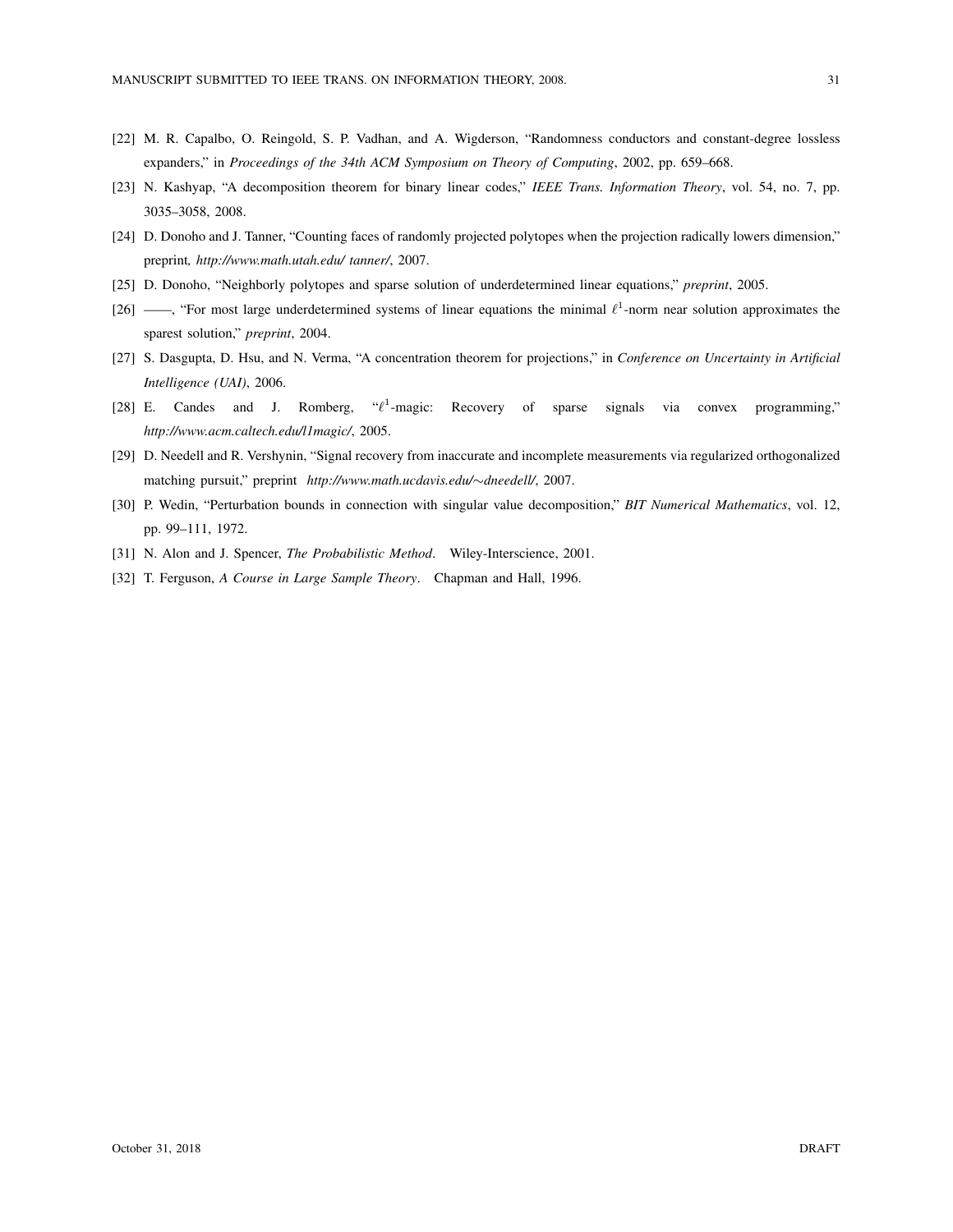- [22] M. R. Capalbo, O. Reingold, S. P. Vadhan, and A. Wigderson, "Randomness conductors and constant-degree lossless expanders," in *Proceedings of the 34th ACM Symposium on Theory of Computing*, 2002, pp. 659–668.
- [23] N. Kashyap, "A decomposition theorem for binary linear codes," *IEEE Trans. Information Theory*, vol. 54, no. 7, pp. 3035–3058, 2008.
- [24] D. Donoho and J. Tanner, "Counting faces of randomly projected polytopes when the projection radically lowers dimension," preprint*, http://www.math.utah.edu/ tanner/*, 2007.
- [25] D. Donoho, "Neighborly polytopes and sparse solution of underdetermined linear equations," *preprint*, 2005.
- [26] ——, "For most large underdetermined systems of linear equations the minimal  $\ell^1$ -norm near solution approximates the sparest solution," *preprint*, 2004.
- [27] S. Dasgupta, D. Hsu, and N. Verma, "A concentration theorem for projections," in *Conference on Uncertainty in Artificial Intelligence (UAI)*, 2006.
- [28] E. Candes and J. Romberg, " $\ell^1$ -magic: Recovery of sparse signals via convex programming," *http://www.acm.caltech.edu/l1magic/*, 2005.
- [29] D. Needell and R. Vershynin, "Signal recovery from inaccurate and incomplete measurements via regularized orthogonalized matching pursuit," preprint *http://www.math.ucdavis.edu/*∼*dneedell/*, 2007.
- [30] P. Wedin, "Perturbation bounds in connection with singular value decomposition," *BIT Numerical Mathematics*, vol. 12, pp. 99–111, 1972.
- [31] N. Alon and J. Spencer, *The Probabilistic Method*. Wiley-Interscience, 2001.
- [32] T. Ferguson, *A Course in Large Sample Theory*. Chapman and Hall, 1996.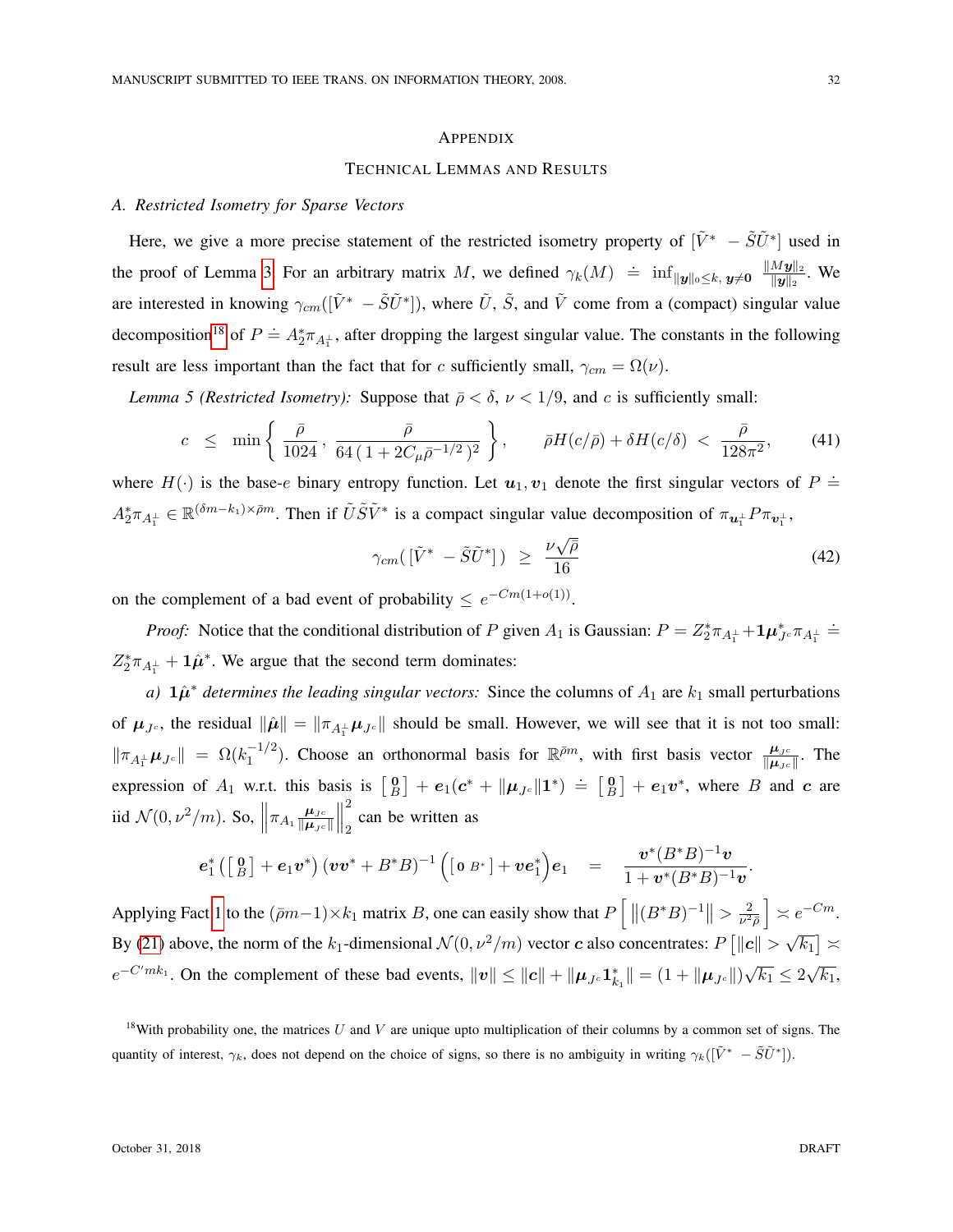#### <span id="page-31-0"></span>APPENDIX

## TECHNICAL LEMMAS AND RESULTS

# <span id="page-31-1"></span>*A. Restricted Isometry for Sparse Vectors*

Here, we give a more precise statement of the restricted isometry property of  $[\tilde{V}^* - \tilde{S}\tilde{U}^*]$  used in the proof of Lemma [3.](#page-16-5) For an arbitrary matrix M, we defined  $\gamma_k(M) \doteq \inf_{\|\mathbf{y}\|_0 \leq k, \mathbf{y} \neq \mathbf{0}} \frac{\|M\mathbf{y}\|_2}{\|\mathbf{y}\|_2}$  $\frac{M \mathbf{\bm{y}} ||_2}{\|\mathbf{y}\|_2}$ . We are interested in knowing  $\gamma_{cm}([\tilde{V}^* - \tilde{S}\tilde{U}^*])$ , where  $\tilde{U}$ ,  $\tilde{S}$ , and  $\tilde{V}$  come from a (compact) singular value decomposition<sup>[18](#page-31-2)</sup> of  $P \doteq A_2^* \pi_{A_1^+}$ , after dropping the largest singular value. The constants in the following result are less important than the fact that for c sufficiently small,  $\gamma_{cm} = \Omega(\nu)$ .

*Lemma 5 (Restricted Isometry):* Suppose that  $\bar{\rho} < \delta$ ,  $\nu < 1/9$ , and c is sufficiently small:

$$
c \leq \min\left\{\frac{\bar{\rho}}{1024}, \frac{\bar{\rho}}{64(1+2C_{\mu}\bar{\rho}^{-1/2})^2}\right\}, \quad \bar{\rho}H(c/\bar{\rho}) + \delta H(c/\delta) < \frac{\bar{\rho}}{128\pi^2},\tag{41}
$$

where  $H(\cdot)$  is the base-e binary entropy function. Let  $u_1, v_1$  denote the first singular vectors of  $P =$  $A_2^* \pi_{A_1^{\perp}} \in \mathbb{R}^{(\delta m - k_1) \times \bar{\rho} m}$ . Then if  $\tilde{U} \tilde{S} \tilde{V}^*$  is a compact singular value decomposition of  $\pi_{\mathbf{u}_1^{\perp}} P \pi_{\mathbf{v}_1^{\perp}}$ ,

$$
\gamma_{cm}([\tilde{V}^* - \tilde{S}\tilde{U}^*]) \geq \frac{\nu\sqrt{\bar{\rho}}}{16} \tag{42}
$$

on the complement of a bad event of probability  $\leq e^{-Cm(1+o(1))}$ .

*Proof:* Notice that the conditional distribution of P given  $A_1$  is Gaussian:  $P = Z_2^* \pi_{A_1^{\perp}} + 1 \mu_{J^c}^* \pi_{A_1^{\perp}} =$  $Z_2^* \pi_{A_1^{\perp}} + \mathbf{1} \hat{\mu}^*$ . We argue that the second term dominates:

*a*)  $\hat{\mu}^*$  *determines the leading singular vectors:* Since the columns of  $A_1$  are  $k_1$  small perturbations of  $\mu_{J^c}$ , the residual  $\|\hat{\mu}\| = \|\pi_{A_1^{\perp}}\mu_{J^c}\|$  should be small. However, we will see that it is not too small:  $\|\pi_{A_1^{\perp}}\mu_{J^c}\| = \Omega(k_1^{-1/2})$  $\int_1^{-1/2}$ ). Choose an orthonormal basis for  $\mathbb{R}^{\bar{\rho}m}$ , with first basis vector  $\frac{\mu_{Jc}}{\|\mu_{Jc}\|}$ . The expression of  $A_1$  w.r.t. this basis is  $\begin{bmatrix} 0 \\ B \end{bmatrix} + e_1(c^* + ||\mu_{Jc}||1^*) = \begin{bmatrix} 0 \\ B \end{bmatrix} + e_1v^*$ , where B and c are iid  $\mathcal{N}(0, \nu^2/m)$ . So,  $\left\|\pi_{A_1}\frac{\mu_{J^c}}{\|\mu_{J^c}\|} \right\|$  $\|\boldsymbol{\mu}_{J^c}\|$  $\begin{array}{c} \hline \end{array}$ 2 can be written as

$$
\bm{e}_1^*\left(\left[ \begin{smallmatrix} 0 \\ B \end{smallmatrix} \right] + \bm{e}_1 \bm{v}^*\right)\left(\bm{v} \bm{v}^* + B^* B\right)^{-1}\left(\left[\begin{smallmatrix} 0 & B^* \end{smallmatrix} \right] + \bm{v} \bm{e}_1^*\right)\bm{e}_1 \quad = \quad \frac{\bm{v}^*(B^*B)^{-1}\bm{v}}{1+\bm{v}^*(B^*B)^{-1}\bm{v}}
$$

Applying Fact [1](#page-16-1) to the  $(\bar{p}m-1)\times k_1$  matrix B, one can easily show that  $P\left[\|(B^*B)^{-1}\|>\frac{2}{\nu^2}\right]$  $\frac{2}{\nu^2 \bar{\rho}}$   $\geq e^{-Cm}$ . By [\(21\)](#page-16-4) above, the norm of the  $k_1$ -dimensional  $\mathcal{N}(0, \nu^2/m)$  vector c also concentrates:  $P\left[\Vert \bm{c} \Vert \geq 1\right]$ √  $\overline{k_{1}}]\asymp$  $e^{-C'mk_1}$ . On the complement of these bad events,  $||v|| \le ||c|| + ||\mu_{Jc} \mathbf{1}_{k_1}^*|| = (1 + ||\mu_{Jc}||)$ √  $\overline{k_1} \leq 2$ √  $\overline{k_1}$ 

.

<span id="page-31-2"></span><sup>&</sup>lt;sup>18</sup>With probability one, the matrices U and V are unique upto multiplication of their columns by a common set of signs. The quantity of interest,  $\gamma_k$ , does not depend on the choice of signs, so there is no ambiguity in writing  $\gamma_k([\tilde{V}^* - \tilde{S}\tilde{U}^*])$ .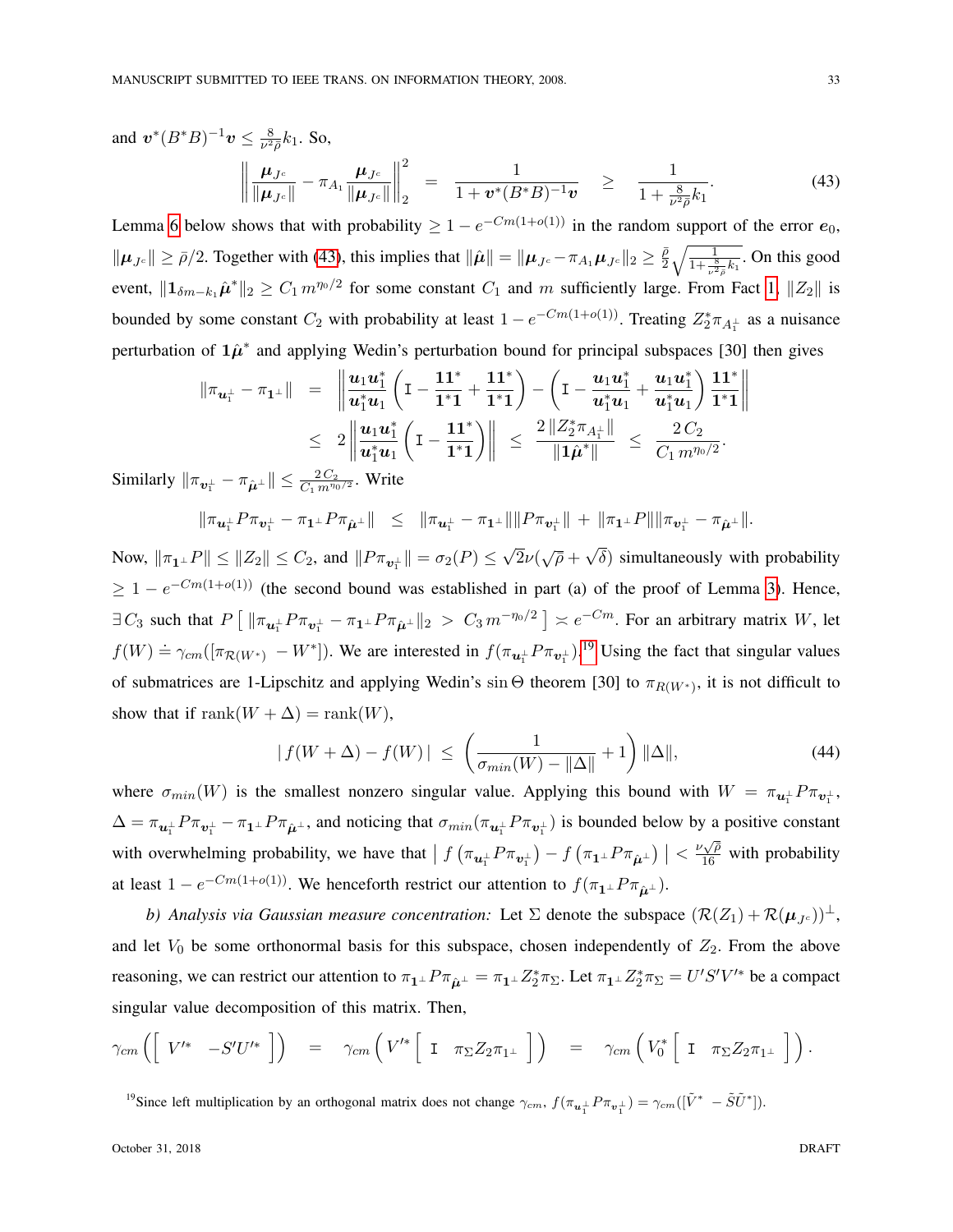and  $\mathbf{v}^*(B^*B)^{-1}\mathbf{v} \leq \frac{8}{\nu^2}$  $\frac{8}{\nu^2 \bar{\rho}} k_1$ . So,  $\mu_{J^c}$  $\frac{\boldsymbol{\mu}_{J^c}}{\|\boldsymbol{\mu}_{J^c}\|} - \pi_{A_1} \frac{\boldsymbol{\mu}_{J^c}}{\|\boldsymbol{\mu}_{J^c}\|}$  $\|\boldsymbol{\mu}_{J^c}\|$  $\begin{array}{c} \hline \end{array}$ 2 2  $=\frac{1}{1+x^2}$  $\frac{1}{1+\bm{v}^{*}(B^{*}B)^{-1}\bm{v}}$   $\geq \frac{1}{1+\frac{1}{\cdots}}$  $1 + \frac{8}{\nu^2 \bar{\rho}} k_1$  $(43)$ 

<span id="page-32-0"></span>Lemma [6](#page-35-0) below shows that with probability  $\geq 1 - e^{-Cm(1+o(1))}$  in the random support of the error  $e_0$ ,  $\|\mu_{Jc}\| \ge \bar{\rho}/2$ . Together with [\(43\)](#page-32-0), this implies that  $\|\hat{\mu}\| = \|\mu_{Jc} - \pi_{A_1}\mu_{Jc}\|_2 \ge \frac{\bar{\rho}}{2}$  $\frac{\bar{\rho}}{2}\sqrt{\frac{1}{1+\frac{8}{\nu^2\bar{\rho}}k_1}}$ . On this good event,  $\|\mathbf{1}_{\delta m-k_1}\hat{\mu}^*\|_2 \geq C_1 m^{\eta_0/2}$  for some constant  $C_1$  and m sufficiently large. From Fact [1,](#page-16-1)  $\|Z_2\|$  is bounded by some constant  $C_2$  with probability at least  $1 - e^{-Cm(1+o(1))}$ . Treating  $Z_2^* \pi_{A_1^{\perp}}$  as a nuisance perturbation of  $1\hat{\mu}^*$  and applying Wedin's perturbation bound for principal subspaces [30] then gives

$$
\begin{array}{rcl}\n\|\pi_{\mathbf{u}_{1}^{\perp}} - \pi_{\mathbf{1}^{\perp}}\| & = & \left\|\frac{\mathbf{u}_{1} \mathbf{u}_{1}^{*}}{\mathbf{u}_{1}^{*} \mathbf{u}_{1}} \left(\mathbf{I} - \frac{\mathbf{1} \mathbf{1}^{*}}{\mathbf{1}^{*} \mathbf{1}} + \frac{\mathbf{1} \mathbf{1}^{*}}{\mathbf{1}^{*} \mathbf{1}}\right) - \left(\mathbf{I} - \frac{\mathbf{u}_{1} \mathbf{u}_{1}^{*}}{\mathbf{u}_{1}^{*} \mathbf{u}_{1}} + \frac{\mathbf{u}_{1} \mathbf{u}_{1}^{*}}{\mathbf{u}_{1}^{*} \mathbf{u}_{1}}\right) \frac{\mathbf{1} \mathbf{1}^{*}}{\mathbf{1}^{*} \mathbf{1}}\right\| \\
& \leq & 2 \left\|\frac{\mathbf{u}_{1} \mathbf{u}_{1}^{*}}{\mathbf{u}_{1}^{*} \mathbf{u}_{1}} \left(\mathbf{I} - \frac{\mathbf{1} \mathbf{1}^{*}}{\mathbf{1}^{*} \mathbf{1}}\right)\right\| \leq & \frac{2 \left\|Z_{2}^{*} \pi_{A_{1}^{\perp}}\right\|}{\left\|\mathbf{1} \hat{\boldsymbol{\mu}}^{*}\right\|} \leq & \frac{2 C_{2}}{C_{1} \, m^{\eta_{0}/2}}.\n\end{array}
$$

Similarly  $\|\pi_{\bm{v}_1^{\perp}} - \pi_{\hat{\bm{\mu}}^{\perp}} \| \leq \frac{2C_2}{C_1 m^{\eta_0/2}}$ . Write

$$
\|\pi_{\bm{u}_1^{\perp}} P \pi_{\bm{v}_1^{\perp}} - \pi_{\bm{1}^{\perp}} P \pi_{\hat{\bm{\mu}}^{\perp}}\| \leq \|\pi_{\bm{u}_1^{\perp}} - \pi_{\bm{1}^{\perp}}\| \|P \pi_{\bm{v}_1^{\perp}}\| + \|\pi_{\bm{1}^{\perp}} P\| \|\pi_{\bm{v}_1^{\perp}} - \pi_{\hat{\bm{\mu}}^{\perp}}\|.
$$

Now,  $\|\pi_{\mathbf{1}^\perp}P\| \le \|Z_2\| \le C_2$ , and  $\|P\pi_{\mathbf{v}_1^\perp}\| = \sigma_2(P) \le$  $\frac{1}{2}\nu(\sqrt{\overline{\rho}}+$  $\delta$ ) simultaneously with probability  $\geq 1 - e^{-Cm(1+o(1))}$  (the second bound was established in part (a) of the proof of Lemma [3\)](#page-16-5). Hence,  $\exists C_3$  such that  $P\left[\|\pi_{\bm{u}_1^\perp}P\pi_{\bm{v}_1^\perp}-\pi_{\bm{1}^\perp}P\pi_{\hat{\bm{\mu}}^\perp}\|_2 > C_3 m^{-\eta_0/2}\right] \asymp e^{-Cm}$ . For an arbitrary matrix W, let  $f(W) \doteq \gamma_{cm}([\pi_{\mathcal{R}(W^*)} - W^*])$ . We are interested in  $f(\pi_{\mathbf{u}_1^{\perp}} P \pi_{\mathbf{v}_1^{\perp}})$ .<sup>[19](#page-32-1)</sup> Using the fact that singular values of submatrices are 1-Lipschitz and applying Wedin's sin  $\Theta$  theorem [30] to  $\pi_{R(W^*)}$ , it is not difficult to show that if rank $(W + \Delta) = \text{rank}(W)$ ,

$$
|f(W+\Delta) - f(W)| \le \left(\frac{1}{\sigma_{min}(W) - \|\Delta\|} + 1\right) \|\Delta\|,
$$
\n(44)

where  $\sigma_{min}(W)$  is the smallest nonzero singular value. Applying this bound with  $W = \pi_{u_1^{\perp}} P \pi_{v_1^{\perp}}$ ,  $\Delta = \pi_{u_1^{\perp}} P \pi_{v_1^{\perp}} - \pi_{1^{\perp}} P \pi_{\hat{\mu}^{\perp}}$ , and noticing that  $\sigma_{min}(\pi_{u_1^{\perp}} P \pi_{v_1^{\perp}})$  is bounded below by a positive constant with overwhelming probability, we have that  $| f(\pi_{u_1^{\perp}} P \pi_{v_1^{\perp}}) - f(\pi_1 P \pi_{\hat{\mu}^{\perp}})| < \frac{\nu \sqrt{\rho}}{16}$  with probability at least  $1 - e^{-Cm(1+o(1))}$ . We henceforth restrict our attention to  $f(\pi_1 \bot P \pi_{\hat{\mu}} \bot)$ .

*b) Analysis via Gaussian measure concentration:* Let  $\Sigma$  denote the subspace  $(\mathcal{R}(Z_1) + \mathcal{R}(\mu_{Jc}))^{\perp}$ , and let  $V_0$  be some orthonormal basis for this subspace, chosen independently of  $Z_2$ . From the above reasoning, we can restrict our attention to  $\pi_1 \bot P \pi_{\hat{\mu}^{\perp}} = \pi_1 \bot Z_2^* \pi_{\Sigma}$ . Let  $\pi_1 \bot Z_2^* \pi_{\Sigma} = U'S'V'^*$  be a compact singular value decomposition of this matrix. Then,

$$
\gamma_{cm}\left(\begin{bmatrix} V'^* & -S'U'^* \end{bmatrix}\right) = \gamma_{cm}\left(V'^*\begin{bmatrix} I & \pi_{\Sigma}Z_{2}\pi_{1\perp} \end{bmatrix}\right) = \gamma_{cm}\left(V_0^*\begin{bmatrix} I & \pi_{\Sigma}Z_{2}\pi_{1\perp} \end{bmatrix}\right).
$$

<span id="page-32-1"></span><sup>19</sup>Since left multiplication by an orthogonal matrix does not change  $\gamma_{cm}$ ,  $f(\pi_{u_1^{\perp}} P \pi_{v_1^{\perp}}) = \gamma_{cm}([\tilde{V}^* - \tilde{S}\tilde{U}^*])$ .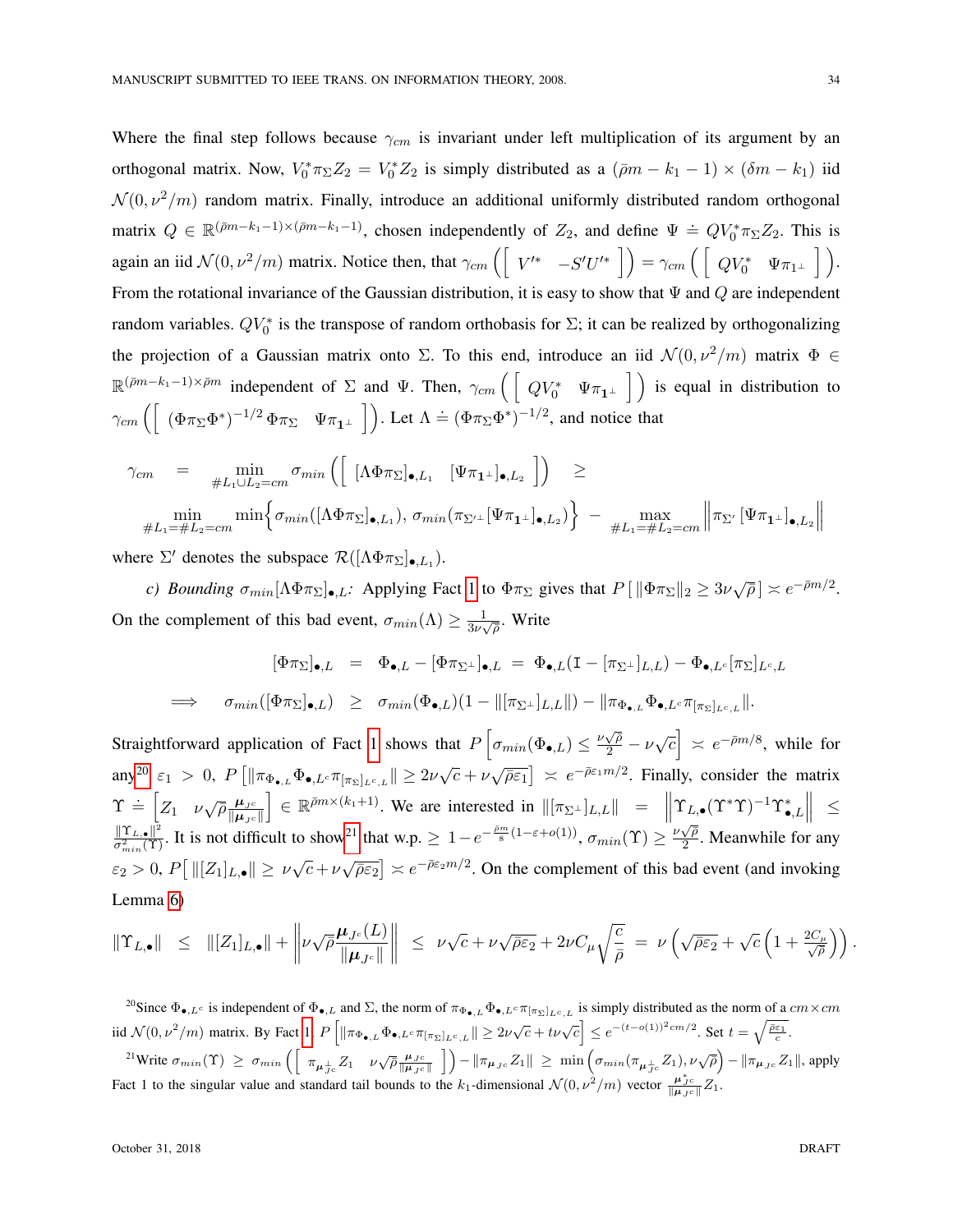Where the final step follows because  $\gamma_{cm}$  is invariant under left multiplication of its argument by an orthogonal matrix. Now,  $V_0^* \pi_{\Sigma} Z_2 = V_0^* Z_2$  is simply distributed as a  $(\bar{\rho}m - k_1 - 1) \times (\delta m - k_1)$  iid  $\mathcal{N}(0, \nu^2/m)$  random matrix. Finally, introduce an additional uniformly distributed random orthogonal matrix  $Q \in \mathbb{R}^{(\bar{p}m-k_1-1)\times(\bar{p}m-k_1-1)}$ , chosen independently of  $Z_2$ , and define  $\Psi = QV_0^*\pi_{\Sigma}Z_2$ . This is again an iid  $\mathcal{N}(0, \nu^2/m)$  matrix. Notice then, that  $\gamma_{cm} \left( \begin{bmatrix} V'^* & -S'U'^* \end{bmatrix} \right) = \gamma_{cm} \left( \begin{bmatrix} QV_0^* & \Psi \pi_{1^\perp} \end{bmatrix} \right)$ . From the rotational invariance of the Gaussian distribution, it is easy to show that  $\Psi$  and Q are independent random variables.  $QV_0^*$  is the transpose of random orthobasis for  $\Sigma$ ; it can be realized by orthogonalizing the projection of a Gaussian matrix onto Σ. To this end, introduce an iid  $\mathcal{N}(0, \nu^2/m)$  matrix  $\Phi \in$  $\mathbb{R}^{(\bar{p}m-k_1-1)\times \bar{p}m}$  independent of  $\Sigma$  and  $\Psi$ . Then,  $\gamma_{cm}$   $\left(\begin{bmatrix} QV_0^* & \Psi\pi_{\mathbf{1}^\perp} \end{bmatrix}\right)$  is equal in distribution to  $\gamma_{cm} \left( \begin{array}{cc} (\Phi \pi_{\Sigma} \Phi^*)^{-1/2} \Phi \pi_{\Sigma} & \Psi \pi_{\mathbf{1}^{\perp}} \end{array} \right)$ . Let  $\Lambda \doteq (\Phi \pi_{\Sigma} \Phi^*)^{-1/2}$ , and notice that

$$
\gamma_{cm} = \min_{\#L_1 \cup L_2 = cm} \sigma_{min} \left( \begin{bmatrix} [\Lambda \Phi \pi_{\Sigma}]_{\bullet, L_1} & [\Psi \pi_{1\perp}]_{\bullet, L_2} \end{bmatrix} \right) \ge
$$
  

$$
\min_{\#L_1 = \#L_2 = cm} \min \left\{ \sigma_{min} ([\Lambda \Phi \pi_{\Sigma}]_{\bullet, L_1}), \sigma_{min} (\pi_{\Sigma'} \bot [\Psi \pi_{1\perp}]_{\bullet, L_2}) \right\} - \max_{\#L_1 = \#L_2 = cm} \left\| \pi_{\Sigma'} [\Psi \pi_{1\perp}]_{\bullet, L_2} \right\|
$$

where  $\Sigma'$  denotes the subspace  $\mathcal{R}([\Lambda \Phi \pi_{\Sigma}]_{\bullet,L_1})$ .

*c*) *Bounding*  $\sigma_{min}[\Lambda \Phi \pi_{\Sigma}]_{\bullet,L}$ : Applying Fact [1](#page-16-1) to  $\Phi \pi_{\Sigma}$  gives that  $P[\|\Phi \pi_{\Sigma}\|_2 \geq 3\nu\sqrt{\overline{\rho}}] \asymp e^{-\overline{\rho}m/2}$ . On the complement of this bad event,  $\sigma_{min}(\Lambda) \geq \frac{1}{3\nu_{\Lambda}}$  $\frac{1}{3\nu\sqrt{\rho}}$ . Write

$$
\begin{array}{rcl}\n[\Phi\pi_{\Sigma}]_{\bullet,L} & = & \Phi_{\bullet,L} - [\Phi\pi_{\Sigma^{\perp}}]_{\bullet,L} = \Phi_{\bullet,L}(\mathbf{I} - [\pi_{\Sigma^{\perp}}]_{L,L}) - \Phi_{\bullet,L^c}[\pi_{\Sigma}]_{L^c,L} \\
\implies & \sigma_{min}([\Phi\pi_{\Sigma}]_{\bullet,L}) \geq \sigma_{min}(\Phi_{\bullet,L})(1 - \|[\pi_{\Sigma^{\perp}}]_{L,L}\|) - \|\pi_{\Phi_{\bullet,L}}\Phi_{\bullet,L^c}\pi_{[\pi_{\Sigma}]_{L^c,L}}\|.\n\end{array}
$$

Straightforward application of Fact [1](#page-16-1) shows that  $P\left[\sigma_{min}(\Phi_{\bullet,L}) \leq \frac{\nu\sqrt{\overline{\rho}}}{2} - \nu\sqrt{c}\right] \approx e^{-\overline{\rho}m/8}$ , while for  $\lim_{\epsilon \to 0} \varepsilon_1 > 0$ ,  $P\left[\|\pi_{\Phi_{\bullet,L}} \Phi_{\bullet,L^c} \pi_{[\pi_{\Sigma}]_{L^c,L}}\| \geq 2\nu\sqrt{c} + \nu\sqrt{\overline{\rho}\varepsilon_1}\right] \asymp e^{-\overline{\rho}\varepsilon_1 m/2}$ . Finally, consider the matrix  $\Upsilon \doteq \begin{bmatrix} Z_1 & \nu \sqrt{\bar{\rho}} \frac{\mu_{J^c}}{\|\mu_{J^c}\|} \end{bmatrix}$  $\|\boldsymbol{\mu}_{J^c}\|$  $\Upsilon = \left[ Z_1 \quad \nu \sqrt{\overline{\rho}} \frac{\mu_{J^c}}{\|\mu_{J^c}\|} \right] \in \mathbb{R}^{\overline{\rho}m \times (k_1+1)}$ . We are interested in  $\|[\pi_{\Sigma^{\perp}}]_{L,L}\| = \left\| \Upsilon_{L,\bullet}(\Upsilon^*\Upsilon)^{-1} \Upsilon_{\bullet,L}^* \right\| \leq$ <br> $\|\Upsilon_{L,\bullet}\|^2$  It is not difficult to show<sup>21</sup> that wn > 1  $e^{-\frac{\over$  $\frac{\| \Upsilon_{L,\bullet} \|^2}{\sigma_{min}^2(\Upsilon)}$ . It is not difficult to show<sup>[21](#page-33-1)</sup> that w.p.  $\geq 1-e^{-\frac{\bar{\rho}m}{8}(1-\epsilon+o(1))}$ ,  $\sigma_{min}(\Upsilon) \geq \frac{\nu \sqrt{\bar{\rho}}}{2}$  $\frac{\sqrt{\rho}}{2}$ . Meanwhile for any  $\epsilon_2 > 0, P\left[\left\|[Z_1]_{L,\bullet}\right]\right\| \ge \nu\sqrt{c} + \nu\sqrt{\overline{\rho}\epsilon_2} \ge e^{-\overline{\rho}\epsilon_2 m/2}$ . On the complement of this bad event (and invoking Lemma [6\)](#page-35-0)

$$
\|\Upsilon_{L,\bullet}\| \leq \| [Z_1]_{L,\bullet}\| + \left\| \nu \sqrt{\bar{\rho}} \frac{\mu_{J^c}(L)}{\|\mu_{J^c}\|} \right\| \leq \nu \sqrt{c} + \nu \sqrt{\bar{\rho} \varepsilon_2} + 2\nu C_\mu \sqrt{\frac{c}{\bar{\rho}}} = \nu \left( \sqrt{\bar{\rho} \varepsilon_2} + \sqrt{c} \left( 1 + \frac{2C_\mu}{\sqrt{\bar{\rho}}} \right) \right).
$$

<span id="page-33-1"></span><span id="page-33-0"></span><sup>20</sup>Since  $\Phi_{\bullet,L^c}$  is independent of  $\Phi_{\bullet,L}$  and  $\Sigma$ , the norm of  $\pi_{\Phi_{\bullet,L}}\Phi_{\bullet,L^c}\pi_{[\pi_{\Sigma}]_{L^c,L}}$  is simply distributed as the norm of a  $cm \times cm$ iid  $\mathcal{N}(0, \nu^2/m)$  matrix. By Fact [1,](#page-16-1)  $P\left[\|\pi_{\Phi_{\bullet,L}}\Phi_{\bullet,L^c}\pi_{[\pi_{\Sigma}]_{L^c,L}}\| \ge 2\nu\sqrt{c} + t\nu\sqrt{c}\right] \le e^{-(t-o(1))^2 c m/2}$ . Set  $t = \sqrt{\frac{\bar{\rho}\epsilon_1}{c}}$ . <sup>21</sup>Write  $\sigma_{min}(\Upsilon) \geq \sigma_{min} \left( \left[ \pi_{\mu_{Jc}^{\perp}} Z_1 \quad \nu \sqrt{\overline{\rho}} \frac{\mu_{Jc}}{\|\mu_{Jc}\|} \right] \right) - \|\pi_{\mu_{Jc}} Z_1\| \geq \min \left( \sigma_{min}(\pi_{\mu_{Jc}^{\perp}} Z_1), \nu \sqrt{\overline{\rho}} \right) - \|\pi_{\mu_{Jc}} Z_1\|$ , apply Fact 1 to the singular value and standard tail bounds to the k<sub>1</sub>-dimensional  $\mathcal{N}(0, \nu^2/m)$  vector  $\frac{\mu_{Jc}^*}{\|\mu_{Jc}\|}Z_1$ .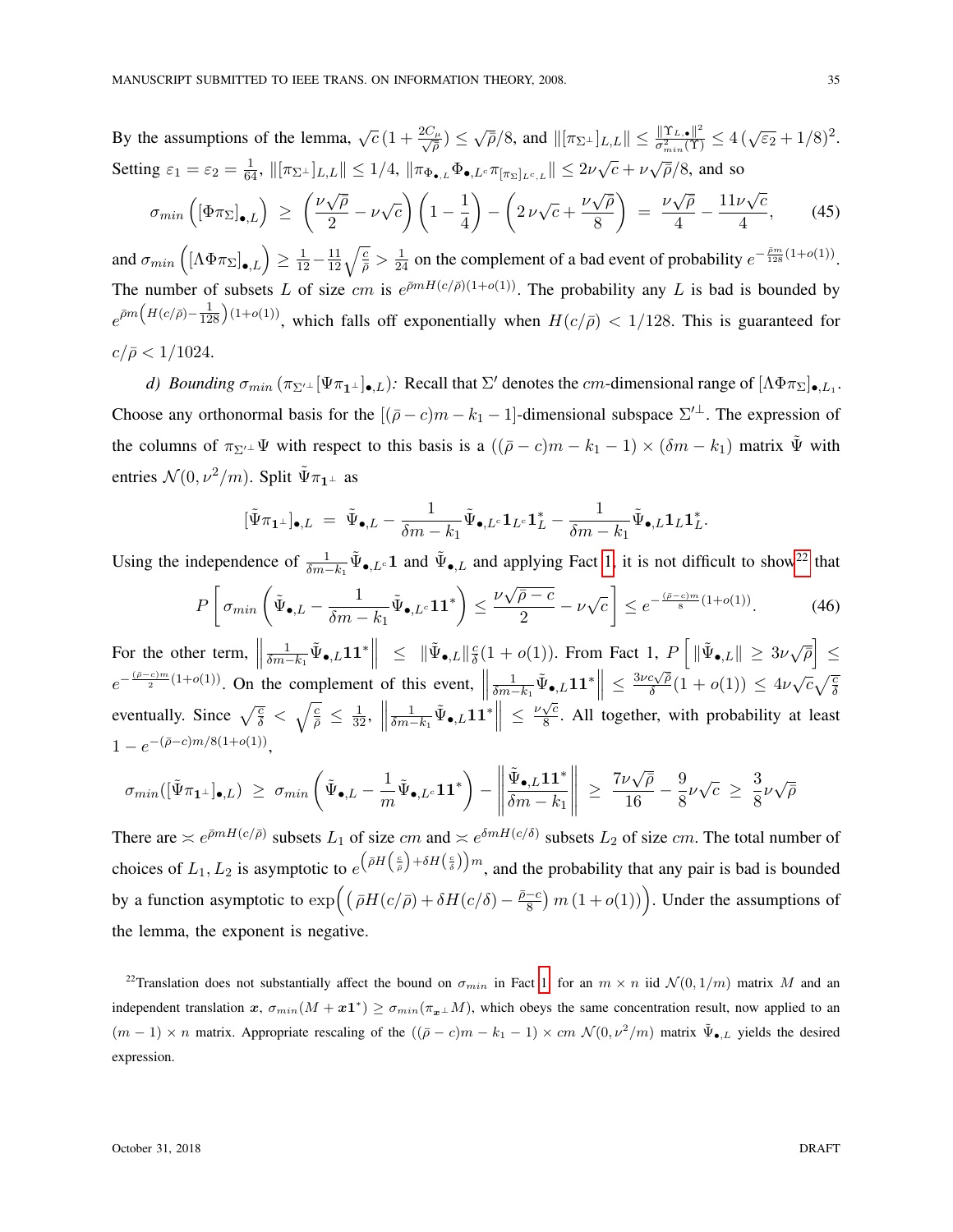By the assumptions of the lemma,  $\sqrt{c} (1 + \frac{2C_{\mu}}{\sqrt{a}})$  $\sqrt{\bar{\rho}}/\sqrt{2}$ , and  $\|\pi_{\Sigma^{\perp}}\|_{L,L}\| \leq \frac{\|\Upsilon_{L,\bullet}\|^2}{\sigma_{min}^2(\Upsilon)}$  $\frac{\Vert \Upsilon_{L,\bullet} \Vert^2}{\sigma_{min}^2(\Upsilon)} \leq 4 \left( \sqrt{\varepsilon_2} + 1/8 \right)^2$ . Setting  $\varepsilon_1 = \varepsilon_2 = \frac{1}{64}$ ,  $\|[\pi_{\Sigma^{\perp}}]_{L,L}\| \leq 1/4$ ,  $\|\pi_{\Phi_{\bullet,L}}\Phi_{\bullet,L} \cdot \pi_{[\pi_{\Sigma}]_{L^c,L}}\| \leq 2\nu\sqrt{c} + \nu\sqrt{\overline{\rho}}/8$ , and so √ √ √ √

$$
\sigma_{min}\left(\left[\Phi\pi_{\Sigma}\right]_{\bullet,L}\right) \ge \left(\frac{\nu\sqrt{\bar{\rho}}}{2} - \nu\sqrt{c}\right)\left(1 - \frac{1}{4}\right) - \left(2\,\nu\sqrt{c} + \frac{\nu\sqrt{\bar{\rho}}}{8}\right) = \frac{\nu\sqrt{\bar{\rho}}}{4} - \frac{11\nu\sqrt{c}}{4},\tag{45}
$$

and  $\sigma_{min}\left(\left[\Lambda\Phi\pi_{\Sigma}\right]_{\bullet,L}\right) \geq \frac{1}{12} - \frac{11}{12}\sqrt{\frac{c}{\rho}} > \frac{1}{24}$  on the complement of a bad event of probability  $e^{-\frac{\bar{\rho}m}{128}(1+o(1))}$ . The number of subsets L of size cm is  $e^{\bar{\rho}mH(c/\bar{\rho})(1+o(1))}$ . The probability any L is bad is bounded by  $e^{\bar{\rho}m\left(H(c/\bar{\rho})-\frac{1}{128}\right)(1+o(1))}$ , which falls off exponentially when  $H(c/\bar{\rho}) < 1/128$ . This is guaranteed for  $c/\bar{\rho} < 1/1024.$ 

*d)* Bounding  $\sigma_{min} (\pi_{\Sigma'^{\perp}}[\Psi \pi_{1^{\perp}}]_{\bullet, L})$ : Recall that  $\Sigma'$  denotes the *cm*-dimensional range of  $[\Lambda \Phi \pi_{\Sigma}]_{\bullet, L_1}$ . Choose any orthonormal basis for the  $[(\bar{\rho} - c)m - k_1 - 1]$ -dimensional subspace  $\Sigma^{\perp}$ . The expression of the columns of  $\pi_{\Sigma'}\psi$  with respect to this basis is a  $((\bar{\rho}-c)m-k_1-1)\times(\delta m-k_1)$  matrix  $\tilde{\Psi}$  with entries  $\mathcal{N}(0, \nu^2/m)$ . Split  $\tilde{\Psi}\pi_{1\perp}$  as

$$
[\tilde{\Psi}\pi_{\mathbf{1}^{\perp}}]_{\bullet,L} = \tilde{\Psi}_{\bullet,L} - \frac{1}{\delta m - k_1}\tilde{\Psi}_{\bullet,L^c}\mathbf{1}_{L^c}\mathbf{1}_{L}^* - \frac{1}{\delta m - k_1}\tilde{\Psi}_{\bullet,L}\mathbf{1}_{L}\mathbf{1}_{L}^*.
$$

Using the independence of  $\frac{1}{\delta m - k_1} \tilde{\Psi}_{\bullet, L^c} \mathbf{1}$  and  $\tilde{\Psi}_{\bullet, L}$  and applying Fact [1,](#page-16-1) it is not difficult to show<sup>[22](#page-34-0)</sup> that

$$
P\left[\sigma_{min}\left(\tilde{\Psi}_{\bullet,L} - \frac{1}{\delta m - k_1}\tilde{\Psi}_{\bullet,L^c}\mathbf{1}\mathbf{1}^*\right) \le \frac{\nu\sqrt{\bar{\rho} - c}}{2} - \nu\sqrt{c}\right] \le e^{-\frac{(\bar{\rho} - c)m}{8}(1 + o(1))}.\tag{46}
$$

For the other term,  $\parallel$  $\frac{1}{\delta m - k_1} \tilde{\Psi}_{\bullet,L} \mathbf{1} \mathbf{1}^* \Big\| \ \leq \ \| \tilde{\Psi}_{\bullet,L} \|_{\bar{\delta}}^2$  $\frac{c}{\delta}(1+o(1))$ . From Fact 1,  $P\left[\|\tilde{\Psi}_{\bullet,L}\|\geq 3\nu\sqrt{\bar{\rho}}\right]\leq$  $e^{-\frac{(\bar{\rho}-c)m}{2}(1+o(1))}$ . On the complement of this event,  $\parallel$  $\frac{1}{\delta m-k_1}\tilde{\Psi}_{\bullet,L}\mathbf{1}\mathbf{1}^*\Big\|\,\leq\,$  $3\nu c\sqrt{\bar{\rho}}$  $\frac{c\sqrt{\bar{\rho}}}{\delta}(1+o(1)) \leq 4\nu\sqrt{c}\sqrt{\frac{c}{\delta}}$ eventually. Since  $\sqrt{\frac{c}{\delta}} < \sqrt{\frac{c}{\bar{\rho}}} \le \frac{1}{32},$  $\frac{1}{\delta m-k_1}\tilde{\Psi}_{\bullet,L}\mathbf{1}\mathbf{1}^*\Big\|\leq\frac{\nu\sqrt{c}}{8}$  $\frac{\sqrt{c}}{8}$ . All together, with probability at least  $1 - e^{-(\bar{\rho}-c)m/8(1+o(1))},$ 

$$
\sigma_{min}([\tilde{\Psi}\pi_{\mathbf{1}^{\perp}}]_{\bullet,L}) \ \geq \ \sigma_{min}\left(\tilde{\Psi}_{\bullet,L}-\frac{1}{m}\tilde{\Psi}_{\bullet,L^c}\mathbf{1}\mathbf{1}^*\right) - \left\|\frac{\tilde{\Psi}_{\bullet,L}\mathbf{1}\mathbf{1}^*}{\delta m-k_1}\right\| \ \geq \ \frac{7\nu\sqrt{\bar{\rho}}}{16} - \frac{9}{8}\nu\sqrt{c} \ \geq \ \frac{3}{8}\nu\sqrt{\bar{\rho}}
$$

There are  $\leq e^{\bar{p}mH(c/\bar{\rho})}$  subsets  $L_1$  of size  $cm$  and  $\leq e^{\delta mH(c/\delta)}$  subsets  $L_2$  of size  $cm$ . The total number of choices of  $L_1, L_2$  is asymptotic to  $e^{(\bar{\rho}H(\frac{c}{\bar{\rho}})+\delta H(\frac{c}{\delta}))m}$ , and the probability that any pair is bad is bounded by a function asymptotic to  $\exp\left((\bar{\rho}H(c/\bar{\rho}) + \delta H(c/\delta) - \frac{\bar{\rho}-c}{8}\right)$  $\frac{(-c)}{8}$  m  $(1+o(1))$ . Under the assumptions of the lemma, the exponent is negative.

<span id="page-34-0"></span><sup>22</sup>Translation does not substantially affect the bound on  $\sigma_{min}$  in Fact [1:](#page-16-1) for an  $m \times n$  iid  $\mathcal{N}(0, 1/m)$  matrix M and an independent translation  $x$ ,  $\sigma_{min}(M + x1^*) \ge \sigma_{min}(\pi_{x} \perp M)$ , which obeys the same concentration result, now applied to an  $(m-1) \times n$  matrix. Appropriate rescaling of the  $((\bar{\rho} - c)m - k_1 - 1) \times cm \mathcal{N}(0, \nu^2/m)$  matrix  $\tilde{\Psi}_{\bullet, L}$  yields the desired expression.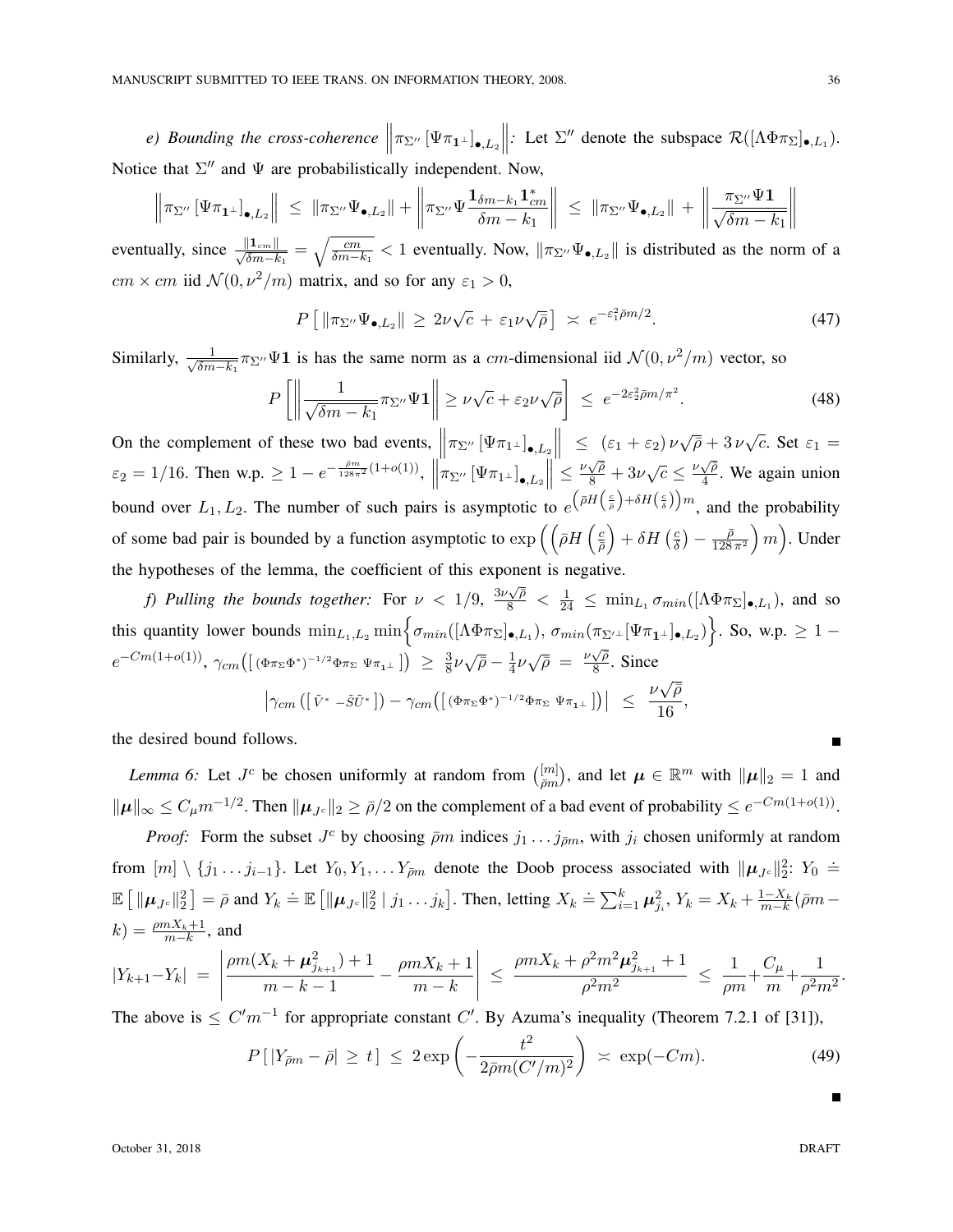*e*) Bounding the cross-coherence  $\left\|\pi_{\Sigma^{\prime\prime}}\left[\Psi\pi_{\mathbf{1}^{\perp}}\right]_{\bullet,L_2}\right\|$ *:* Let  $\Sigma''$  denote the subspace  $\mathcal{R}([\Lambda \Phi \pi_{\Sigma}]_{\bullet, L_1})$ . Notice that  $\Sigma''$  and  $\Psi$  are probabilistically independent. Now,

$$
\left\|\pi_{\Sigma''}\left[\Psi\pi_{\mathbf{1}^\perp}\right]_{\bullet,L_2}\right\| \leq \|\pi_{\Sigma''}\Psi_{\bullet,L_2}\| + \left\|\pi_{\Sigma''}\Psi\frac{\mathbf{1}_{\delta m-k_1}\mathbf{1}_{cm}^*}{\delta m-k_1}\right\| \leq \|\pi_{\Sigma''}\Psi_{\bullet,L_2}\| + \left\|\frac{\pi_{\Sigma''}\Psi\mathbf{1}}{\sqrt{\delta m-k_1}}\right\|
$$

eventually, since  $\frac{\|1_{cm}\|}{\sqrt{\delta m-k_1}} = \sqrt{\frac{cm}{\delta m-k_1}} < 1$  eventually. Now,  $\|\pi_{\Sigma} \Psi_{\bullet,L_2}\|$  is distributed as the norm of a  $cm \times cm$  iid  $\mathcal{N}(0, \nu^2/m)$  matrix, and so for any  $\varepsilon_1 > 0$ ,

$$
P\left[\|\pi_{\Sigma''}\Psi_{\bullet,L_2}\|\geq 2\nu\sqrt{c}+\varepsilon_1\nu\sqrt{\bar{\rho}}\right] \;\asymp\; e^{-\varepsilon_1^2\bar{\rho}m/2}.\tag{47}
$$

Similarly,  $\frac{1}{\sqrt{2m}}$  $\frac{1}{\delta m-k_1}$  π<sub>Σ''</sub> $\Psi$ **1** is has the same norm as a *cm*-dimensional iid  $\mathcal{N}(0, \nu^2/m)$  vector, so

$$
P\left[\left\|\frac{1}{\sqrt{\delta m - k_1}} \pi_{\Sigma''} \Psi \mathbf{1}\right\| \ge \nu \sqrt{c} + \varepsilon_2 \nu \sqrt{\bar{\rho}}\right] \le e^{-2\varepsilon_2^2 \bar{\rho} m / \pi^2}.
$$
 (48)

On the complement of these two bad events,  $\left\| \pi_{\Sigma''}\left[\Psi \pi_{1\perp}\right]_{\bullet, L_2} \right\| \leq (\varepsilon_1 + \varepsilon_2) \nu \sqrt{\overline{\rho}} + 3 \nu \sqrt{\overline{c}}$ . Set  $\varepsilon_1 =$  $\varepsilon_2 = 1/16$ . Then w.p.  $\geq 1 - e^{-\frac{\bar{\rho}m}{128\pi^2}(1+o(1))}$ ,  $\left\| \pi_{\Sigma''}\left[\Psi \pi_{1\perp}\right]_{\bullet,L_2} \right\| \leq \frac{\nu \sqrt{\bar{\rho}}}{8} + 3\nu \sqrt{c} \leq \frac{\nu \sqrt{\bar{\rho}}}{4}$  $\mathbf{I}$  $\frac{\sqrt{\rho}}{4}$ . We again union bound over  $L_1, L_2$ . The number of such pairs is asymptotic to  $e^{(\bar{\rho}H(\frac{c}{\bar{\rho}})+\delta H(\frac{c}{\bar{\delta}}))m}$ , and the probability of some bad pair is bounded by a function asymptotic to  $\exp\left(\left(\frac{\partial H}{\partial q}\right)^2\right)$  $\left(\frac{c}{\bar{\rho}}\right) + \delta H$   $\left(\frac{c}{\delta}\right)$  $\frac{c}{\delta}$ ) —  $\frac{\bar{\rho}}{128}$  $\left(\frac{\bar{\rho}}{128\,\pi^2}\right)m\right)$ . Under the hypotheses of the lemma, the coefficient of this exponent is negative.

*f)* Pulling the bounds together: For  $\nu < 1/9$ ,  $\frac{3\nu\sqrt{\overline{\rho}}}{8} < \frac{1}{24} \le \min_{L_1} \sigma_{min}([\Lambda \Phi \pi_{\Sigma}]_{\bullet,L_1})$ , and so this quantity lower bounds  $\min_{L_1,L_2} \min \Big\{ \sigma_{min}([\Lambda \Phi \pi_{\Sigma}]_{\bullet,L_1}), \sigma_{min}(\pi_{\Sigma'^{\perp}}[\Psi \pi_{\mathbf{1}^{\perp}}]_{\bullet,L_2}) \Big\}$ . So, w.p.  $\geq 1$  –  $e^{-Cm(1+o(1))}, \ \gamma_{cm}([(\Phi \pi_{\Sigma} \Phi^{*})^{-1/2} \Phi \pi_{\Sigma} \ \Psi \pi_{1} \bot]) \ \geq \ \frac{3}{8}$  $\frac{3}{8}\nu\sqrt{\bar{\rho}}-\frac{1}{4}$  $rac{1}{4}\nu\sqrt{\overline{\rho}} = \frac{\nu\sqrt{\overline{\rho}}}{8}$  $\frac{\sqrt{\rho}}{8}$ . Since √

$$
\left|\gamma_{cm}\left(\left[\tilde{V}^* - \tilde{S}\tilde{U}^*\right]\right) - \gamma_{cm}\left(\left[\left(\Phi\pi_\Sigma\Phi^*\right)^{-1/2}\Phi\pi_\Sigma\Psi\pi_{1\perp}\right]\right)\right| \leq \frac{\nu\sqrt{\bar{\rho}}}{16},
$$

the desired bound follows.

<span id="page-35-0"></span>*Lemma 6:* Let  $J^c$  be chosen uniformly at random from  $\binom{[m]}{2m}$  $\vert_{\bar{\rho}m}^{[m]}),$  and let  $\boldsymbol{\mu} \in \mathbb{R}^m$  with  $\Vert \boldsymbol{\mu} \Vert_2 = 1$  and  $\|\boldsymbol{\mu}\|_{\infty} \leq C_{\mu} m^{-1/2}$ . Then  $\|\boldsymbol{\mu}_{J^c}\|_2 \geq \bar{\rho}/2$  on the complement of a bad event of probability  $\leq e^{-Cm(1+o(1))}$ .

*Proof:* Form the subset  $J^c$  by choosing  $\bar{\rho}m$  indices  $j_1 \ldots j_{\bar{\rho}m}$ , with  $j_i$  chosen uniformly at random from  $[m] \setminus \{j_1 \ldots j_{i-1}\}$ . Let  $Y_0, Y_1, \ldots Y_{\bar{\rho}m}$  denote the Doob process associated with  $\|\mu_{J_c}\|_2^2$ :  $Y_0 \doteq$  $\mathbb{E} \left[ \|\boldsymbol{\mu}_{Jc}\|_2^2 \right] = \bar{\rho}$  and  $Y_k \doteq \mathbb{E} \left[ \|\boldsymbol{\mu}_{Jc}\|_2^2 \mid j_1 \dots j_k \right]$ . Then, letting  $X_k \doteq \sum_{i=1}^k \boldsymbol{\mu}_{j_i}^2$ ,  $Y_k = X_k + \frac{1-X_k}{m-k} (\bar{\rho}m - \bar{\rho})$  $k) = \frac{\rho m X_k + 1}{m - k}$ , and

$$
|Y_{k+1}-Y_k| = \left|\frac{\rho m(X_k+\mu_{j_{k+1}}^2)+1}{m-k-1}-\frac{\rho m X_k+1}{m-k}\right| \leq \frac{\rho m X_k+\rho^2 m^2 \mu_{j_{k+1}}^2+1}{\rho^2 m^2} \leq \frac{1}{\rho m}+\frac{C_{\mu}}{m}+\frac{1}{\rho^2 m^2}.
$$

The above is  $\leq C'm^{-1}$  for appropriate constant C'. By Azuma's inequality (Theorem 7.2.1 of [31]),

$$
P\left[\left|Y_{\bar{\rho}m} - \bar{\rho}\right| \ge t\right] \le 2 \exp\left(-\frac{t^2}{2\bar{\rho}m(C'/m)^2}\right) \approx \exp(-Cm). \tag{49}
$$

October 31, 2018 DRAFT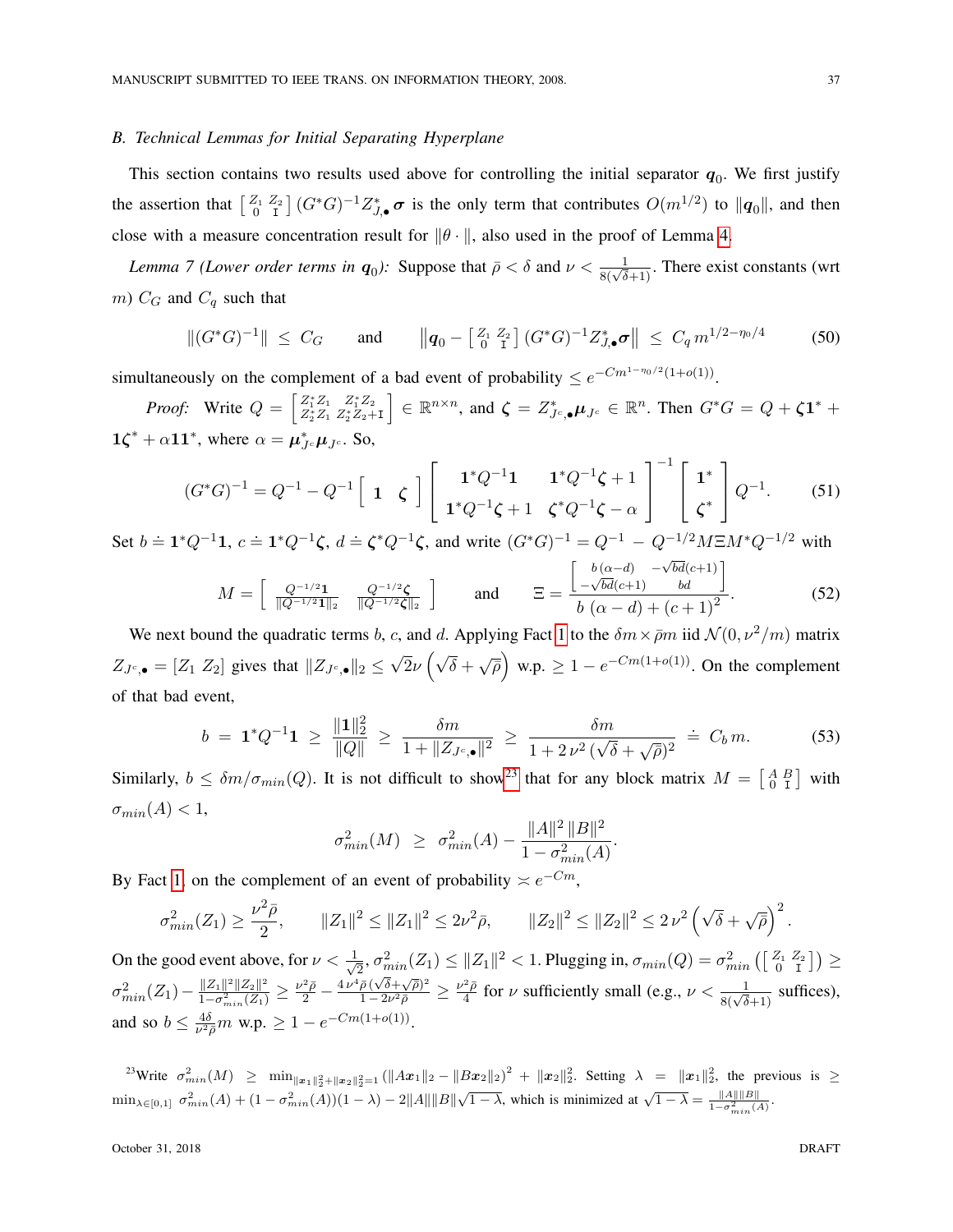# <span id="page-36-1"></span>*B. Technical Lemmas for Initial Separating Hyperplane*

This section contains two results used above for controlling the initial separator  $q_0$ . We first justify the assertion that  $\left[\begin{smallmatrix} Z_1 & Z_2 \ 0 & I \end{smallmatrix}\right](G^*G)^{-1}Z_{J,\bullet}^*\sigma$  is the only term that contributes  $O(m^{1/2})$  to  $\|\boldsymbol{q}_0\|$ , and then close with a measure concentration result for  $\|\theta\|$ , also used in the proof of Lemma [4.](#page-19-2)

<span id="page-36-0"></span>*Lemma 7 (Lower order terms in*  $q_0$ ): Suppose that  $\bar{\rho} < \delta$  and  $\nu < \frac{1}{8(\sqrt{\delta}+1)}$ . There exist constants (wrt m)  $C_G$  and  $C_q$  such that

$$
\|(G^*G)^{-1}\| \leq C_G \quad \text{and} \quad \|(q_0 - \left[\begin{smallmatrix} Z_1 & Z_2 \\ 0 & 1 \end{smallmatrix}\right](G^*G)^{-1}Z_{J,\bullet}^*\sigma\| \leq C_q m^{1/2-\eta_0/4} \quad (50)
$$

simultaneously on the complement of a bad event of probability  $\leq e^{-Cm^{1-\eta_0/2}(1+o(1))}$ .

*Proof:* Write  $Q = \begin{bmatrix} Z_1^* Z_1 & Z_1^* Z_2 \\ Z_2^* Z_1 & Z_2^* Z_2 + I \end{bmatrix}$  $\Big] \in \mathbb{R}^{n \times n}$ , and  $\zeta = Z_{J^c,\bullet}^* \mu_{J^c} \in \mathbb{R}^n$ . Then  $G^*G = Q + \zeta \mathbf{1}^* + \zeta$  $1\zeta^* + \alpha 11^*$ , where  $\alpha = \mu_{Jc}^* \mu_{Jc}$ . So,

$$
(G^*G)^{-1} = Q^{-1} - Q^{-1} \begin{bmatrix} 1 & \zeta \end{bmatrix} \begin{bmatrix} 1^*Q^{-1}\mathbf{1} & 1^*Q^{-1}\zeta + 1 \\ 1^*Q^{-1}\zeta + 1 & \zeta^*Q^{-1}\zeta - \alpha \end{bmatrix}^{-1} \begin{bmatrix} 1^* \\ \zeta^* \end{bmatrix} Q^{-1}.
$$
 (51)

Set  $b = \mathbf{1}^*Q^{-1}\mathbf{1}$ ,  $c = \mathbf{1}^*Q^{-1}\boldsymbol{\zeta}$ ,  $d = \boldsymbol{\zeta}^*Q^{-1}\boldsymbol{\zeta}$ , and write  $(G^*G)^{-1} = Q^{-1} - Q^{-1/2}M \Xi M^*Q^{-1/2}$  with

<span id="page-36-3"></span>
$$
M = \begin{bmatrix} Q^{-1/2} \mathbf{1} & Q^{-1/2} \zeta \\ \overline{\|Q^{-1/2} \mathbf{1}\|_2} & \overline{\|Q^{-1/2} \zeta\|_2} \end{bmatrix} \quad \text{and} \quad \Xi = \frac{\begin{bmatrix} b(\alpha - d) & -\sqrt{bd}(c+1) \\ -\sqrt{bd}(c+1) & bd \end{bmatrix}}{b(\alpha - d) + (c+1)^2}.
$$
 (52)

We next bound the quadratic terms b, c, and d. Applying Fact [1](#page-16-1) to the  $\delta m \times \bar{p}m$  iid  $\mathcal{N}(0, \nu^2/m)$  matrix  $Z_{J<sub>c,\bullet</sub>} = [Z_1 \, Z_2]$  gives that  $||Z_{J<sub>c,\bullet</sub>}||_2 \le$ √  $\overline{2\nu}\left(\sqrt{\delta}+\sqrt{\rho}\right)$  w.p.  $\geq 1-e^{-Cm(1+o(1))}$ . On the complement of that bad event,

$$
b = \mathbf{1}^* Q^{-1} \mathbf{1} \ge \frac{\|\mathbf{1}\|_2^2}{\|Q\|} \ge \frac{\delta m}{1 + \|Z_{J^c, \bullet}\|^2} \ge \frac{\delta m}{1 + 2\nu^2 (\sqrt{\delta} + \sqrt{\rho})^2} \doteq C_b m. \tag{53}
$$

.

Similarly,  $b \leq \delta m / \sigma_{min}(Q)$ . It is not difficult to show<sup>[23](#page-36-2)</sup> that for any block matrix  $M = \begin{bmatrix} A & B \\ 0 & I \end{bmatrix}$  with  $\sigma_{min}(A) < 1$ ,

$$
\sigma_{min}^2(M) \ge \sigma_{min}^2(A) - \frac{\|A\|^2 \|B\|^2}{1 - \sigma_{min}^2(A)}
$$

By Fact [1,](#page-16-1) on the complement of an event of probability  $\asymp e^{-Cm}$ ,

$$
\sigma_{min}^2(Z_1) \ge \frac{\nu^2 \bar{\rho}}{2}, \qquad \|Z_1\|^2 \le \|Z_1\|^2 \le 2\nu^2 \bar{\rho}, \qquad \|Z_2\|^2 \le \|Z_2\|^2 \le 2\nu^2 \left(\sqrt{\delta} + \sqrt{\bar{\rho}}\right)^2.
$$

On the good event above, for  $\nu < \frac{1}{\sqrt{2}}$  $\frac{1}{2}, \sigma^2_{min}(Z_1) \leq \|Z_1\|^2 < 1.$  Plugging in,  $\sigma_{min}(Q) = \sigma^2_{min}\left(\left[\begin{smallmatrix} Z_1 & Z_2 \ 0 & 1 \end{smallmatrix}\right]\right) \geq 1.$  $\sigma_{min}^2(Z_1)-\frac{\|Z_1\|^2\|Z_2\|^2}{1-\sigma_{min}^2(Z_1)}$  $\frac{\|Z_1\|^2 \|Z_2\|^2}{1-\sigma_{min}^2(Z_1)} \geq \frac{\nu^2 \bar{\rho}}{2} - \frac{4 \, \nu^4 \bar{\rho} \, (\sqrt{\delta} + \sqrt{\bar{\rho}})^2}{1-2 \nu^2 \bar{\rho}}$  $\frac{\bar{\rho}\,(\sqrt{\delta}+\sqrt{\bar{\rho}})^2}{1-2\nu^2\bar{\rho}}\geq\frac{\nu^2\bar{\rho}}{4}$  $\frac{d^2 \bar{\rho}}{4}$  for  $\nu$  sufficiently small (e.g.,  $\nu < \frac{1}{8(\sqrt{\delta}+1)}$  suffices), and so  $b \leq \frac{4\delta}{\nu^2}$  $\frac{4\delta}{\nu^2 \bar{\rho}} m$  w.p.  $\geq 1 - e^{-Cm(1+o(1))}$ .

<span id="page-36-2"></span>23Write  $\sigma_{min}^2(M) \geq \min_{\|x_1\|_2^2 + \|x_2\|_2^2 = 1} (\|Ax_1\|_2 - \|Bx_2\|_2)^2 + \|x_2\|_2^2$ . Setting  $\lambda = \|x_1\|_2^2$ , the previous is  $\geq$  $\min_{\lambda \in [0,1]} \sigma_{min}^2(A) + (1 - \sigma_{min}^2(A))(1 - \lambda) - 2||A||||B||\sqrt{1 - \lambda}$ , which is minimized at  $\sqrt{1 - \lambda} = \frac{||A|| ||B||}{1 - \sigma_{min}^2(A)}$ .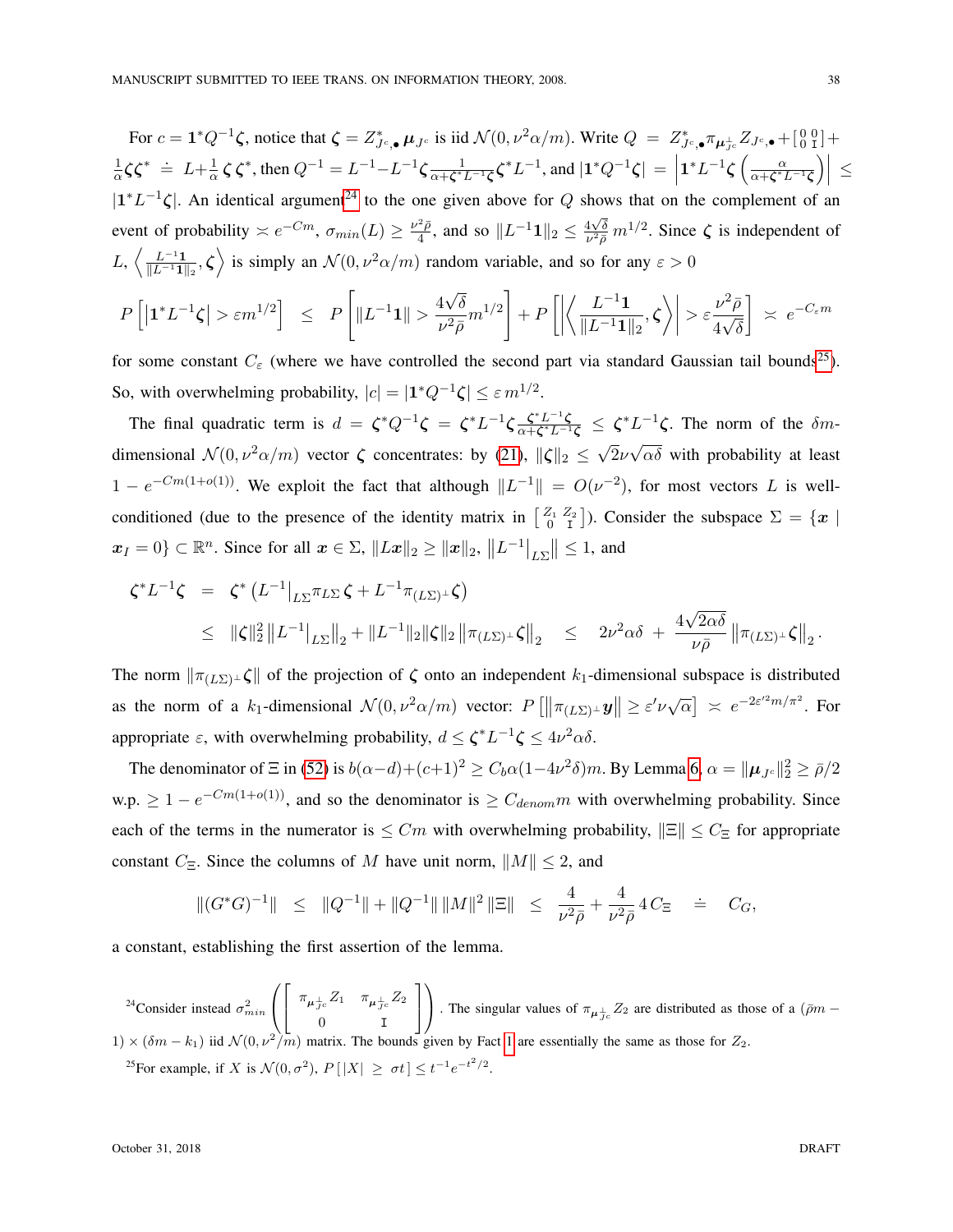For  $c = \mathbf{1}^* Q^{-1} \zeta$ , notice that  $\zeta = Z^*_{J^c, \bullet} \mu_{J^c}$  is iid  $\mathcal{N}(0, \nu^2 \alpha/m)$ . Write  $Q = Z^*_{J^c, \bullet} \pi_{\mu_{J^c}} Z_{J^c, \bullet} + \begin{bmatrix} 0 & 0 \\ 0 & 1 \end{bmatrix} +$ 1  $\frac{1}{\alpha}\zeta\zeta^* = L + \frac{1}{\alpha}$  $\frac{1}{\alpha} \zeta \zeta^*$ , then  $Q^{-1} = L^{-1} - L^{-1} \zeta \frac{1}{\alpha + \zeta^*}$  $\frac{1}{\alpha + \zeta^* L^{-1} \zeta} \zeta^* L^{-1}$ , and  $|\mathbf{1}^* Q^{-1} \zeta| =$  $1^*L^{-1}\zeta\left(\frac{\alpha}{\alpha+\zeta^*}\right)$  $\frac{\alpha}{\alpha+\boldsymbol{\zeta}^*L^{-1}\boldsymbol{\zeta}}\Big)\Big| \leq$  $|1^*L^{-1}\zeta|$ . An identical argument<sup>[24](#page-37-0)</sup> to the one given above for Q shows that on the complement of an event of probability  $\asymp e^{-Cm}$ ,  $\sigma_{min}(L) \ge \frac{\nu^2 \bar{\rho}}{4}$  $\frac{2\bar{\rho}}{4}$ , and so  $||L^{-1}\mathbf{1}||_2 \leq \frac{4\sqrt{\delta}}{\nu^2 \bar{\rho}}$  $\frac{4\sqrt{\delta}}{\nu^2 \bar{\rho}} m^{1/2}$ . Since  $\zeta$  is independent of  $L, \, \left\langle \frac{L^{-1}{\bf 1}}{\mathbb{I} L^{-1}{\bf 1}} \right\rangle$  $\frac{L^{-1}\mathbf{1}}{\|L^{-1}\mathbf{1}\|_2}$ ,  $\zeta$  is simply an  $\mathcal{N}(0, \nu^2\alpha/m)$  random variable, and so for any  $\varepsilon > 0$ 

$$
P\left[\left|\mathbf{1}^*L^{-1}\zeta\right|>\varepsilon m^{1/2}\right] \leq P\left[\left\|L^{-1}\mathbf{1}\right\|>\frac{4\sqrt{\delta}}{\nu^2\bar{\rho}}m^{1/2}\right]+P\left[\left|\left\langle\frac{L^{-1}\mathbf{1}}{\|L^{-1}\mathbf{1}\|_2},\zeta\right\rangle\right|>\varepsilon\frac{\nu^2\bar{\rho}}{4\sqrt{\delta}}\right] \right|\asymp e^{-C_\varepsilon m}
$$

for some constant  $C_{\varepsilon}$  (where we have controlled the second part via standard Gaussian tail bounds<sup>[25](#page-37-1)</sup>). So, with overwhelming probability,  $|c| = |1^*Q^{-1}\zeta| \leq \varepsilon m^{1/2}$ .

The final quadratic term is  $d = \zeta^* Q^{-1} \zeta = \zeta^* L^{-1} \zeta \frac{\zeta^* L^{-1} \zeta}{\gamma + \zeta^* L^{-1}}$  $\frac{\zeta^* L^{-1} \zeta}{\alpha + \zeta^* L^{-1} \zeta} \leq \zeta^* L^{-1} \zeta$ . The norm of the  $\delta m$ dimensional  $\mathcal{N}(0, \nu^2 \alpha/m)$  vector  $\zeta$  concentrates: by [\(21\)](#page-16-4),  $\|\zeta\|_2 \leq \sqrt{\zeta}$  $2\nu$ √  $\alpha\delta$  with probability at least  $1 - e^{-Cm(1+o(1))}$ . We exploit the fact that although  $||L^{-1}|| = O(\nu^{-2})$ , for most vectors L is wellconditioned (due to the presence of the identity matrix in  $\begin{bmatrix} Z_1 & Z_2 \ 0 & I \end{bmatrix}$ ). Consider the subspace  $\Sigma = \{x \mid$  $x_I = 0$ }  $\subset \mathbb{R}^n$ . Since for all  $x \in \Sigma$ ,  $||Lx||_2 \ge ||x||_2$ ,  $||L^{-1}|_{L\Sigma}|| \le 1$ , and

$$
\zeta^* L^{-1} \zeta = \zeta^* (L^{-1}|_{L\Sigma} \pi_{L\Sigma} \zeta + L^{-1} \pi_{(L\Sigma)^{\perp}} \zeta)
$$
  
 
$$
\leq ||\zeta||_2^2 ||L^{-1}|_{L\Sigma} ||_2 + ||L^{-1}||_2 ||\zeta||_2 ||\pi_{(L\Sigma)^{\perp}} \zeta||_2 \leq 2\nu^2 \alpha \delta + \frac{4\sqrt{2\alpha\delta}}{\nu \bar{\rho}} ||\pi_{(L\Sigma)^{\perp}} \zeta||_2.
$$

The norm  $\|\pi(L\Sigma) \perp \zeta\|$  of the projection of  $\zeta$  onto an independent k<sub>1</sub>-dimensional subspace is distributed as the norm of a  $k_1$ -dimensional  $\mathcal{N}(0, \nu^2 \alpha/m)$  vector:  $P[\|\pi(L\Sigma) \perp \mathbf{y}\| \geq \varepsilon' \nu \sqrt{\alpha}] \approx e^{-2\varepsilon'^2 m / \pi^2}$ . For appropriate  $\varepsilon$ , with overwhelming probability,  $d \leq \zeta^* L^{-1} \zeta \leq 4\nu^2 \alpha \delta$ .

The denominator of  $\Xi$  in [\(52\)](#page-36-3) is  $b(\alpha-d)+(c+1)^2 \ge C_b\alpha(1-4\nu^2\delta)m$ . By Lemma [6,](#page-35-0)  $\alpha = ||\boldsymbol{\mu}_{Jc}||_2^2 \ge \bar{\rho}/2$ w.p.  $\geq 1 - e^{-Cm(1+o(1))}$ , and so the denominator is  $\geq C_{denom} m$  with overwhelming probability. Since each of the terms in the numerator is  $\leq Cm$  with overwhelming probability,  $\|\Xi\| \leq C_{\Xi}$  for appropriate constant  $C_{\Xi}$ . Since the columns of M have unit norm,  $||M|| \leq 2$ , and

$$
\|(G^*G)^{-1}\| \leq \|Q^{-1}\| + \|Q^{-1}\| \|M\|^2 \|\Xi\| \leq \frac{4}{\nu^2 \bar{\rho}} + \frac{4}{\nu^2 \bar{\rho}} 4 C_{\Xi} \equiv C_G,
$$

a constant, establishing the first assertion of the lemma.

<span id="page-37-1"></span><span id="page-37-0"></span><sup>24</sup>Consider instead  $\sigma_{min}^2$  $\sqrt{2}$  $\overline{ }$  $\sqrt{2}$ 4  $\pi_{\boldsymbol{\mu}^\pm_{J^c}}Z_1$  ,  $\pi_{\boldsymbol{\mu}^\pm_{J^c}}Z_2$ 0 I 1  $\overline{1}$  $\setminus$ The singular values of  $\pi_{\mu_{Jc}^{\perp}}Z_2$  are distributed as those of a ( $\bar{\rho}m 1) \times (\delta m - k_1)$  iid  $\mathcal{N}(0, \nu^2/m)$  matrix. The bounds given by Fact [1](#page-16-1) are essentially the same as those for  $Z_2$ . <sup>25</sup>For example, if X is  $\mathcal{N}(0, \sigma^2)$ ,  $P[|X| \ge \sigma t] \le t^{-1} e^{-t^2/2}$ .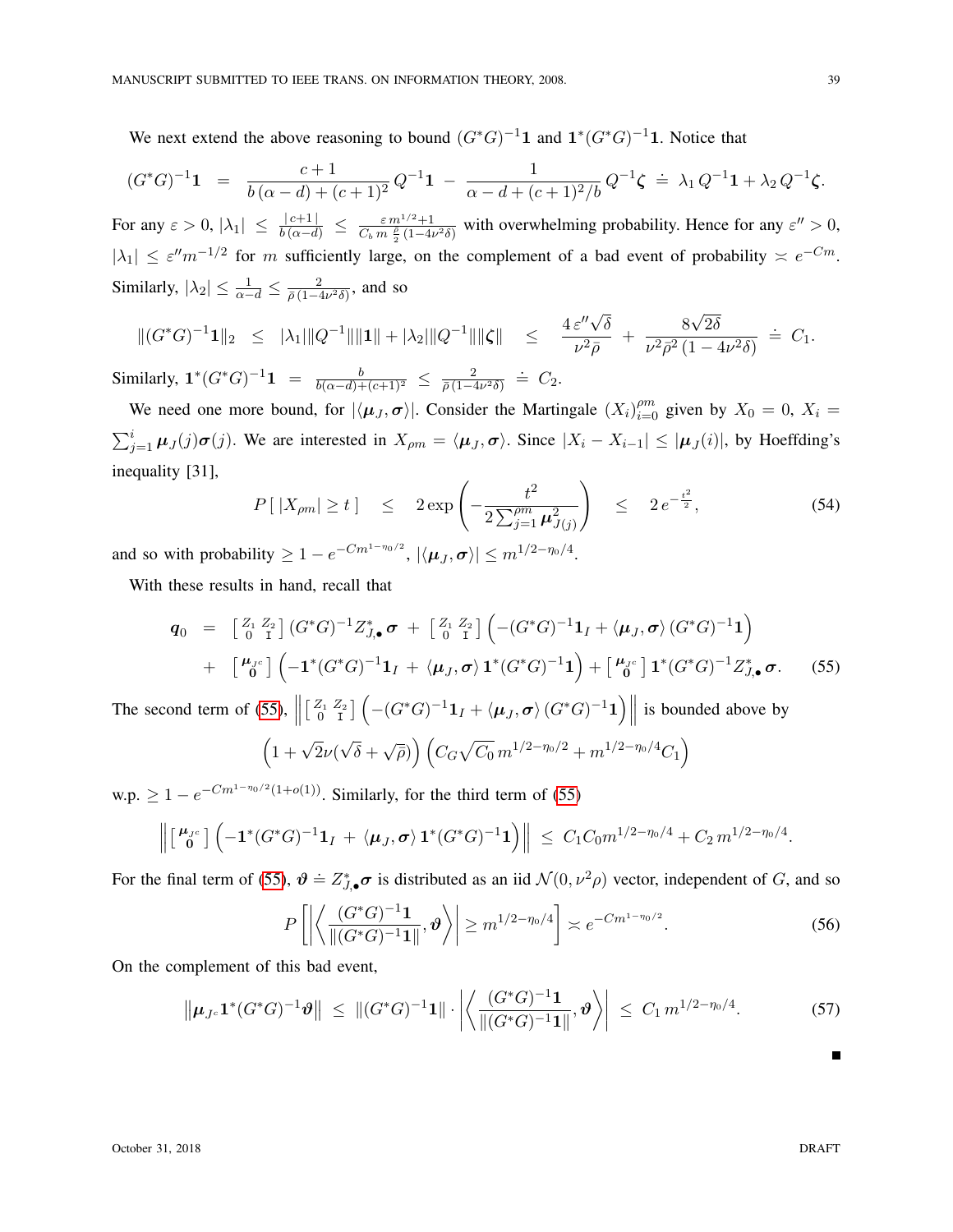We next extend the above reasoning to bound  $(G^*G)^{-1}$  and  $1^*(G^*G)^{-1}$  and  $K^*(G^*G)^{-1}$  and  $K^*(G^*G)^{-1}$ 

$$
(G^*G)^{-1}\mathbf{1} = \frac{c+1}{b(\alpha-d)+(c+1)^2}Q^{-1}\mathbf{1} - \frac{1}{\alpha-d+(c+1)^2/b}Q^{-1}\zeta \doteq \lambda_1 Q^{-1}\mathbf{1} + \lambda_2 Q^{-1}\zeta.
$$

For any  $\varepsilon > 0$ ,  $|\lambda_1| \leq \frac{|c+1|}{b(\alpha-d)} \leq \frac{\varepsilon m^{1/2}+1}{C_b m \frac{\rho}{2} (1-4\nu^2\delta)}$  with overwhelming probability. Hence for any  $\varepsilon'' > 0$ ,  $|\lambda_1| \leq \varepsilon^{\prime\prime} m^{-1/2}$  for m sufficiently large, on the complement of a bad event of probability  $\approx e^{-Cm}$ . Similarly,  $|\lambda_2| \leq \frac{1}{\alpha - d} \leq \frac{2}{\overline{\rho}(1 - 4)}$  $\frac{2}{\bar{\rho}(1-4\nu^2\delta)}$ , and so

$$
\|(G^*G)^{-1}\mathbf{1}\|_2 \leq |\lambda_1| \|Q^{-1}\| \|\mathbf{1}\| + |\lambda_2| \|Q^{-1}\| \|\zeta\| \leq \frac{4 \varepsilon'' \sqrt{\delta}}{\nu^2 \bar{\rho}} + \frac{8\sqrt{2\delta}}{\nu^2 \bar{\rho}^2 (1 - 4\nu^2 \delta)} = C_1.
$$

Similarly,  $1^*(G^*G)^{-1}1 = \frac{b}{b(\alpha-d)+(c+1)^2} \leq \frac{2}{\bar{\rho}(1-\alpha)}$  $\frac{2}{\bar{\rho}(1-4\nu^2\delta)} \doteq C_2.$ 

We need one more bound, for  $|\langle \mu_J, \sigma \rangle|$ . Consider the Martingale  $(X_i)_{i=0}^{pm}$  given by  $X_0 = 0$ ,  $X_i =$  $\sum_{j=1}^{i} \mu_j(j) \sigma(j)$ . We are interested in  $X_{\rho m} = \langle \mu_j, \sigma \rangle$ . Since  $|X_i - X_{i-1}| \leq |\mu_j(i)|$ , by Hoeffding's inequality [31],

$$
P[|X_{\rho m}| \ge t] \le 2 \exp\left(-\frac{t^2}{2\sum_{j=1}^{\rho m} \mu_{J(j)}^2}\right) \le 2e^{-\frac{t^2}{2}}, \tag{54}
$$

and so with probability  $\geq 1 - e^{-Cm^{1-\eta_0/2}}$ ,  $|\langle \mu_J, \sigma \rangle| \leq m^{1/2-\eta_0/4}$ .

With these results in hand, recall that

<span id="page-38-1"></span>
$$
\mathbf{q}_0 = \begin{bmatrix} Z_1 & Z_2 \\ 0 & I \end{bmatrix} (G^*G)^{-1} Z_{J,\bullet}^* \boldsymbol{\sigma} + \begin{bmatrix} Z_1 & Z_2 \\ 0 & I \end{bmatrix} \left( -(G^*G)^{-1} \mathbf{1}_I + \langle \boldsymbol{\mu}_J, \boldsymbol{\sigma} \rangle (G^*G)^{-1} \mathbf{1} \right) \n+ \begin{bmatrix} \boldsymbol{\mu}_{J^c} \\ 0 \end{bmatrix} \left( -\mathbf{1}^* (G^*G)^{-1} \mathbf{1}_I + \langle \boldsymbol{\mu}_J, \boldsymbol{\sigma} \rangle \mathbf{1}^* (G^*G)^{-1} \mathbf{1} \right) + \begin{bmatrix} \boldsymbol{\mu}_{J^c} \\ 0 \end{bmatrix} \mathbf{1}^* (G^*G)^{-1} Z_{J,\bullet}^* \boldsymbol{\sigma}.
$$
\n(55)

The second term of [\(55\)](#page-38-1),  $\parallel$  $\begin{bmatrix} Z_1 & Z_2 \\ 0 & I \end{bmatrix}$   $\left( -(G^*G)^{-1}1_I + \langle \mu_J, \sigma \rangle (G^*G)^{-1}1 \right)$  is bounded above by

$$
\left(1+\sqrt{2}\nu(\sqrt{\delta}+\sqrt{\bar{\rho}})\right)\left(C_G\sqrt{C_0}\,m^{1/2-\eta_0/2}+m^{1/2-\eta_0/4}C_1\right)
$$

w.p.  $\geq 1 - e^{-Cm^{1-\eta_0/2}(1+o(1))}$ . Similarly, for the third term of [\(55\)](#page-38-1)

$$
\left\| \begin{bmatrix} \boldsymbol{\mu}_{J^c} \\ \mathbf{0} \end{bmatrix} \left( -\mathbf{1}^*(G^*G)^{-1} \mathbf{1}_I + \langle \boldsymbol{\mu}_J, \boldsymbol{\sigma} \rangle \mathbf{1}^*(G^*G)^{-1} \mathbf{1} \right) \right\| \leq C_1 C_0 m^{1/2 - \eta_0/4} + C_2 m^{1/2 - \eta_0/4}.
$$

For the final term of [\(55\)](#page-38-1),  $\theta = Z_{J,\bullet}^* \sigma$  is distributed as an iid  $\mathcal{N}(0, \nu^2 \rho)$  vector, independent of G, and so

$$
P\left[\left|\left\langle \frac{(G^*G)^{-1}\mathbf{1}}{\|(G^*G)^{-1}\mathbf{1}\|},\vartheta\right\rangle\right|\geq m^{1/2-\eta_0/4}\right]\asymp e^{-Cm^{1-\eta_0/2}}.\tag{56}
$$

On the complement of this bad event,

<span id="page-38-0"></span>
$$
\left\| \mu_{J^c} \mathbf{1}^*(G^*G)^{-1} \boldsymbol{\vartheta} \right\| \leq \| (G^*G)^{-1} \mathbf{1} \| \cdot \left| \left\langle \frac{(G^*G)^{-1} \mathbf{1}}{\| (G^*G)^{-1} \mathbf{1} \|}, \boldsymbol{\vartheta} \right\rangle \right| \leq C_1 m^{1/2 - \eta_0/4}.
$$
 (57)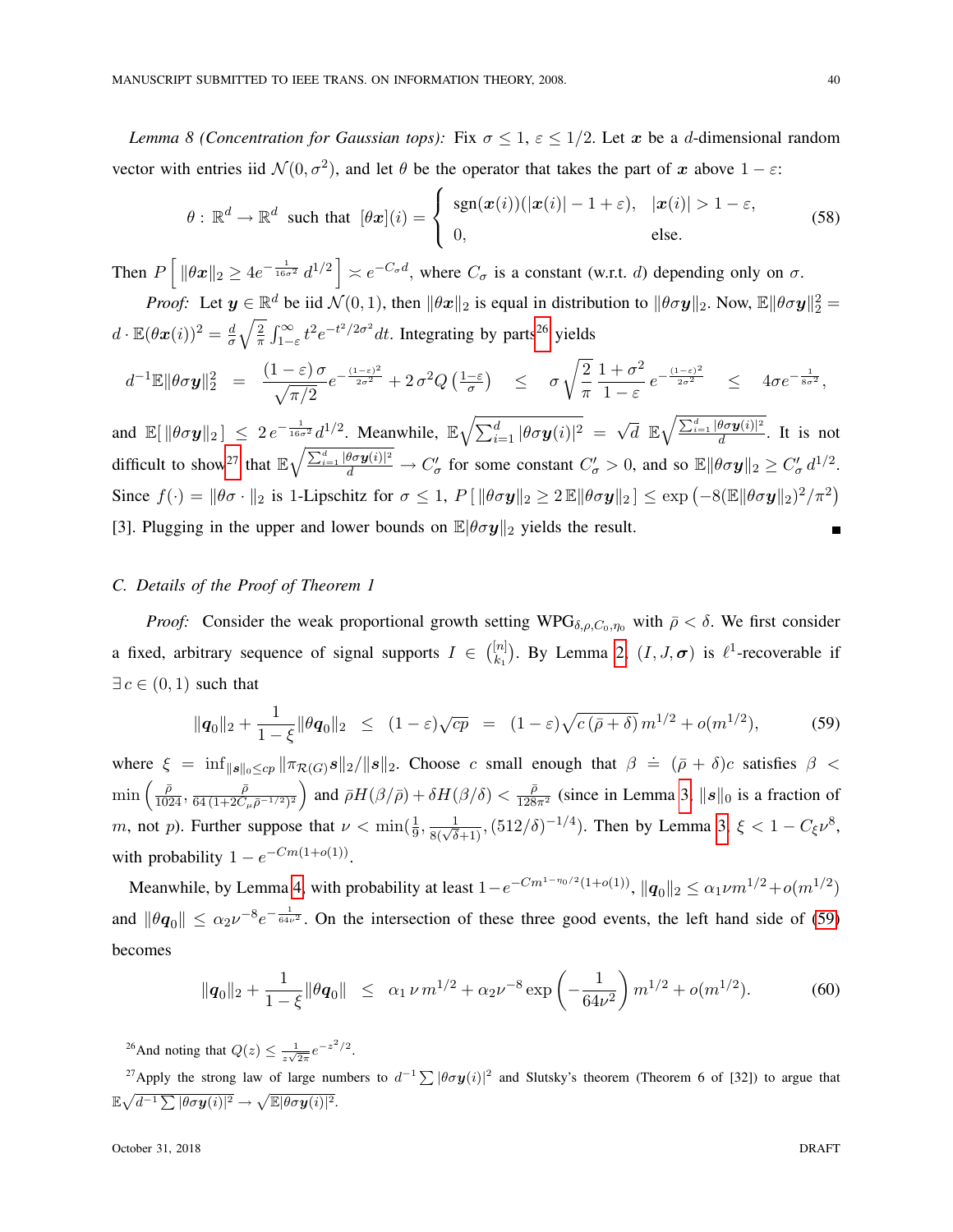*Lemma 8 (Concentration for Gaussian tops):* Fix  $\sigma \leq 1$ ,  $\varepsilon \leq 1/2$ . Let x be a d-dimensional random vector with entries iid  $\mathcal{N}(0, \sigma^2)$ , and let  $\theta$  be the operator that takes the part of x above  $1 - \varepsilon$ .

$$
\theta: \mathbb{R}^d \to \mathbb{R}^d \text{ such that } [\theta \mathbf{x}](i) = \begin{cases} \text{sgn}(\mathbf{x}(i))(|\mathbf{x}(i)| - 1 + \varepsilon), & |\mathbf{x}(i)| > 1 - \varepsilon, \\ 0, & \text{else.} \end{cases}
$$
(58)

Then  $P\left[\|\theta \mathbf{x}\|_2 \geq 4e^{-\frac{1}{16\sigma^2}} d^{1/2}\right] \asymp e^{-C_{\sigma}d}$ , where  $C_{\sigma}$  is a constant (w.r.t. d) depending only on  $\sigma$ .

*Proof:* Let  $y \in \mathbb{R}^d$  be iid  $\mathcal{N}(0, 1)$ , then  $\|\theta x\|_2$  is equal in distribution to  $\|\theta \sigma y\|_2$ . Now,  $\mathbb{E}\|\theta \sigma y\|_2^2 =$  $d \cdot \mathbb{E}(\theta \boldsymbol{x}(i))^2 = \frac{d}{\sigma}$  $rac{d}{\sigma}\sqrt{\frac{2}{\pi}}$  $\frac{2}{\pi} \int_{1-\epsilon}^{\infty} t^2 e^{-t^2/2\sigma^2} dt$ . Integrating by parts<sup>[26](#page-39-1)</sup> yields

$$
d^{-1}\mathbb{E}\|\theta\sigma\mathbf{y}\|_2^2 = \frac{(1-\varepsilon)\sigma}{\sqrt{\pi/2}}e^{-\frac{(1-\varepsilon)^2}{2\sigma^2}} + 2\sigma^2Q\left(\frac{1-\varepsilon}{\sigma}\right) \leq \sigma\sqrt{\frac{2}{\pi}}\frac{1+\sigma^2}{1-\varepsilon}e^{-\frac{(1-\varepsilon)^2}{2\sigma^2}} \leq 4\sigma e^{-\frac{1}{8\sigma^2}},
$$

and  $\mathbb{E}[\|\theta \sigma \mathbf{y}\|_2] \leq 2 e^{-\frac{1}{16\sigma^2}} d^{1/2}$ . Meanwhile,  $\mathbb{E}\sqrt{\sum_{i=1}^d |\theta \sigma \mathbf{y}(i)|^2}$  $\sqrt{d} \mathbb{E}\sqrt{\frac{\sum_{i=1}^d |\theta \sigma \mathbf{y}(i)|^2}{d}}$  $\frac{\partial \sigma \bm{y}(i)|^2}{d}$ . It is not difficult to show<sup>[27](#page-39-2)</sup> that  $\mathbb{E}\sqrt{\frac{\sum_{i=1}^d|\theta\sigma\bm{y}(i)|^2}{d}} \to C_\sigma'$  for some constant  $C_\sigma' > 0$ , and so  $\mathbb{E}\|\theta\sigma\bm{y}\|_2 \geq C_\sigma' d^{1/2}$ . Since  $f(\cdot) = ||\theta\sigma \cdot ||_2$  is 1-Lipschitz for  $\sigma \leq 1$ ,  $P[||\theta\sigma \mathbf{y}||_2 \geq 2 \mathbb{E} ||\theta\sigma \mathbf{y}||_2 ] \leq \exp(-8(\mathbb{E} ||\theta\sigma \mathbf{y}||_2)^2/\pi^2)$ [3]. Plugging in the upper and lower bounds on  $\mathbb{E}|\theta \sigma \mathbf{y}\|_2$  yields the result.

## <span id="page-39-0"></span>*C. Details of the Proof of Theorem 1*

*Proof:* Consider the weak proportional growth setting  $WPG_{\delta,\rho,C_0,\eta_0}$  with  $\bar{\rho} < \delta$ . We first consider a fixed, arbitrary sequence of signal supports  $I \in \binom{[n]}{k}$  $\binom{[n]}{k_1}$ . By Lemma [2,](#page-13-0)  $(I, J, \sigma)$  is  $\ell^1$ -recoverable if  $\exists c \in (0,1)$  such that

<span id="page-39-3"></span>
$$
\|\mathbf{q}_0\|_2 + \frac{1}{1-\xi} \|\theta \mathbf{q}_0\|_2 \le (1-\varepsilon)\sqrt{cp} = (1-\varepsilon)\sqrt{c(\bar{\rho}+\delta)} \, m^{1/2} + o(m^{1/2}), \tag{59}
$$

where  $\xi = \inf_{\|\mathbf{s}\|_0 \leq c_p} \|\pi_{\mathcal{R}(G)}\mathbf{s}\|_2 / \| \mathbf{s}\|_2$ . Choose c small enough that  $\beta \neq (\bar{\rho} + \delta)c$  satisfies  $\beta <$  $\displaystyle \min \left( \frac{\bar{\rho}}{1024}, \frac{\bar{\rho}}{64 \left(1+2 C_t\right)} \right.$  $\frac{\bar{\rho}}{64(1+2C_{\mu}\bar{\rho}^{-1/2})^2}$  and  $\bar{\rho}H(\beta/\bar{\rho})+\delta H(\beta/\delta)<\frac{\bar{\rho}}{128\pi^2}$  (since in Lemma [3,](#page-16-5)  $\|s\|_0$  is a fraction of m, not p). Further suppose that  $\nu < \min(\frac{1}{9}, \frac{1}{8(\sqrt{\delta}+1)}, (512/\delta)^{-1/4})$ . Then by Lemma [3,](#page-16-5)  $\xi < 1 - C_{\xi}\nu^8$ , with probability  $1 - e^{-Cm(1+o(1))}$ .

Meanwhile, by Lemma [4,](#page-19-2) with probability at least  $1-e^{-Cm^{1-\eta_0/2}(1+o(1))}$ ,  $||\boldsymbol{q}_0||_2 \leq \alpha_1 \nu m^{1/2}+o(m^{1/2})$ and  $\|\theta q_0\| \le \alpha_2 \nu^{-8} e^{-\frac{1}{64\nu^2}}$ . On the intersection of these three good events, the left hand side of [\(59\)](#page-39-3) becomes

$$
\|\mathbf{q}_0\|_2 + \frac{1}{1-\xi} \|\theta \mathbf{q}_0\| \leq \alpha_1 \nu \, m^{1/2} + \alpha_2 \nu^{-8} \exp\left(-\frac{1}{64\nu^2}\right) m^{1/2} + o(m^{1/2}). \tag{60}
$$

<span id="page-39-2"></span><span id="page-39-1"></span><sup>26</sup>And noting that  $Q(z) \leq \frac{1}{z\sqrt{2\pi}}e^{-z^2/2}$ .

<sup>27</sup>Apply the strong law of large numbers to  $d^{-1}\sum |\theta \sigma y(i)|^2$  and Slutsky's theorem (Theorem 6 of [32]) to argue that  $\mathbb{E}\sqrt{d^{-1}\sum|\theta\sigma\bm{y}(i)|^2}\rightarrow\sqrt{\mathbb{E}|\theta\sigma\bm{y}(i)|^2}.$